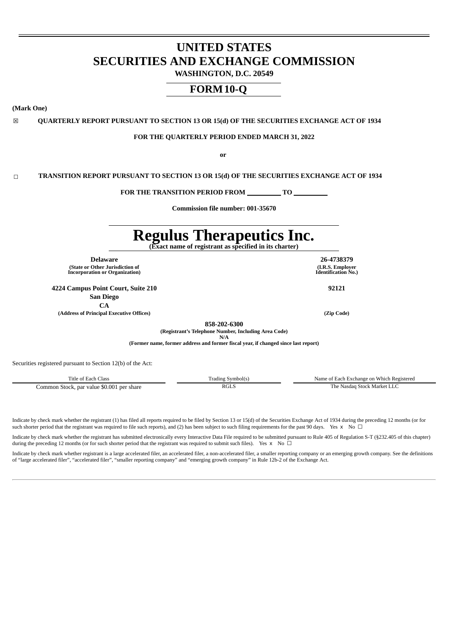# **UNITED STATES SECURITIES AND EXCHANGE COMMISSION**

**WASHINGTON, D.C. 20549**

# **FORM10-Q**

**(Mark One)**

☒ **QUARTERLY REPORT PURSUANT TO SECTION 13 OR 15(d) OF THE SECURITIES EXCHANGE ACT OF 1934**

#### **FOR THE QUARTERLY PERIOD ENDED MARCH 31, 2022**

**or**

☐ **TRANSITION REPORT PURSUANT TO SECTION 13 OR 15(d) OF THE SECURITIES EXCHANGE ACT OF 1934**

**FOR THE TRANSITION PERIOD FROM TO**

**Commission file number: 001-35670**

# **Regulus Therapeutics Inc.**

**(Exact name of registrant as specified in its charter)**

**(I.R.S. Employer Identification No.)**

**858-202-6300**

**(Registrant's Telephone Number, Including Area Code)**

**(Former name, former address and former fiscal year, if changed since last report)**

Securities registered pursuant to Section 12(b) of the Act:

Title of Each Class Trading Symbol(s) Name of Each Exchange on Which Registered Common Stock, par value \$0.001 per share **RGLS** RGLS The Nasdaq Stock Market LLC

Indicate by check mark whether the registrant (1) has filed all reports required to be filed by Section 13 or 15(d) of the Securities Exchange Act of 1934 during the preceding 12 months (or for such shorter period that the registrant was required to file such reports), and (2) has been subject to such filing requirements for the past 90 days. Yes x No  $\Box$ 

Indicate by check mark whether the registrant has submitted electronically every Interactive Data File required to be submitted pursuant to Rule 405 of Regulation S-T (§232.405 of this chapter) during the preceding 12 months (or for such shorter period that the registrant was required to submit such files). Yes  $x \to 0$ 

Indicate by check mark whether registrant is a large accelerated filer, an accelerated filer, a non-accelerated filer, a smaller reporting company or an emerging growth company. See the definitions of "large accelerated filer", "accelerated filer", "smaller reporting company" and "emerging growth company" in Rule 12b-2 of the Exchange Act.

**Delaware 26-4738379**

**(State or Other Jurisdiction of Incorporation or Organization)**

**4224 Campus Point Court, Suite 210 92121**

**San Diego CA**

**(Address of Principal Executive Offices) (Zip Code)**

**N/A**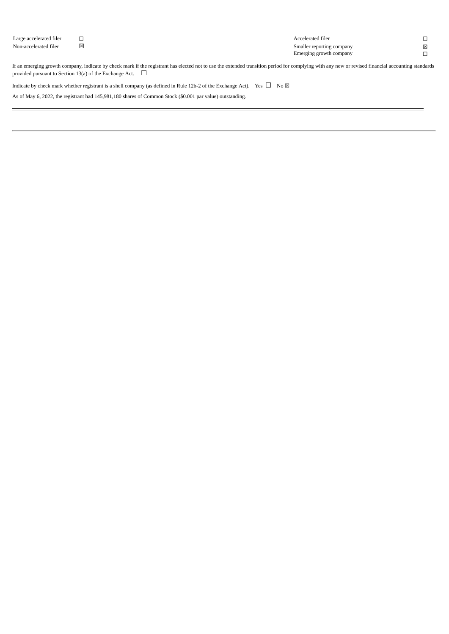| Large accelerated filer |   |             | Accelerated filer         |   |
|-------------------------|---|-------------|---------------------------|---|
| Non-accelerated filer   | 図 |             | Smaller reporting company | × |
|                         |   |             | Emerging growth company   |   |
| __                      | . | _____<br>__ | ______                    |   |

If an emerging growth company, indicate by check mark if the registrant has elected not to use the extended transition period for complying with any new or revised financial accounting standards provided pursuant to Section 13(a) of the Exchange Act.  $\Box$ 

Indicate by check mark whether registrant is a shell company (as defined in Rule 12b-2 of the Exchange Act). Yes  $\Box$  No  $\boxtimes$ 

As of May 6, 2022, the registrant had 145,981,180 shares of Common Stock (\$0.001 par value) outstanding.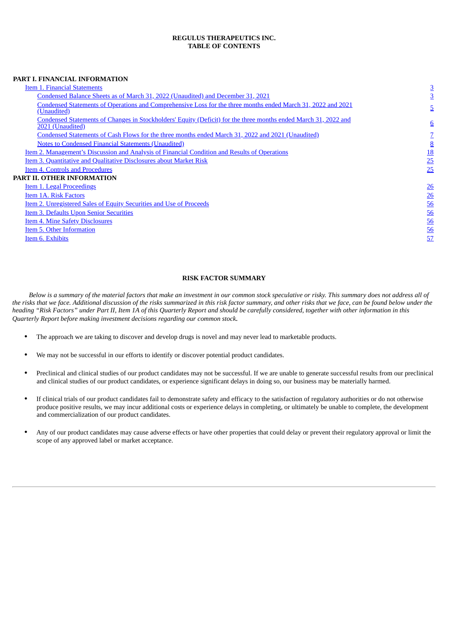## **REGULUS THERAPEUTICS INC. TABLE OF CONTENTS**

## **PART I. FINANCIAL INFORMATION**

| Item 1. Financial Statements                                                                                                        | $\overline{3}$  |
|-------------------------------------------------------------------------------------------------------------------------------------|-----------------|
| Condensed Balance Sheets as of March 31, 2022 (Unaudited) and December 31, 2021                                                     | $\overline{3}$  |
| Condensed Statements of Operations and Comprehensive Loss for the three months ended March 31, 2022 and 2021<br>(Unaudited)         | 5               |
| Condensed Statements of Changes in Stockholders' Equity (Deficit) for the three months ended March 31, 2022 and<br>2021 (Unaudited) | $6\overline{6}$ |
| Condensed Statements of Cash Flows for the three months ended March 31, 2022 and 2021 (Unaudited)                                   |                 |
| <b>Notes to Condensed Financial Statements (Unaudited)</b>                                                                          | $\underline{8}$ |
| Item 2. Management's Discussion and Analysis of Financial Condition and Results of Operations                                       | <u>18</u>       |
| Item 3. Quantitative and Qualitative Disclosures about Market Risk                                                                  | 25              |
| <b>Item 4. Controls and Procedures</b>                                                                                              | 25              |
| PART II. OTHER INFORMATION                                                                                                          |                 |
| Item 1. Legal Proceedings                                                                                                           | 26              |
| Item 1A. Risk Factors                                                                                                               | 26              |
| Item 2. Unregistered Sales of Equity Securities and Use of Proceeds                                                                 | 56              |
| <b>Item 3. Defaults Upon Senior Securities</b>                                                                                      | 56              |
| <b>Item 4. Mine Safety Disclosures</b>                                                                                              | 56              |
| Item 5. Other Information                                                                                                           | 56              |
| Item 6. Exhibits                                                                                                                    | 57              |
|                                                                                                                                     |                 |
|                                                                                                                                     |                 |

## **RISK FACTOR SUMMARY**

Below is a summary of the material factors that make an investment in our common stock speculative or risky. This summary does not address all of the risks that we face. Additional discussion of the risks summarized in this risk factor summary, and other risks that we face, can be found below under the heading "Risk Factors" under Part II, Item 1A of this Quarterly Report and should be carefully considered, together with other information in this *Quarterly Report before making investment decisions regarding our common stock.*

- The approach we are taking to discover and develop drugs is novel and may never lead to marketable products.
- We may not be successful in our efforts to identify or discover potential product candidates.
- Preclinical and clinical studies of our product candidates may not be successful. If we are unable to generate successful results from our preclinical and clinical studies of our product candidates, or experience significant delays in doing so, our business may be materially harmed.
- If clinical trials of our product candidates fail to demonstrate safety and efficacy to the satisfaction of regulatory authorities or do not otherwise produce positive results, we may incur additional costs or experience delays in completing, or ultimately be unable to complete, the development and commercialization of our product candidates.
- Any of our product candidates may cause adverse effects or have other properties that could delay or prevent their regulatory approval or limit the scope of any approved label or market acceptance.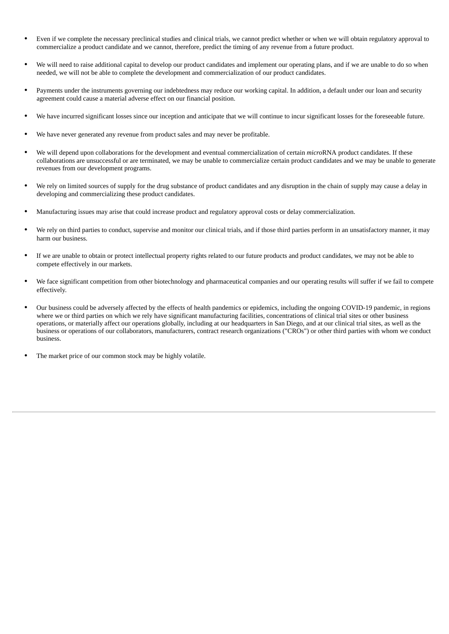- Even if we complete the necessary preclinical studies and clinical trials, we cannot predict whether or when we will obtain regulatory approval to commercialize a product candidate and we cannot, therefore, predict the timing of any revenue from a future product.
- We will need to raise additional capital to develop our product candidates and implement our operating plans, and if we are unable to do so when needed, we will not be able to complete the development and commercialization of our product candidates.
- Payments under the instruments governing our indebtedness may reduce our working capital. In addition, a default under our loan and security agreement could cause a material adverse effect on our financial position.
- We have incurred significant losses since our inception and anticipate that we will continue to incur significant losses for the foreseeable future.
- We have never generated any revenue from product sales and may never be profitable.
- We will depend upon collaborations for the development and eventual commercialization of certain *micro*RNA product candidates. If these collaborations are unsuccessful or are terminated, we may be unable to commercialize certain product candidates and we may be unable to generate revenues from our development programs.
- We rely on limited sources of supply for the drug substance of product candidates and any disruption in the chain of supply may cause a delay in developing and commercializing these product candidates.
- Manufacturing issues may arise that could increase product and regulatory approval costs or delay commercialization.
- We rely on third parties to conduct, supervise and monitor our clinical trials, and if those third parties perform in an unsatisfactory manner, it may harm our business.
- If we are unable to obtain or protect intellectual property rights related to our future products and product candidates, we may not be able to compete effectively in our markets.
- We face significant competition from other biotechnology and pharmaceutical companies and our operating results will suffer if we fail to compete effectively.
- Our business could be adversely affected by the effects of health pandemics or epidemics, including the ongoing COVID-19 pandemic, in regions where we or third parties on which we rely have significant manufacturing facilities, concentrations of clinical trial sites or other business operations, or materially affect our operations globally, including at our headquarters in San Diego, and at our clinical trial sites, as well as the business or operations of our collaborators, manufacturers, contract research organizations ("CROs") or other third parties with whom we conduct business.
- The market price of our common stock may be highly volatile.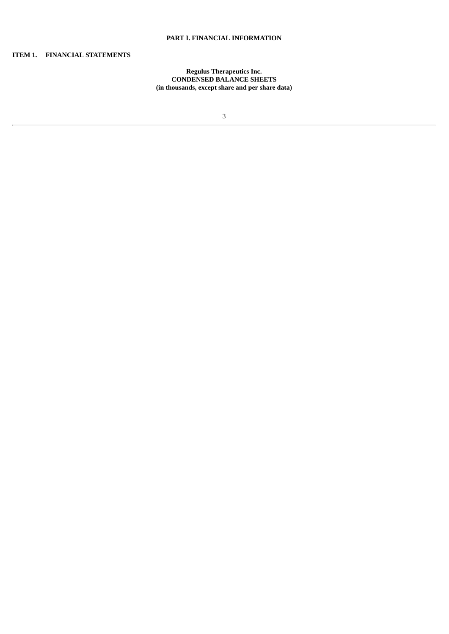## **PART I. FINANCIAL INFORMATION**

## <span id="page-4-1"></span><span id="page-4-0"></span>**ITEM 1. FINANCIAL STATEMENTS**

## **Regulus Therapeutics Inc. CONDENSED BALANCE SHEETS (in thousands, except share and per share data)**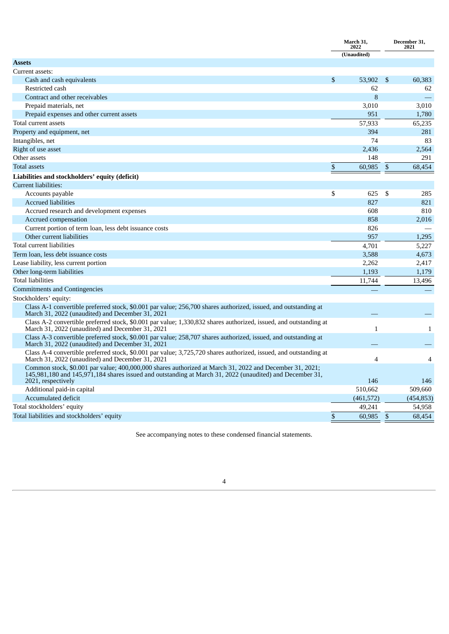|                                                                                                                                                                                                                                           | March 31,<br>2022 |               | December 31,<br>2021 |
|-------------------------------------------------------------------------------------------------------------------------------------------------------------------------------------------------------------------------------------------|-------------------|---------------|----------------------|
|                                                                                                                                                                                                                                           | (Unaudited)       |               |                      |
| <b>Assets</b>                                                                                                                                                                                                                             |                   |               |                      |
| Current assets:                                                                                                                                                                                                                           |                   |               |                      |
| Cash and cash equivalents                                                                                                                                                                                                                 | \$<br>53,902      | <sup>\$</sup> | 60,383               |
| Restricted cash                                                                                                                                                                                                                           | 62                |               | 62                   |
| Contract and other receivables                                                                                                                                                                                                            | 8                 |               |                      |
| Prepaid materials, net                                                                                                                                                                                                                    | 3,010             |               | 3,010                |
| Prepaid expenses and other current assets                                                                                                                                                                                                 | 951               |               | 1,780                |
| Total current assets                                                                                                                                                                                                                      | 57,933            |               | 65,235               |
| Property and equipment, net                                                                                                                                                                                                               | 394               |               | 281                  |
| Intangibles, net                                                                                                                                                                                                                          | 74                |               | 83                   |
| Right of use asset                                                                                                                                                                                                                        | 2,436             |               | 2,564                |
| Other assets                                                                                                                                                                                                                              | 148               |               | 291                  |
| <b>Total assets</b>                                                                                                                                                                                                                       | \$<br>60,985      | \$            | 68,454               |
| Liabilities and stockholders' equity (deficit)                                                                                                                                                                                            |                   |               |                      |
| Current liabilities:                                                                                                                                                                                                                      |                   |               |                      |
| Accounts payable                                                                                                                                                                                                                          | \$<br>625         | \$            | 285                  |
| <b>Accrued liabilities</b>                                                                                                                                                                                                                | 827               |               | 821                  |
| Accrued research and development expenses                                                                                                                                                                                                 | 608               |               | 810                  |
| Accrued compensation                                                                                                                                                                                                                      | 858               |               | 2,016                |
| Current portion of term loan, less debt issuance costs                                                                                                                                                                                    | 826               |               |                      |
| Other current liabilities                                                                                                                                                                                                                 | 957               |               | 1.295                |
| Total current liabilities                                                                                                                                                                                                                 | 4,701             |               | 5.227                |
| Term loan, less debt issuance costs                                                                                                                                                                                                       | 3,588             |               | 4,673                |
| Lease liability, less current portion                                                                                                                                                                                                     | 2,262             |               | 2,417                |
| Other long-term liabilities                                                                                                                                                                                                               | 1,193             |               | 1,179                |
| Total liabilities                                                                                                                                                                                                                         | 11,744            |               | 13,496               |
| Commitments and Contingencies                                                                                                                                                                                                             |                   |               |                      |
| Stockholders' equity:                                                                                                                                                                                                                     |                   |               |                      |
| Class A-1 convertible preferred stock, \$0.001 par value; 256,700 shares authorized, issued, and outstanding at<br>March 31, 2022 (unaudited) and December 31, 2021                                                                       |                   |               |                      |
| Class A-2 convertible preferred stock, \$0.001 par value; 1,330,832 shares authorized, issued, and outstanding at<br>March 31, 2022 (unaudited) and December 31, 2021                                                                     | $\mathbf{1}$      |               | $\mathbf{1}$         |
| Class A-3 convertible preferred stock, \$0.001 par value; 258,707 shares authorized, issued, and outstanding at<br>March 31, 2022 (unaudited) and December 31, 2021                                                                       |                   |               |                      |
| Class A-4 convertible preferred stock, \$0.001 par value; 3,725,720 shares authorized, issued, and outstanding at<br>March 31, 2022 (unaudited) and December 31, 2021                                                                     | $\overline{4}$    |               | $\overline{4}$       |
| Common stock, \$0.001 par value; 400,000,000 shares authorized at March 31, 2022 and December 31, 2021;<br>145,981,180 and 145,971,184 shares issued and outstanding at March 31, 2022 (unaudited) and December 31,<br>2021, respectively | 146               |               | 146                  |
| Additional paid-in capital                                                                                                                                                                                                                | 510,662           |               | 509,660              |
| Accumulated deficit                                                                                                                                                                                                                       | (461, 572)        |               | (454, 853)           |
| Total stockholders' equity                                                                                                                                                                                                                | 49,241            |               | 54,958               |
| Total liabilities and stockholders' equity                                                                                                                                                                                                | \$<br>60,985      | \$            | 68,454               |
|                                                                                                                                                                                                                                           |                   |               |                      |

<span id="page-5-0"></span>See accompanying notes to these condensed financial statements.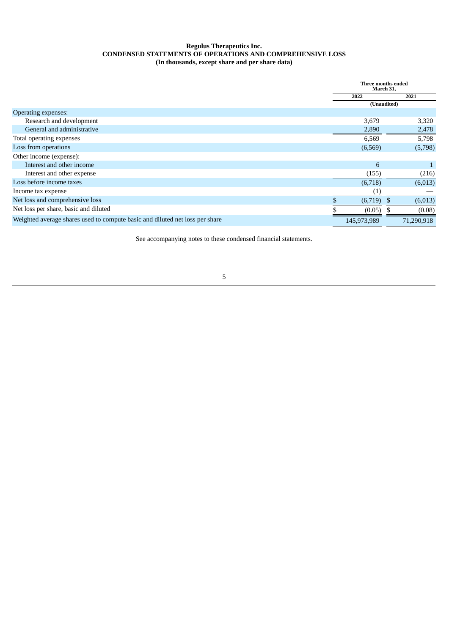## **Regulus Therapeutics Inc. CONDENSED STATEMENTS OF OPERATIONS AND COMPREHENSIVE LOSS (In thousands, except share and per share data)**

|                                                                              | Three months ended<br>March 31, |    |            |
|------------------------------------------------------------------------------|---------------------------------|----|------------|
|                                                                              | 2022                            |    | 2021       |
|                                                                              | (Unaudited)                     |    |            |
| <b>Operating expenses:</b>                                                   |                                 |    |            |
| Research and development                                                     | 3,679                           |    | 3,320      |
| General and administrative                                                   | 2,890                           |    | 2,478      |
| Total operating expenses                                                     | 6,569                           |    | 5,798      |
| Loss from operations                                                         | (6,569)                         |    | (5,798)    |
| Other income (expense):                                                      |                                 |    |            |
| Interest and other income                                                    | 6                               |    |            |
| Interest and other expense                                                   | (155)                           |    | (216)      |
| Loss before income taxes                                                     | (6,718)                         |    | (6,013)    |
| Income tax expense                                                           | $\left( 1\right)$               |    |            |
| Net loss and comprehensive loss                                              | (6,719)                         | Ъ, | (6,013)    |
| Net loss per share, basic and diluted                                        | (0.05)                          |    | (0.08)     |
| Weighted average shares used to compute basic and diluted net loss per share | 145,973,989                     |    | 71,290,918 |

<span id="page-6-0"></span>See accompanying notes to these condensed financial statements.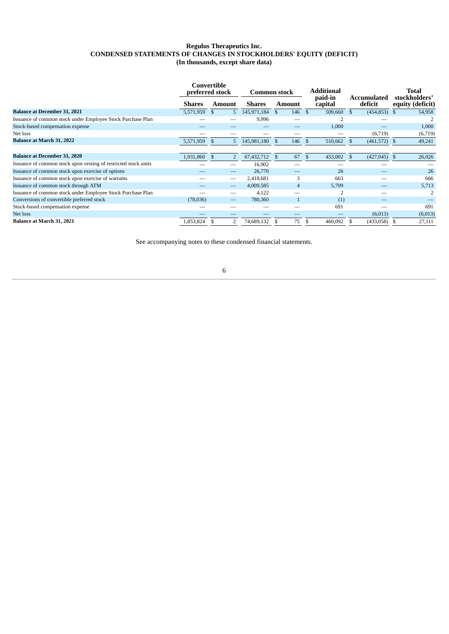## **Regulus Therapeutics Inc. CONDENSED STATEMENTS OF CHANGES IN STOCKHOLDERS' EQUITY (DEFICIT) (In thousands, except share data)**

|                                                                 | Convertible<br>preferred stock |                | <b>Common stock</b> |                    | <b>Additional</b>            |                                 | Total                             |  |
|-----------------------------------------------------------------|--------------------------------|----------------|---------------------|--------------------|------------------------------|---------------------------------|-----------------------------------|--|
|                                                                 | <b>Shares</b>                  | <b>Amount</b>  | <b>Shares</b>       | Amount             | paid-in<br>capital           | Accumulated<br>deficit          | stockholders'<br>equity (deficit) |  |
| <b>Balance at December 31, 2021</b>                             | 5,571,959                      | 5<br>\$.       | 145,971,184         | 146<br>-\$         | 509,660 \$<br>$\mathcal{S}$  | $(454, 853)$ \$                 | 54,958                            |  |
| Issuance of common stock under Employee Stock Purchase Plan     |                                |                | 9,996               |                    |                              |                                 |                                   |  |
| Stock-based compensation expense                                |                                |                |                     |                    | 1,000                        |                                 | 1,000                             |  |
| Net loss                                                        |                                |                |                     |                    |                              | (6,719)                         | (6,719)                           |  |
| Balance at March 31, 2022                                       | 5,571,959                      | 5<br>-S        | 145,981,180         | 146<br>-S          | $\mathfrak{S}$<br>510,662 \$ | $(461,572)$ \$                  | 49,241                            |  |
|                                                                 |                                |                |                     |                    |                              |                                 |                                   |  |
| <b>Balance at December 31, 2020</b>                             | 1,931,860                      | $\mathfrak{S}$ | 67, 432, 712        | 67<br>$\mathbf{s}$ | 453,002<br>$\mathcal{S}$     | $\mathcal{S}$<br>$(427,045)$ \$ | 26,026                            |  |
| Issuance of common stock upon vesting of restricted stock units |                                |                | 16,902              |                    |                              |                                 |                                   |  |
| Issuance of common stock upon exercise of options               |                                |                | 26,770              |                    | 26                           |                                 | 26                                |  |
| Issuance of common stock upon exercise of warrants              |                                |                | 2,418,681           | 3                  | 663                          |                                 | 666                               |  |
| Issuance of common stock through ATM                            |                                |                | 4,009,585           | $\overline{4}$     | 5,709                        |                                 | 5,713                             |  |
| Issuance of common stock under Employee Stock Purchase Plan     |                                |                | 4,122               |                    |                              |                                 | 2                                 |  |
| Conversions of convertible preferred stock                      | (78,036)                       |                | 780,360             |                    | (1)                          |                                 |                                   |  |
| Stock-based compensation expense                                |                                |                |                     |                    | 691                          |                                 | 691                               |  |
| Net loss                                                        |                                |                |                     |                    |                              | (6,013)                         | (6,013)                           |  |
| Balance at March 31, 2021                                       | 1,853,824                      | 2              | 74,689,132          | 75                 | 460,092                      | (433,058)                       | 27,111                            |  |

<span id="page-7-0"></span>See accompanying notes to these condensed financial statements.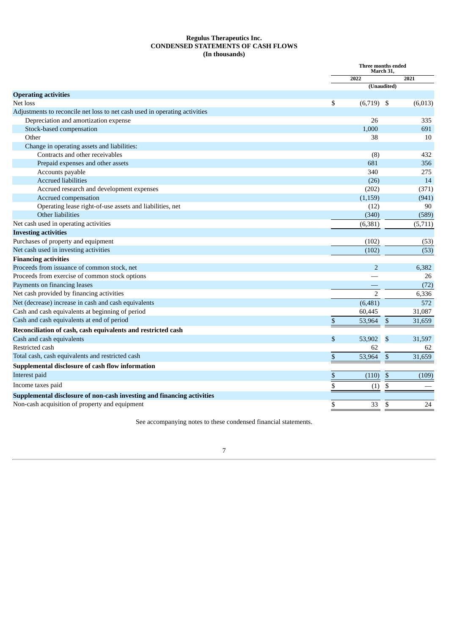## **Regulus Therapeutics Inc. CONDENSED STATEMENTS OF CASH FLOWS (In thousands)**

|                                                                            | Three months ended<br>March 31,         |         |  |  |
|----------------------------------------------------------------------------|-----------------------------------------|---------|--|--|
|                                                                            | 2022                                    | 2021    |  |  |
|                                                                            | (Unaudited)                             |         |  |  |
| <b>Operating activities</b>                                                |                                         |         |  |  |
| Net loss                                                                   | \$<br>$(6,719)$ \$                      | (6,013) |  |  |
| Adjustments to reconcile net loss to net cash used in operating activities |                                         |         |  |  |
| Depreciation and amortization expense                                      | 26                                      | 335     |  |  |
| Stock-based compensation                                                   | 1,000                                   | 691     |  |  |
| Other                                                                      | 38                                      | 10      |  |  |
| Change in operating assets and liabilities:                                |                                         |         |  |  |
| Contracts and other receivables                                            | (8)                                     | 432     |  |  |
| Prepaid expenses and other assets                                          | 681                                     | 356     |  |  |
| Accounts payable                                                           | 340                                     | 275     |  |  |
| <b>Accrued liabilities</b>                                                 | (26)                                    | 14      |  |  |
| Accrued research and development expenses                                  | (202)                                   | (371)   |  |  |
| Accrued compensation                                                       | (1, 159)                                | (941)   |  |  |
| Operating lease right-of-use assets and liabilities, net                   | (12)                                    | 90      |  |  |
| Other liabilities                                                          | (340)                                   | (589)   |  |  |
| Net cash used in operating activities                                      | (6, 381)                                | (5,711) |  |  |
| <b>Investing activities</b>                                                |                                         |         |  |  |
| Purchases of property and equipment                                        | (102)                                   | (53)    |  |  |
| Net cash used in investing activities                                      | (102)                                   | (53)    |  |  |
| <b>Financing activities</b>                                                |                                         |         |  |  |
| Proceeds from issuance of common stock, net                                | $\overline{2}$                          | 6,382   |  |  |
| Proceeds from exercise of common stock options                             |                                         | 26      |  |  |
| Payments on financing leases                                               |                                         | (72)    |  |  |
| Net cash provided by financing activities                                  | $\overline{2}$                          | 6,336   |  |  |
| Net (decrease) increase in cash and cash equivalents                       | (6,481)                                 | 572     |  |  |
| Cash and cash equivalents at beginning of period                           | 60,445                                  | 31,087  |  |  |
| Cash and cash equivalents at end of period                                 | \$<br>53,964<br>\$                      | 31,659  |  |  |
| Reconciliation of cash, cash equivalents and restricted cash               |                                         |         |  |  |
| Cash and cash equivalents                                                  | \$<br>$\mathbf{\mathfrak{S}}$<br>53,902 | 31,597  |  |  |
| Restricted cash                                                            | 62                                      | 62      |  |  |
| Total cash, cash equivalents and restricted cash                           | \$<br>53,964<br>\$                      | 31,659  |  |  |
| Supplemental disclosure of cash flow information                           |                                         |         |  |  |
|                                                                            |                                         |         |  |  |
| Interest paid                                                              | \$<br>(110)<br>\$                       | (109)   |  |  |
| Income taxes paid                                                          | \$<br>\$<br>(1)                         |         |  |  |
| Supplemental disclosure of non-cash investing and financing activities     |                                         |         |  |  |
| Non-cash acquisition of property and equipment                             | \$<br>33<br>\$                          | 24      |  |  |

<span id="page-8-0"></span>See accompanying notes to these condensed financial statements.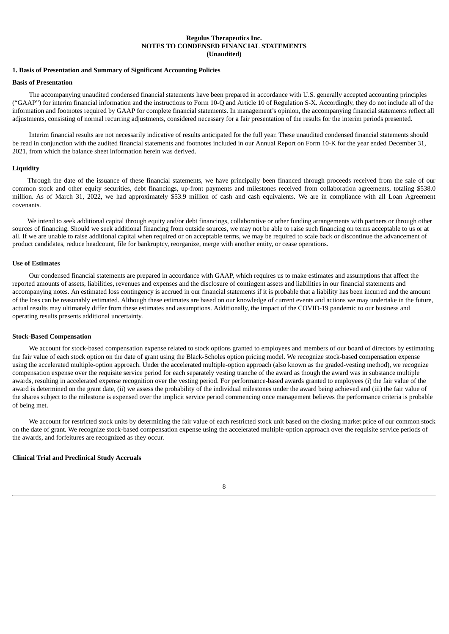## **Regulus Therapeutics Inc. NOTES TO CONDENSED FINANCIAL STATEMENTS (Unaudited)**

#### **1. Basis of Presentation and Summary of Significant Accounting Policies**

#### **Basis of Presentation**

The accompanying unaudited condensed financial statements have been prepared in accordance with U.S. generally accepted accounting principles ("GAAP") for interim financial information and the instructions to Form 10-Q and Article 10 of Regulation S-X. Accordingly, they do not include all of the information and footnotes required by GAAP for complete financial statements. In management's opinion, the accompanying financial statements reflect all adjustments, consisting of normal recurring adjustments, considered necessary for a fair presentation of the results for the interim periods presented.

Interim financial results are not necessarily indicative of results anticipated for the full year. These unaudited condensed financial statements should be read in conjunction with the audited financial statements and footnotes included in our Annual Report on Form 10-K for the year ended December 31, 2021, from which the balance sheet information herein was derived.

#### **Liquidity**

Through the date of the issuance of these financial statements, we have principally been financed through proceeds received from the sale of our common stock and other equity securities, debt financings, up-front payments and milestones received from collaboration agreements, totaling \$538.0 million. As of March 31, 2022, we had approximately \$53.9 million of cash and cash equivalents. We are in compliance with all Loan Agreement covenants.

We intend to seek additional capital through equity and/or debt financings, collaborative or other funding arrangements with partners or through other sources of financing. Should we seek additional financing from outside sources, we may not be able to raise such financing on terms acceptable to us or at all. If we are unable to raise additional capital when required or on acceptable terms, we may be required to scale back or discontinue the advancement of product candidates, reduce headcount, file for bankruptcy, reorganize, merge with another entity, or cease operations.

#### **Use of Estimates**

Our condensed financial statements are prepared in accordance with GAAP, which requires us to make estimates and assumptions that affect the reported amounts of assets, liabilities, revenues and expenses and the disclosure of contingent assets and liabilities in our financial statements and accompanying notes. An estimated loss contingency is accrued in our financial statements if it is probable that a liability has been incurred and the amount of the loss can be reasonably estimated. Although these estimates are based on our knowledge of current events and actions we may undertake in the future, actual results may ultimately differ from these estimates and assumptions. Additionally, the impact of the COVID-19 pandemic to our business and operating results presents additional uncertainty.

#### **Stock-Based Compensation**

We account for stock-based compensation expense related to stock options granted to employees and members of our board of directors by estimating the fair value of each stock option on the date of grant using the Black-Scholes option pricing model. We recognize stock-based compensation expense using the accelerated multiple-option approach. Under the accelerated multiple-option approach (also known as the graded-vesting method), we recognize compensation expense over the requisite service period for each separately vesting tranche of the award as though the award was in substance multiple awards, resulting in accelerated expense recognition over the vesting period. For performance-based awards granted to employees (i) the fair value of the award is determined on the grant date, (ii) we assess the probability of the individual milestones under the award being achieved and (iii) the fair value of the shares subject to the milestone is expensed over the implicit service period commencing once management believes the performance criteria is probable of being met.

We account for restricted stock units by determining the fair value of each restricted stock unit based on the closing market price of our common stock on the date of grant. We recognize stock-based compensation expense using the accelerated multiple-option approach over the requisite service periods of the awards, and forfeitures are recognized as they occur.

## **Clinical Trial and Preclinical Study Accruals**

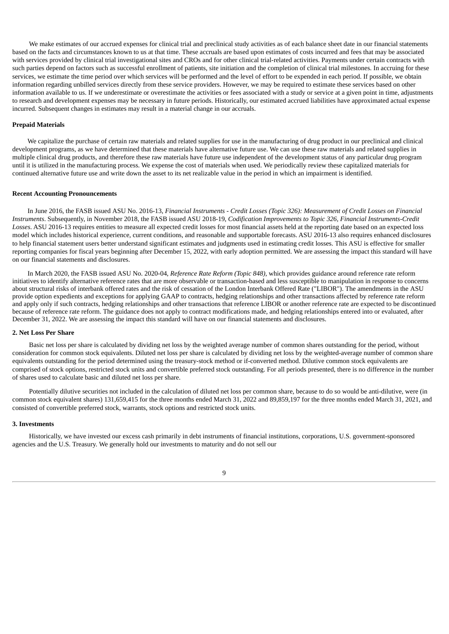We make estimates of our accrued expenses for clinical trial and preclinical study activities as of each balance sheet date in our financial statements based on the facts and circumstances known to us at that time. These accruals are based upon estimates of costs incurred and fees that may be associated with services provided by clinical trial investigational sites and CROs and for other clinical trial-related activities. Payments under certain contracts with such parties depend on factors such as successful enrollment of patients, site initiation and the completion of clinical trial milestones. In accruing for these services, we estimate the time period over which services will be performed and the level of effort to be expended in each period. If possible, we obtain information regarding unbilled services directly from these service providers. However, we may be required to estimate these services based on other information available to us. If we underestimate or overestimate the activities or fees associated with a study or service at a given point in time, adjustments to research and development expenses may be necessary in future periods. Historically, our estimated accrued liabilities have approximated actual expense incurred. Subsequent changes in estimates may result in a material change in our accruals.

#### **Prepaid Materials**

We capitalize the purchase of certain raw materials and related supplies for use in the manufacturing of drug product in our preclinical and clinical development programs, as we have determined that these materials have alternative future use. We can use these raw materials and related supplies in multiple clinical drug products, and therefore these raw materials have future use independent of the development status of any particular drug program until it is utilized in the manufacturing process. We expense the cost of materials when used. We periodically review these capitalized materials for continued alternative future use and write down the asset to its net realizable value in the period in which an impairment is identified.

#### **Recent Accounting Pronouncements**

In June 2016, the FASB issued ASU No. 2016-13, Financial Instruments - Credit Losses (Topic 326): Measurement of Credit Losses on Financial *Instruments*. Subsequently, in November 2018, the FASB issued ASU 2018-19, *Codification Improvements to Topic 326, Financial Instruments-Credit Losses*. ASU 2016-13 requires entities to measure all expected credit losses for most financial assets held at the reporting date based on an expected loss model which includes historical experience, current conditions, and reasonable and supportable forecasts. ASU 2016-13 also requires enhanced disclosures to help financial statement users better understand significant estimates and judgments used in estimating credit losses. This ASU is effective for smaller reporting companies for fiscal years beginning after December 15, 2022, with early adoption permitted. We are assessing the impact this standard will have on our financial statements and disclosures.

In March 2020, the FASB issued ASU No. 2020-04, *Reference Rate Reform (Topic 848),* which provides guidance around reference rate reform initiatives to identify alternative reference rates that are more observable or transaction-based and less susceptible to manipulation in response to concerns about structural risks of interbank offered rates and the risk of cessation of the London Interbank Offered Rate ("LIBOR"). The amendments in the ASU provide option expedients and exceptions for applying GAAP to contracts, hedging relationships and other transactions affected by reference rate reform and apply only if such contracts, hedging relationships and other transactions that reference LIBOR or another reference rate are expected to be discontinued because of reference rate reform. The guidance does not apply to contract modifications made, and hedging relationships entered into or evaluated, after December 31, 2022. We are assessing the impact this standard will have on our financial statements and disclosures.

#### **2. Net Loss Per Share**

Basic net loss per share is calculated by dividing net loss by the weighted average number of common shares outstanding for the period, without consideration for common stock equivalents. Diluted net loss per share is calculated by dividing net loss by the weighted-average number of common share equivalents outstanding for the period determined using the treasury-stock method or if-converted method. Dilutive common stock equivalents are comprised of stock options, restricted stock units and convertible preferred stock outstanding. For all periods presented, there is no difference in the number of shares used to calculate basic and diluted net loss per share.

Potentially dilutive securities not included in the calculation of diluted net loss per common share, because to do so would be anti-dilutive, were (in common stock equivalent shares) 131,659,415 for the three months ended March 31, 2022 and 89,859,197 for the three months ended March 31, 2021, and consisted of convertible preferred stock, warrants, stock options and restricted stock units.

#### **3. Investments**

Historically, we have invested our excess cash primarily in debt instruments of financial institutions, corporations, U.S. government-sponsored agencies and the U.S. Treasury. We generally hold our investments to maturity and do not sell our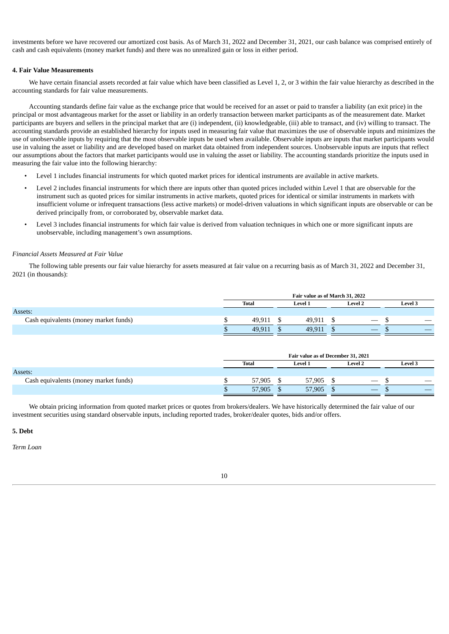investments before we have recovered our amortized cost basis. As of March 31, 2022 and December 31, 2021, our cash balance was comprised entirely of cash and cash equivalents (money market funds) and there was no unrealized gain or loss in either period.

#### **4. Fair Value Measurements**

We have certain financial assets recorded at fair value which have been classified as Level 1, 2, or 3 within the fair value hierarchy as described in the accounting standards for fair value measurements.

Accounting standards define fair value as the exchange price that would be received for an asset or paid to transfer a liability (an exit price) in the principal or most advantageous market for the asset or liability in an orderly transaction between market participants as of the measurement date. Market participants are buyers and sellers in the principal market that are (i) independent, (ii) knowledgeable, (iii) able to transact, and (iv) willing to transact. The accounting standards provide an established hierarchy for inputs used in measuring fair value that maximizes the use of observable inputs and minimizes the use of unobservable inputs by requiring that the most observable inputs be used when available. Observable inputs are inputs that market participants would use in valuing the asset or liability and are developed based on market data obtained from independent sources. Unobservable inputs are inputs that reflect our assumptions about the factors that market participants would use in valuing the asset or liability. The accounting standards prioritize the inputs used in measuring the fair value into the following hierarchy:

- Level 1 includes financial instruments for which quoted market prices for identical instruments are available in active markets.
- Level 2 includes financial instruments for which there are inputs other than quoted prices included within Level 1 that are observable for the instrument such as quoted prices for similar instruments in active markets, quoted prices for identical or similar instruments in markets with insufficient volume or infrequent transactions (less active markets) or model-driven valuations in which significant inputs are observable or can be derived principally from, or corroborated by, observable market data.
- Level 3 includes financial instruments for which fair value is derived from valuation techniques in which one or more significant inputs are unobservable, including management's own assumptions.

#### *Financial Assets Measured at Fair Value*

The following table presents our fair value hierarchy for assets measured at fair value on a recurring basis as of March 31, 2022 and December 31, 2021 (in thousands):

|                                       | Fair value as of March 31, 2022 |  |                |  |                                           |  |         |  |
|---------------------------------------|---------------------------------|--|----------------|--|-------------------------------------------|--|---------|--|
|                                       | <b>Total</b>                    |  | <b>Level 1</b> |  | <b>Level 2</b>                            |  | Level 3 |  |
| Assets:                               |                                 |  |                |  |                                           |  |         |  |
| Cash equivalents (money market funds) | 49.911                          |  | 49.911         |  | $\hspace{0.05cm}$                         |  |         |  |
|                                       | 49.911                          |  | 49.911         |  | $\qquad \qquad \overline{\qquad \qquad }$ |  |         |  |

|                                       | Fair value as of December 31, 2021 |  |         |  |                                           |  |                |  |
|---------------------------------------|------------------------------------|--|---------|--|-------------------------------------------|--|----------------|--|
|                                       | <b>Total</b>                       |  | Level 1 |  | <b>Level 2</b>                            |  | <b>Level 3</b> |  |
| Assets:                               |                                    |  |         |  |                                           |  |                |  |
| Cash equivalents (money market funds) | 57,905                             |  | 57,905  |  | $\overbrace{\hspace{25mm}}^{}$            |  |                |  |
|                                       | 57,905                             |  | 57,905  |  | $\qquad \qquad \overline{\qquad \qquad }$ |  |                |  |

We obtain pricing information from quoted market prices or quotes from brokers/dealers. We have historically determined the fair value of our investment securities using standard observable inputs, including reported trades, broker/dealer quotes, bids and/or offers.

#### **5. Debt**

*Term Loan*

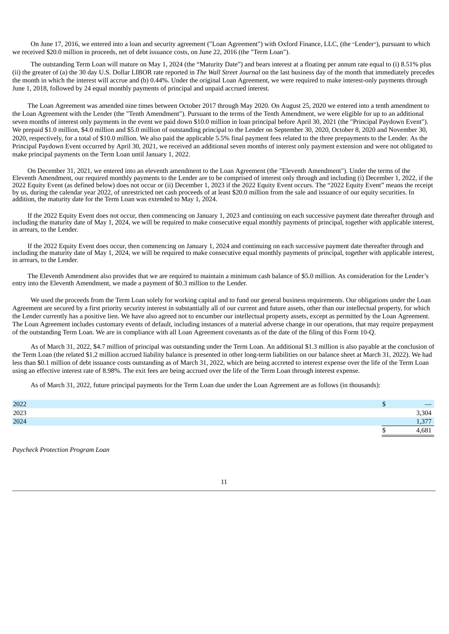On June 17, 2016, we entered into a loan and security agreement ("Loan Agreement") with Oxford Finance, LLC, (the "Lender"), pursuant to which we received \$20.0 million in proceeds, net of debt issuance costs, on June 22, 2016 (the "Term Loan").

The outstanding Term Loan will mature on May 1, 2024 (the "Maturity Date") and bears interest at a floating per annum rate equal to (i) 8.51% plus (ii) the greater of (a) the 30 day U.S. Dollar LIBOR rate reported in *The Wall Street Journal* on the last business day of the month that immediately precedes the month in which the interest will accrue and (b) 0.44%. Under the original Loan Agreement, we were required to make interest-only payments through June 1, 2018, followed by 24 equal monthly payments of principal and unpaid accrued interest.

The Loan Agreement was amended nine times between October 2017 through May 2020. On August 25, 2020 we entered into a tenth amendment to the Loan Agreement with the Lender (the "Tenth Amendment"). Pursuant to the terms of the Tenth Amendment, we were eligible for up to an additional seven months of interest only payments in the event we paid down \$10.0 million in loan principal before April 30, 2021 (the "Principal Paydown Event"). We prepaid \$1.0 million, \$4.0 million and \$5.0 million of outstanding principal to the Lender on September 30, 2020, October 8, 2020 and November 30, 2020, respectively, for a total of \$10.0 million. We also paid the applicable 5.5% final payment fees related to the three prepayments to the Lender. As the Principal Paydown Event occurred by April 30, 2021, we received an additional seven months of interest only payment extension and were not obligated to make principal payments on the Term Loan until January 1, 2022.

On December 31, 2021, we entered into an eleventh amendment to the Loan Agreement (the "Eleventh Amendment"). Under the terms of the Eleventh Amendment, our required monthly payments to the Lender are to be comprised of interest only through and including (i) December 1, 2022, if the 2022 Equity Event (as defined below) does not occur or (ii) December 1, 2023 if the 2022 Equity Event occurs. The "2022 Equity Event" means the receipt by us, during the calendar year 2022, of unrestricted net cash proceeds of at least \$20.0 million from the sale and issuance of our equity securities. In addition, the maturity date for the Term Loan was extended to May 1, 2024.

If the 2022 Equity Event does not occur, then commencing on January 1, 2023 and continuing on each successive payment date thereafter through and including the maturity date of May 1, 2024, we will be required to make consecutive equal monthly payments of principal, together with applicable interest, in arrears, to the Lender.

If the 2022 Equity Event does occur, then commencing on January 1, 2024 and continuing on each successive payment date thereafter through and including the maturity date of May 1, 2024, we will be required to make consecutive equal monthly payments of principal, together with applicable interest, in arrears, to the Lender.

The Eleventh Amendment also provides that we are required to maintain a minimum cash balance of \$5.0 million. As consideration for the Lender's entry into the Eleventh Amendment, we made a payment of \$0.3 million to the Lender.

We used the proceeds from the Term Loan solely for working capital and to fund our general business requirements. Our obligations under the Loan Agreement are secured by a first priority security interest in substantially all of our current and future assets, other than our intellectual property, for which the Lender currently has a positive lien. We have also agreed not to encumber our intellectual property assets, except as permitted by the Loan Agreement. The Loan Agreement includes customary events of default, including instances of a material adverse change in our operations, that may require prepayment of the outstanding Term Loan. We are in compliance with all Loan Agreement covenants as of the date of the filing of this Form 10-Q.

As of March 31, 2022, \$4.7 million of principal was outstanding under the Term Loan. An additional \$1.3 million is also payable at the conclusion of the Term Loan (the related \$1.2 million accrued liability balance is presented in other long-term liabilities on our balance sheet at March 31, 2022). We had less than \$0.1 million of debt issuance costs outstanding as of March 31, 2022, which are being accreted to interest expense over the life of the Term Loan using an effective interest rate of 8.98%. The exit fees are being accrued over the life of the Term Loan through interest expense.

As of March 31, 2022, future principal payments for the Term Loan due under the Loan Agreement are as follows (in thousands):

| 2022 |     |             |
|------|-----|-------------|
| 2023 |     | 3,304       |
| 2024 |     | 277<br>- 10 |
|      | -14 | ,681        |

*Paycheck Protection Program Loan*

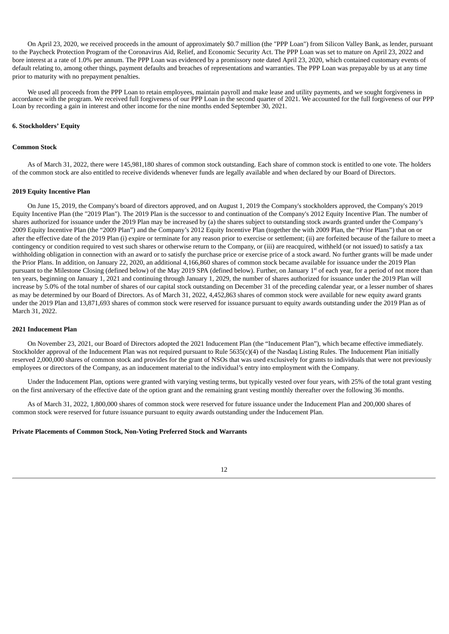On April 23, 2020, we received proceeds in the amount of approximately \$0.7 million (the "PPP Loan") from Silicon Valley Bank, as lender, pursuant to the Paycheck Protection Program of the Coronavirus Aid, Relief, and Economic Security Act. The PPP Loan was set to mature on April 23, 2022 and bore interest at a rate of 1.0% per annum. The PPP Loan was evidenced by a promissory note dated April 23, 2020, which contained customary events of default relating to, among other things, payment defaults and breaches of representations and warranties. The PPP Loan was prepayable by us at any time prior to maturity with no prepayment penalties.

We used all proceeds from the PPP Loan to retain employees, maintain payroll and make lease and utility payments, and we sought forgiveness in accordance with the program. We received full forgiveness of our PPP Loan in the second quarter of 2021. We accounted for the full forgiveness of our PPP Loan by recording a gain in interest and other income for the nine months ended September 30, 2021.

#### **6. Stockholders' Equity**

#### **Common Stock**

As of March 31, 2022, there were 145,981,180 shares of common stock outstanding. Each share of common stock is entitled to one vote. The holders of the common stock are also entitled to receive dividends whenever funds are legally available and when declared by our Board of Directors.

#### **2019 Equity Incentive Plan**

On June 15, 2019, the Company's board of directors approved, and on August 1, 2019 the Company's stockholders approved, the Company's 2019 Equity Incentive Plan (the "2019 Plan"). The 2019 Plan is the successor to and continuation of the Company's 2012 Equity Incentive Plan. The number of shares authorized for issuance under the 2019 Plan may be increased by (a) the shares subject to outstanding stock awards granted under the Company's 2009 Equity Incentive Plan (the "2009 Plan") and the Company's 2012 Equity Incentive Plan (together the with 2009 Plan, the "Prior Plans") that on or after the effective date of the 2019 Plan (i) expire or terminate for any reason prior to exercise or settlement; (ii) are forfeited because of the failure to meet a contingency or condition required to vest such shares or otherwise return to the Company, or (iii) are reacquired, withheld (or not issued) to satisfy a tax withholding obligation in connection with an award or to satisfy the purchase price or exercise price of a stock award. No further grants will be made under the Prior Plans. In addition, on January 22, 2020, an additional 4,166,860 shares of common stock became available for issuance under the 2019 Plan pursuant to the Milestone Closing (defined below) of the May 2019 SPA (defined below). Further, on January 1<sup>st</sup> of each year, for a period of not more than ten years, beginning on January 1, 2021 and continuing through January 1, 2029, the number of shares authorized for issuance under the 2019 Plan will increase by 5.0% of the total number of shares of our capital stock outstanding on December 31 of the preceding calendar year, or a lesser number of shares as may be determined by our Board of Directors. As of March 31, 2022, 4,452,863 shares of common stock were available for new equity award grants under the 2019 Plan and 13,871,693 shares of common stock were reserved for issuance pursuant to equity awards outstanding under the 2019 Plan as of March 31, 2022.

#### **2021 Inducement Plan**

On November 23, 2021, our Board of Directors adopted the 2021 Inducement Plan (the "Inducement Plan"), which became effective immediately. Stockholder approval of the Inducement Plan was not required pursuant to Rule 5635(c)(4) of the Nasdaq Listing Rules. The Inducement Plan initially reserved 2,000,000 shares of common stock and provides for the grant of NSOs that was used exclusively for grants to individuals that were not previously employees or directors of the Company, as an inducement material to the individual's entry into employment with the Company.

Under the Inducement Plan, options were granted with varying vesting terms, but typically vested over four years, with 25% of the total grant vesting on the first anniversary of the effective date of the option grant and the remaining grant vesting monthly thereafter over the following 36 months.

As of March 31, 2022, 1,800,000 shares of common stock were reserved for future issuance under the Inducement Plan and 200,000 shares of common stock were reserved for future issuance pursuant to equity awards outstanding under the Inducement Plan.

#### **Private Placements of Common Stock, Non-Voting Preferred Stock and Warrants**

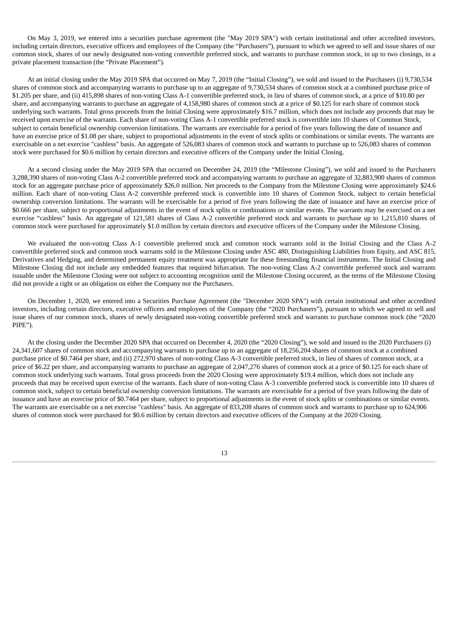On May 3, 2019, we entered into a securities purchase agreement (the "May 2019 SPA") with certain institutional and other accredited investors, including certain directors, executive officers and employees of the Company (the "Purchasers"), pursuant to which we agreed to sell and issue shares of our common stock, shares of our newly designated non-voting convertible preferred stock, and warrants to purchase common stock, in up to two closings, in a private placement transaction (the "Private Placement").

At an initial closing under the May 2019 SPA that occurred on May 7, 2019 (the "Initial Closing"), we sold and issued to the Purchasers (i) 9,730,534 shares of common stock and accompanying warrants to purchase up to an aggregate of 9,730,534 shares of common stock at a combined purchase price of \$1.205 per share, and (ii) 415,898 shares of non-voting Class A-1 convertible preferred stock, in lieu of shares of common stock, at a price of \$10.80 per share, and accompanying warrants to purchase an aggregate of 4,158,980 shares of common stock at a price of \$0.125 for each share of common stock underlying such warrants. Total gross proceeds from the Initial Closing were approximately \$16.7 million, which does not include any proceeds that may be received upon exercise of the warrants. Each share of non-voting Class A-1 convertible preferred stock is convertible into 10 shares of Common Stock, subject to certain beneficial ownership conversion limitations. The warrants are exercisable for a period of five years following the date of issuance and have an exercise price of \$1.08 per share, subject to proportional adjustments in the event of stock splits or combinations or similar events. The warrants are exercisable on a net exercise "cashless" basis. An aggregate of 526,083 shares of common stock and warrants to purchase up to 526,083 shares of common stock were purchased for \$0.6 million by certain directors and executive officers of the Company under the Initial Closing.

At a second closing under the May 2019 SPA that occurred on December 24, 2019 (the "Milestone Closing"), we sold and issued to the Purchasers 3,288,390 shares of non-voting Class A-2 convertible preferred stock and accompanying warrants to purchase an aggregate of 32,883,900 shares of common stock for an aggregate purchase price of approximately \$26.0 million. Net proceeds to the Company from the Milestone Closing were approximately \$24.6 million. Each share of non-voting Class A-2 convertible preferred stock is convertible into 10 shares of Common Stock, subject to certain beneficial ownership conversion limitations. The warrants will be exercisable for a period of five years following the date of issuance and have an exercise price of \$0.666 per share, subject to proportional adjustments in the event of stock splits or combinations or similar events. The warrants may be exercised on a net exercise "cashless" basis. An aggregate of 121,581 shares of Class A-2 convertible preferred stock and warrants to purchase up to 1,215,810 shares of common stock were purchased for approximately \$1.0 million by certain directors and executive officers of the Company under the Milestone Closing.

We evaluated the non-voting Class A-1 convertible preferred stock and common stock warrants sold in the Initial Closing and the Class A-2 convertible preferred stock and common stock warrants sold in the Milestone Closing under ASC 480, Distinguishing Liabilities from Equity, and ASC 815, Derivatives and Hedging, and determined permanent equity treatment was appropriate for these freestanding financial instruments. The Initial Closing and Milestone Closing did not include any embedded features that required bifurcation. The non-voting Class A-2 convertible preferred stock and warrants issuable under the Milestone Closing were not subject to accounting recognition until the Milestone Closing occurred, as the terms of the Milestone Closing did not provide a right or an obligation on either the Company nor the Purchasers.

On December 1, 2020, we entered into a Securities Purchase Agreement (the "December 2020 SPA") with certain institutional and other accredited investors, including certain directors, executive officers and employees of the Company (the "2020 Purchasers"), pursuant to which we agreed to sell and issue shares of our common stock, shares of newly designated non-voting convertible preferred stock and warrants to purchase common stock (the "2020 PIPE").

At the closing under the December 2020 SPA that occurred on December 4, 2020 (the "2020 Closing"), we sold and issued to the 2020 Purchasers (i) 24,341,607 shares of common stock and accompanying warrants to purchase up to an aggregate of 18,256,204 shares of common stock at a combined purchase price of \$0.7464 per share, and (ii) 272,970 shares of non-voting Class A-3 convertible preferred stock, in lieu of shares of common stock, at a price of \$6.22 per share, and accompanying warrants to purchase an aggregate of 2,047,276 shares of common stock at a price of \$0.125 for each share of common stock underlying such warrants. Total gross proceeds from the 2020 Closing were approximately \$19.4 million, which does not include any proceeds that may be received upon exercise of the warrants. Each share of non-voting Class A-3 convertible preferred stock is convertible into 10 shares of common stock, subject to certain beneficial ownership conversion limitations. The warrants are exercisable for a period of five years following the date of issuance and have an exercise price of \$0.7464 per share, subject to proportional adjustments in the event of stock splits or combinations or similar events. The warrants are exercisable on a net exercise "cashless" basis. An aggregate of 833,208 shares of common stock and warrants to purchase up to 624,906 shares of common stock were purchased for \$0.6 million by certain directors and executive officers of the Company at the 2020 Closing.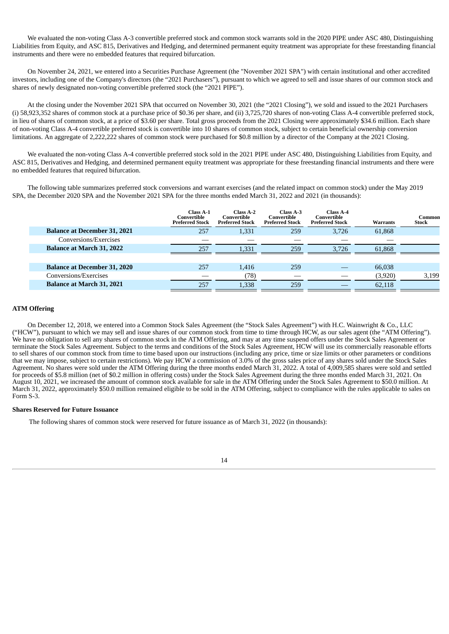We evaluated the non-voting Class A-3 convertible preferred stock and common stock warrants sold in the 2020 PIPE under ASC 480, Distinguishing Liabilities from Equity, and ASC 815, Derivatives and Hedging, and determined permanent equity treatment was appropriate for these freestanding financial instruments and there were no embedded features that required bifurcation.

On November 24, 2021, we entered into a Securities Purchase Agreement (the "November 2021 SPA") with certain institutional and other accredited investors, including one of the Company's directors (the "2021 Purchasers"), pursuant to which we agreed to sell and issue shares of our common stock and shares of newly designated non-voting convertible preferred stock (the "2021 PIPE").

At the closing under the November 2021 SPA that occurred on November 30, 2021 (the "2021 Closing"), we sold and issued to the 2021 Purchasers (i) 58,923,352 shares of common stock at a purchase price of \$0.36 per share, and (ii) 3,725,720 shares of non-voting Class A-4 convertible preferred stock, in lieu of shares of common stock, at a price of \$3.60 per share. Total gross proceeds from the 2021 Closing were approximately \$34.6 million. Each share of non-voting Class A-4 convertible preferred stock is convertible into 10 shares of common stock, subject to certain beneficial ownership conversion limitations. An aggregate of 2,222,222 shares of common stock were purchased for \$0.8 million by a director of the Company at the 2021 Closing.

We evaluated the non-voting Class A-4 convertible preferred stock sold in the 2021 PIPE under ASC 480, Distinguishing Liabilities from Equity, and ASC 815, Derivatives and Hedging, and determined permanent equity treatment was appropriate for these freestanding financial instruments and there were no embedded features that required bifurcation.

The following table summarizes preferred stock conversions and warrant exercises (and the related impact on common stock) under the May 2019 SPA, the December 2020 SPA and the November 2021 SPA for the three months ended March 31, 2022 and 2021 (in thousands):

|                                     | Class A-1<br>Convertible<br><b>Preferred Stock</b> | Class A-2<br>Convertible<br><b>Preferred Stock</b> | Class A-3<br>Convertible<br><b>Preferred Stock</b> | Class A-4<br>Convertible<br><b>Preferred Stock</b> | <b>Warrants</b> | Common<br><b>Stock</b> |
|-------------------------------------|----------------------------------------------------|----------------------------------------------------|----------------------------------------------------|----------------------------------------------------|-----------------|------------------------|
| <b>Balance at December 31, 2021</b> | 257                                                | 1,331                                              | 259                                                | 3.726                                              | 61.868          |                        |
| Conversions/Exercises               |                                                    |                                                    |                                                    |                                                    |                 |                        |
| <b>Balance at March 31, 2022</b>    | 257                                                | 1.331                                              | 259                                                | 3.726                                              | 61,868          |                        |
|                                     |                                                    |                                                    |                                                    |                                                    |                 |                        |
| <b>Balance at December 31, 2020</b> | 257                                                | 1.416                                              | 259                                                |                                                    | 66,038          |                        |
| Conversions/Exercises               |                                                    | (78)                                               |                                                    |                                                    | (3,920)         | 3,199                  |
| <b>Balance at March 31, 2021</b>    | 257                                                | 1.338                                              | 259                                                |                                                    | 62,118          |                        |
|                                     |                                                    |                                                    |                                                    |                                                    |                 |                        |

## **ATM Offering**

On December 12, 2018, we entered into a Common Stock Sales Agreement (the "Stock Sales Agreement") with H.C. Wainwright & Co., LLC ("HCW"), pursuant to which we may sell and issue shares of our common stock from time to time through HCW, as our sales agent (the "ATM Offering"). We have no obligation to sell any shares of common stock in the ATM Offering, and may at any time suspend offers under the Stock Sales Agreement or terminate the Stock Sales Agreement. Subject to the terms and conditions of the Stock Sales Agreement, HCW will use its commercially reasonable efforts to sell shares of our common stock from time to time based upon our instructions (including any price, time or size limits or other parameters or conditions that we may impose, subject to certain restrictions). We pay HCW a commission of 3.0% of the gross sales price of any shares sold under the Stock Sales Agreement. No shares were sold under the ATM Offering during the three months ended March 31, 2022. A total of 4,009,585 shares were sold and settled for proceeds of \$5.8 million (net of \$0.2 million in offering costs) under the Stock Sales Agreement during the three months ended March 31, 2021. On August 10, 2021, we increased the amount of common stock available for sale in the ATM Offering under the Stock Sales Agreement to \$50.0 million. At March 31, 2022, approximately \$50.0 million remained eligible to be sold in the ATM Offering, subject to compliance with the rules applicable to sales on Form S-3.

## **Shares Reserved for Future Issuance**

The following shares of common stock were reserved for future issuance as of March 31, 2022 (in thousands):

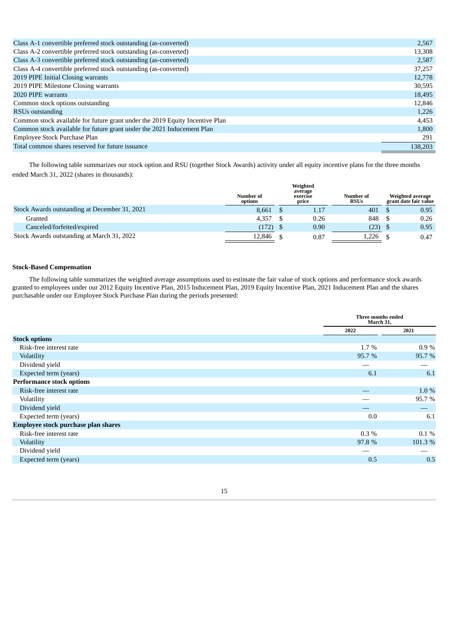| Total common shares reserved for future issuance                             | 138,203 |
|------------------------------------------------------------------------------|---------|
| Employee Stock Purchase Plan                                                 | 291     |
| Common stock available for future grant under the 2021 Inducement Plan       | 1,800   |
| Common stock available for future grant under the 2019 Equity Incentive Plan | 4,453   |
| RSU <sub>s</sub> outstanding                                                 | 1,226   |
| Common stock options outstanding                                             | 12.846  |
| 2020 PIPE warrants                                                           | 18,495  |
| 2019 PIPE Milestone Closing warrants                                         | 30,595  |
| 2019 PIPE Initial Closing warrants                                           | 12,778  |
| Class A-4 convertible preferred stock outstanding (as-converted)             | 37,257  |
| Class A-3 convertible preferred stock outstanding (as-converted)             | 2,587   |
| Class A-2 convertible preferred stock outstanding (as-converted)             | 13,308  |
| Class A-1 convertible preferred stock outstanding (as-converted)             | 2,567   |
|                                                                              |         |

The following table summarizes our stock option and RSU (together Stock Awards) activity under all equity incentive plans for the three months ended March 31, 2022 (shares in thousands):

|                                               | Weighted<br>average<br><b>Number of</b><br>exercise<br>options<br>price |  | <b>Number of</b><br><b>RSUs</b> | Weighted average<br>grant date fair value |  |      |
|-----------------------------------------------|-------------------------------------------------------------------------|--|---------------------------------|-------------------------------------------|--|------|
| Stock Awards outstanding at December 31, 2021 | 8.661                                                                   |  | 1.17                            | 401                                       |  | 0.95 |
| Granted                                       | 4.357                                                                   |  | 0.26                            | 848                                       |  | 0.26 |
| Canceled/forfeited/expired                    | (172)                                                                   |  | 0.90                            | (23)                                      |  | 0.95 |
| Stock Awards outstanding at March 31, 2022    | 12,846                                                                  |  | 0.87                            | 1,226                                     |  | 0.47 |

## **Stock-Based Compensation**

The following table summarizes the weighted average assumptions used to estimate the fair value of stock options and performance stock awards granted to employees under our 2012 Equity Incentive Plan, 2015 Inducement Plan, 2019 Equity Incentive Plan, 2021 Inducement Plan and the shares purchasable under our Employee Stock Purchase Plan during the periods presented:

|                                     | Three months ended<br>March 31, |         |
|-------------------------------------|---------------------------------|---------|
|                                     | 2022                            | 2021    |
| <b>Stock options</b>                |                                 |         |
| Risk-free interest rate             | $1.7\%$                         | $0.9\%$ |
| Volatility                          | 95.7 %                          | 95.7%   |
| Dividend yield                      |                                 |         |
| Expected term (years)               | 6.1                             | 6.1     |
| <b>Performance stock options</b>    |                                 |         |
| Risk-free interest rate             |                                 | 1.0 %   |
| Volatility                          |                                 | 95.7%   |
| Dividend yield                      |                                 |         |
| Expected term (years)               | 0.0                             | 6.1     |
| Employee stock purchase plan shares |                                 |         |
| Risk-free interest rate             | $0.3\%$                         | $0.1\%$ |
| Volatility                          | 97.8 %                          | 101.3%  |
| Dividend yield                      |                                 |         |
| Expected term (years)               | 0.5                             | 0.5     |

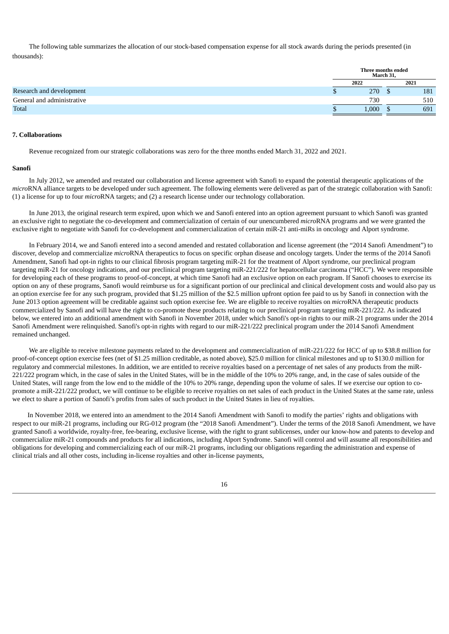The following table summarizes the allocation of our stock-based compensation expense for all stock awards during the periods presented (in thousands):

| Three months ended<br>March 31, |  |      |
|---------------------------------|--|------|
| 2022                            |  | 2021 |
| 270                             |  | 181  |
| 730                             |  | 510  |
| 1.000                           |  | 691  |
|                                 |  |      |

#### **7. Collaborations**

Revenue recognized from our strategic collaborations was zero for the three months ended March 31, 2022 and 2021.

#### **Sanofi**

In July 2012, we amended and restated our collaboration and license agreement with Sanofi to expand the potential therapeutic applications of the *micro*RNA alliance targets to be developed under such agreement. The following elements were delivered as part of the strategic collaboration with Sanofi: (1) a license for up to four *micro*RNA targets; and (2) a research license under our technology collaboration.

In June 2013, the original research term expired, upon which we and Sanofi entered into an option agreement pursuant to which Sanofi was granted an exclusive right to negotiate the co-development and commercialization of certain of our unencumbered *micro*RNA programs and we were granted the exclusive right to negotiate with Sanofi for co-development and commercialization of certain miR-21 anti-miRs in oncology and Alport syndrome.

In February 2014, we and Sanofi entered into a second amended and restated collaboration and license agreement (the "2014 Sanofi Amendment") to discover, develop and commercialize *micro*RNA therapeutics to focus on specific orphan disease and oncology targets. Under the terms of the 2014 Sanofi Amendment, Sanofi had opt-in rights to our clinical fibrosis program targeting miR-21 for the treatment of Alport syndrome, our preclinical program targeting miR-21 for oncology indications, and our preclinical program targeting miR-221/222 for hepatocellular carcinoma ("HCC"). We were responsible for developing each of these programs to proof-of-concept, at which time Sanofi had an exclusive option on each program. If Sanofi chooses to exercise its option on any of these programs, Sanofi would reimburse us for a significant portion of our preclinical and clinical development costs and would also pay us an option exercise fee for any such program, provided that \$1.25 million of the \$2.5 million upfront option fee paid to us by Sanofi in connection with the June 2013 option agreement will be creditable against such option exercise fee. We are eligible to receive royalties on *micro*RNA therapeutic products commercialized by Sanofi and will have the right to co-promote these products relating to our preclinical program targeting miR-221/222. As indicated below, we entered into an additional amendment with Sanofi in November 2018, under which Sanofi's opt-in rights to our miR-21 programs under the 2014 Sanofi Amendment were relinquished. Sanofi's opt-in rights with regard to our miR-221/222 preclinical program under the 2014 Sanofi Amendment remained unchanged.

We are eligible to receive milestone payments related to the development and commercialization of miR-221/222 for HCC of up to \$38.8 million for proof-of-concept option exercise fees (net of \$1.25 million creditable, as noted above), \$25.0 million for clinical milestones and up to \$130.0 million for regulatory and commercial milestones. In addition, we are entitled to receive royalties based on a percentage of net sales of any products from the miR-221/222 program which, in the case of sales in the United States, will be in the middle of the 10% to 20% range, and, in the case of sales outside of the United States, will range from the low end to the middle of the 10% to 20% range, depending upon the volume of sales. If we exercise our option to copromote a miR-221/222 product, we will continue to be eligible to receive royalties on net sales of each product in the United States at the same rate, unless we elect to share a portion of Sanofi's profits from sales of such product in the United States in lieu of royalties.

In November 2018, we entered into an amendment to the 2014 Sanofi Amendment with Sanofi to modify the parties' rights and obligations with respect to our miR-21 programs, including our RG-012 program (the "2018 Sanofi Amendment"). Under the terms of the 2018 Sanofi Amendment, we have granted Sanofi a worldwide, royalty-free, fee-bearing, exclusive license, with the right to grant sublicenses, under our know-how and patents to develop and commercialize miR-21 compounds and products for all indications, including Alport Syndrome. Sanofi will control and will assume all responsibilities and obligations for developing and commercializing each of our miR-21 programs, including our obligations regarding the administration and expense of clinical trials and all other costs, including in-license royalties and other in-license payments,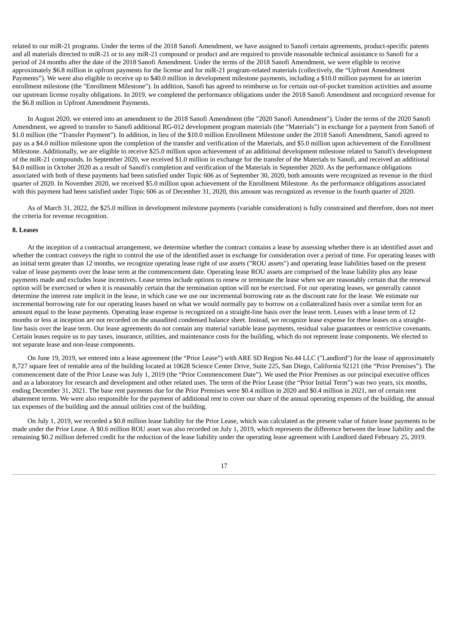related to our miR-21 programs. Under the terms of the 2018 Sanofi Amendment, we have assigned to Sanofi certain agreements, product-specific patents and all materials directed to miR-21 or to any miR-21 compound or product and are required to provide reasonable technical assistance to Sanofi for a period of 24 months after the date of the 2018 Sanofi Amendment. Under the terms of the 2018 Sanofi Amendment, we were eligible to receive approximately \$6.8 million in upfront payments for the license and for miR-21 program-related materials (collectively, the "Upfront Amendment Payments"). We were also eligible to receive up to \$40.0 million in development milestone payments, including a \$10.0 million payment for an interim enrollment milestone (the "Enrollment Milestone"). In addition, Sanofi has agreed to reimburse us for certain out-of-pocket transition activities and assume our upstream license royalty obligations. In 2019, we completed the performance obligations under the 2018 Sanofi Amendment and recognized revenue for the \$6.8 million in Upfront Amendment Payments.

In August 2020, we entered into an amendment to the 2018 Sanofi Amendment (the "2020 Sanofi Amendment"). Under the terms of the 2020 Sanofi Amendment, we agreed to transfer to Sanofi additional RG-012 development program materials (the "Materials") in exchange for a payment from Sanofi of \$1.0 million (the "Transfer Payment"). In addition, in lieu of the \$10.0 million Enrollment Milestone under the 2018 Sanofi Amendment, Sanofi agreed to pay us a \$4.0 million milestone upon the completion of the transfer and verification of the Materials, and \$5.0 million upon achievement of the Enrollment Milestone. Additionally, we are eligible to receive \$25.0 million upon achievement of an additional development milestone related to Sanofi's development of the miR-21 compounds. In September 2020, we received \$1.0 million in exchange for the transfer of the Materials to Sanofi, and received an additional \$4.0 million in October 2020 as a result of Sanofi's completion and verification of the Materials in September 2020. As the performance obligations associated with both of these payments had been satisfied under Topic 606 as of September 30, 2020, both amounts were recognized as revenue in the third quarter of 2020. In November 2020, we received \$5.0 million upon achievement of the Enrollment Milestone. As the performance obligations associated with this payment had been satisfied under Topic 606 as of December 31, 2020, this amount was recognized as revenue in the fourth quarter of 2020.

As of March 31, 2022, the \$25.0 million in development milestone payments (variable consideration) is fully constrained and therefore, does not meet the criteria for revenue recognition.

#### **8. Leases**

At the inception of a contractual arrangement, we determine whether the contract contains a lease by assessing whether there is an identified asset and whether the contract conveys the right to control the use of the identified asset in exchange for consideration over a period of time. For operating leases with an initial term greater than 12 months, we recognize operating lease right of use assets ("ROU assets") and operating lease liabilities based on the present value of lease payments over the lease term at the commencement date. Operating lease ROU assets are comprised of the lease liability plus any lease payments made and excludes lease incentives. Lease terms include options to renew or terminate the lease when we are reasonably certain that the renewal option will be exercised or when it is reasonably certain that the termination option will not be exercised. For our operating leases, we generally cannot determine the interest rate implicit in the lease, in which case we use our incremental borrowing rate as the discount rate for the lease. We estimate our incremental borrowing rate for our operating leases based on what we would normally pay to borrow on a collateralized basis over a similar term for an amount equal to the lease payments. Operating lease expense is recognized on a straight-line basis over the lease term. Leases with a lease term of 12 months or less at inception are not recorded on the unaudited condensed balance sheet. Instead, we recognize lease expense for these leases on a straightline basis over the lease term. Our lease agreements do not contain any material variable lease payments, residual value guarantees or restrictive covenants. Certain leases require us to pay taxes, insurance, utilities, and maintenance costs for the building, which do not represent lease components. We elected to not separate lease and non-lease components.

On June 19, 2019, we entered into a lease agreement (the "Prior Lease") with ARE SD Region No.44 LLC ("Landlord") for the lease of approximately 8,727 square feet of rentable area of the building located at 10628 Science Center Drive, Suite 225, San Diego, California 92121 (the "Prior Premises"). The commencement date of the Prior Lease was July 1, 2019 (the "Prior Commencement Date"). We used the Prior Premises as our principal executive offices and as a laboratory for research and development and other related uses. The term of the Prior Lease (the "Prior Initial Term") was two years, six months, ending December 31, 2021. The base rent payments due for the Prior Premises were \$0.4 million in 2020 and \$0.4 million in 2021, net of certain rent abatement terms. We were also responsible for the payment of additional rent to cover our share of the annual operating expenses of the building, the annual tax expenses of the building and the annual utilities cost of the building.

On July 1, 2019, we recorded a \$0.8 million lease liability for the Prior Lease, which was calculated as the present value of future lease payments to be made under the Prior Lease. A \$0.6 million ROU asset was also recorded on July 1, 2019, which represents the difference between the lease liability and the remaining \$0.2 million deferred credit for the reduction of the lease liability under the operating lease agreement with Landlord dated February 25, 2019.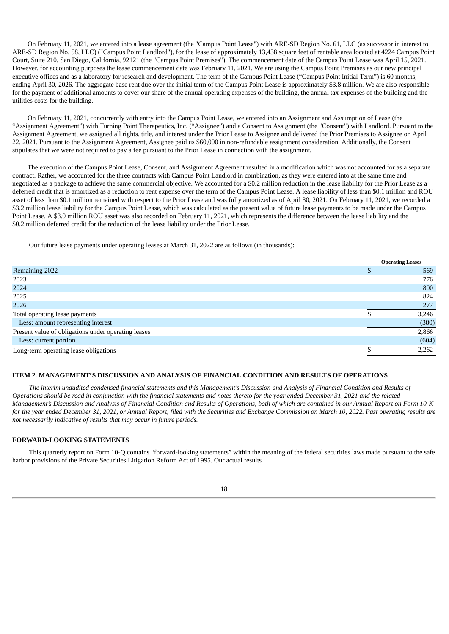On February 11, 2021, we entered into a lease agreement (the "Campus Point Lease") with ARE-SD Region No. 61, LLC (as successor in interest to ARE-SD Region No. 58, LLC) ("Campus Point Landlord"), for the lease of approximately 13,438 square feet of rentable area located at 4224 Campus Point Court, Suite 210, San Diego, California, 92121 (the "Campus Point Premises"). The commencement date of the Campus Point Lease was April 15, 2021. However, for accounting purposes the lease commencement date was February 11, 2021. We are using the Campus Point Premises as our new principal executive offices and as a laboratory for research and development. The term of the Campus Point Lease ("Campus Point Initial Term") is 60 months, ending April 30, 2026. The aggregate base rent due over the initial term of the Campus Point Lease is approximately \$3.8 million. We are also responsible for the payment of additional amounts to cover our share of the annual operating expenses of the building, the annual tax expenses of the building and the utilities costs for the building.

On February 11, 2021, concurrently with entry into the Campus Point Lease, we entered into an Assignment and Assumption of Lease (the "Assignment Agreement") with Turning Point Therapeutics, Inc. ("Assignee") and a Consent to Assignment (the "Consent") with Landlord. Pursuant to the Assignment Agreement, we assigned all rights, title, and interest under the Prior Lease to Assignee and delivered the Prior Premises to Assignee on April 22, 2021. Pursuant to the Assignment Agreement, Assignee paid us \$60,000 in non-refundable assignment consideration. Additionally, the Consent stipulates that we were not required to pay a fee pursuant to the Prior Lease in connection with the assignment.

The execution of the Campus Point Lease, Consent, and Assignment Agreement resulted in a modification which was not accounted for as a separate contract. Rather, we accounted for the three contracts with Campus Point Landlord in combination, as they were entered into at the same time and negotiated as a package to achieve the same commercial objective. We accounted for a \$0.2 million reduction in the lease liability for the Prior Lease as a deferred credit that is amortized as a reduction to rent expense over the term of the Campus Point Lease. A lease liability of less than \$0.1 million and ROU asset of less than \$0.1 million remained with respect to the Prior Lease and was fully amortized as of April 30, 2021. On February 11, 2021, we recorded a \$3.2 million lease liability for the Campus Point Lease, which was calculated as the present value of future lease payments to be made under the Campus Point Lease. A \$3.0 million ROU asset was also recorded on February 11, 2021, which represents the difference between the lease liability and the \$0.2 million deferred credit for the reduction of the lease liability under the Prior Lease.

Our future lease payments under operating leases at March 31, 2022 are as follows (in thousands):

|                                                     | <b>Operating Leases</b> |
|-----------------------------------------------------|-------------------------|
| Remaining 2022                                      | 569                     |
| 2023                                                | 776                     |
| 2024                                                | 800                     |
| 2025                                                | 824                     |
| 2026                                                | 277                     |
| Total operating lease payments                      | 3,246                   |
| Less: amount representing interest                  | (380)                   |
| Present value of obligations under operating leases | 2,866                   |
| Less: current portion                               | (604)                   |
| Long-term operating lease obligations               | 2,262                   |

#### <span id="page-19-0"></span>**ITEM 2. MANAGEMENT'S DISCUSSION AND ANALYSIS OF FINANCIAL CONDITION AND RESULTS OF OPERATIONS**

The interim unaudited condensed financial statements and this Management's Discussion and Analysis of Financial Condition and Results of Operations should be read in conjunction with the financial statements and notes thereto for the year ended December 31, 2021 and the related Management's Discussion and Analysis of Financial Condition and Results of Operations, both of which are contained in our Annual Report on Form 10-K for the year ended December 31, 2021, or Annual Report, filed with the Securities and Exchange Commission on March 10, 2022. Past operating results are *not necessarily indicative of results that may occur in future periods.*

## **FORWARD-LOOKING STATEMENTS**

This quarterly report on Form 10-Q contains "forward-looking statements" within the meaning of the federal securities laws made pursuant to the safe harbor provisions of the Private Securities Litigation Reform Act of 1995. Our actual results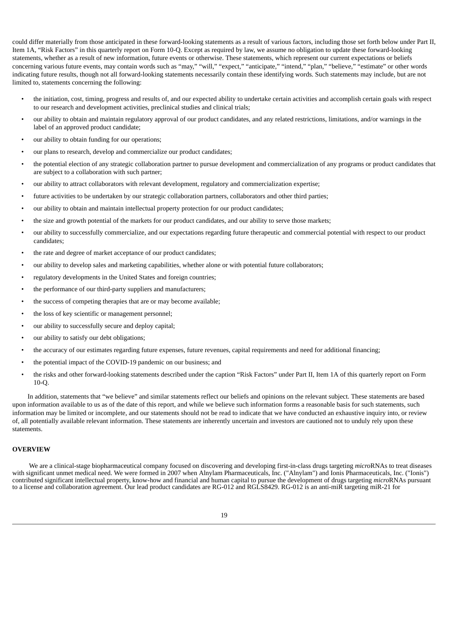could differ materially from those anticipated in these forward-looking statements as a result of various factors, including those set forth below under Part II, Item 1A, "Risk Factors" in this quarterly report on Form 10-Q. Except as required by law, we assume no obligation to update these forward-looking statements, whether as a result of new information, future events or otherwise. These statements, which represent our current expectations or beliefs concerning various future events, may contain words such as "may," "will," "expect," "anticipate," "intend," "plan," "believe," "estimate" or other words indicating future results, though not all forward-looking statements necessarily contain these identifying words. Such statements may include, but are not limited to, statements concerning the following:

- the initiation, cost, timing, progress and results of, and our expected ability to undertake certain activities and accomplish certain goals with respect to our research and development activities, preclinical studies and clinical trials;
- our ability to obtain and maintain regulatory approval of our product candidates, and any related restrictions, limitations, and/or warnings in the label of an approved product candidate;
- our ability to obtain funding for our operations:
- our plans to research, develop and commercialize our product candidates;
- the potential election of any strategic collaboration partner to pursue development and commercialization of any programs or product candidates that are subject to a collaboration with such partner;
- our ability to attract collaborators with relevant development, regulatory and commercialization expertise;
- future activities to be undertaken by our strategic collaboration partners, collaborators and other third parties;
- our ability to obtain and maintain intellectual property protection for our product candidates;
- the size and growth potential of the markets for our product candidates, and our ability to serve those markets;
- our ability to successfully commercialize, and our expectations regarding future therapeutic and commercial potential with respect to our product candidates;
- the rate and degree of market acceptance of our product candidates;
- our ability to develop sales and marketing capabilities, whether alone or with potential future collaborators;
- regulatory developments in the United States and foreign countries;
- the performance of our third-party suppliers and manufacturers;
- the success of competing therapies that are or may become available;
- the loss of key scientific or management personnel;
- our ability to successfully secure and deploy capital;
- our ability to satisfy our debt obligations;
- the accuracy of our estimates regarding future expenses, future revenues, capital requirements and need for additional financing;
- the potential impact of the COVID-19 pandemic on our business; and
- the risks and other forward-looking statements described under the caption "Risk Factors" under Part II, Item 1A of this quarterly report on Form 10-Q.

In addition, statements that "we believe" and similar statements reflect our beliefs and opinions on the relevant subject. These statements are based upon information available to us as of the date of this report, and while we believe such information forms a reasonable basis for such statements, such information may be limited or incomplete, and our statements should not be read to indicate that we have conducted an exhaustive inquiry into, or review of, all potentially available relevant information. These statements are inherently uncertain and investors are cautioned not to unduly rely upon these statements.

## **OVERVIEW**

We are a clinical-stage biopharmaceutical company focused on discovering and developing first-in-class drugs targeting *micro*RNAs to treat diseases with significant unmet medical need. We were formed in 2007 when Alnylam Pharmaceuticals, Inc. ("Alnylam") and Ionis Pharmaceuticals, Inc. ("Ionis") contributed significant intellectual property, know-how and financial and human capital to pursue the development of drugs targeting *micro*RNAs pursuant to a license and collaboration agreement. Our lead product candidates are RG-012 and RGLS8429. RG-012 is an anti-miR targeting miR-21 for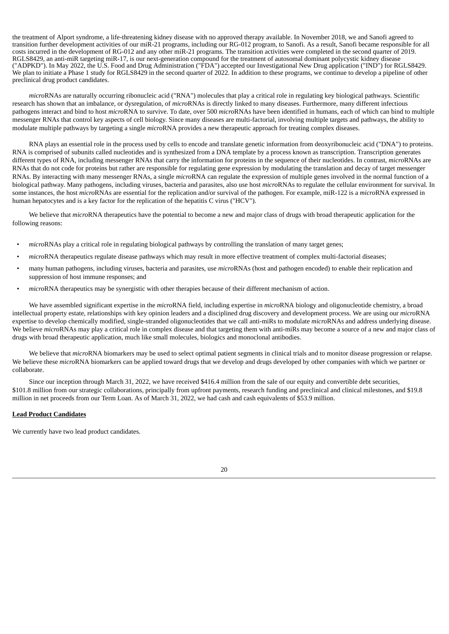the treatment of Alport syndrome, a life-threatening kidney disease with no approved therapy available. In November 2018, we and Sanofi agreed to transition further development activities of our miR-21 programs, including our RG-012 program, to Sanofi. As a result, Sanofi became responsible for all costs incurred in the development of RG-012 and any other miR-21 programs. The transition activities were completed in the second quarter of 2019. RGLS8429, an anti-miR targeting miR-17, is our next-generation compound for the treatment of autosomal dominant polycystic kidney disease ("ADPKD"). In May 2022, the U.S. Food and Drug Administration ("FDA") accepted our Investigational New Drug application ("IND") for RGLS8429. We plan to initiate a Phase 1 study for RGLS8429 in the second quarter of 2022. In addition to these programs, we continue to develop a pipeline of other preclinical drug product candidates.

*micro*RNAs are naturally occurring ribonucleic acid ("RNA") molecules that play a critical role in regulating key biological pathways. Scientific research has shown that an imbalance, or dysregulation, of *micro*RNAs is directly linked to many diseases. Furthermore, many different infectious pathogens interact and bind to host *micro*RNA to survive. To date, over 500 *micro*RNAs have been identified in humans, each of which can bind to multiple messenger RNAs that control key aspects of cell biology. Since many diseases are multi-factorial, involving multiple targets and pathways, the ability to modulate multiple pathways by targeting a single *micro*RNA provides a new therapeutic approach for treating complex diseases.

RNA plays an essential role in the process used by cells to encode and translate genetic information from deoxyribonucleic acid ("DNA") to proteins. RNA is comprised of subunits called nucleotides and is synthesized from a DNA template by a process known as transcription. Transcription generates different types of RNA, including messenger RNAs that carry the information for proteins in the sequence of their nucleotides. In contrast, *micro*RNAs are RNAs that do not code for proteins but rather are responsible for regulating gene expression by modulating the translation and decay of target messenger RNAs. By interacting with many messenger RNAs, a single *micro*RNA can regulate the expression of multiple genes involved in the normal function of a biological pathway. Many pathogens, including viruses, bacteria and parasites, also use host *micro*RNAs to regulate the cellular environment for survival. In some instances, the host *micro*RNAs are essential for the replication and/or survival of the pathogen. For example, miR-122 is a *micro*RNA expressed in human hepatocytes and is a key factor for the replication of the hepatitis C virus ("HCV").

We believe that *micro*RNA therapeutics have the potential to become a new and major class of drugs with broad therapeutic application for the following reasons:

- *micro*RNAs play a critical role in regulating biological pathways by controlling the translation of many target genes;
- *micro*RNA therapeutics regulate disease pathways which may result in more effective treatment of complex multi-factorial diseases;
- many human pathogens, including viruses, bacteria and parasites, use *micro*RNAs (host and pathogen encoded) to enable their replication and suppression of host immune responses; and
- *• micro*RNA therapeutics may be synergistic with other therapies because of their different mechanism of action.

We have assembled significant expertise in the *micro*RNA field, including expertise in *micro*RNA biology and oligonucleotide chemistry, a broad intellectual property estate, relationships with key opinion leaders and a disciplined drug discovery and development process. We are using our *micro*RNA expertise to develop chemically modified, single-stranded oligonucleotides that we call anti-miRs to modulate *micro*RNAs and address underlying disease. We believe *micro*RNAs may play a critical role in complex disease and that targeting them with anti-miRs may become a source of a new and major class of drugs with broad therapeutic application, much like small molecules, biologics and monoclonal antibodies.

We believe that *micro*RNA biomarkers may be used to select optimal patient segments in clinical trials and to monitor disease progression or relapse. We believe these *micro*RNA biomarkers can be applied toward drugs that we develop and drugs developed by other companies with which we partner or collaborate.

Since our inception through March 31, 2022, we have received \$416.4 million from the sale of our equity and convertible debt securities, \$101.8 million from our strategic collaborations, principally from upfront payments, research funding and preclinical and clinical milestones, and \$19.8 million in net proceeds from our Term Loan. As of March 31, 2022, we had cash and cash equivalents of \$53.9 million.

## **Lead Product Candidates**

We currently have two lead product candidates.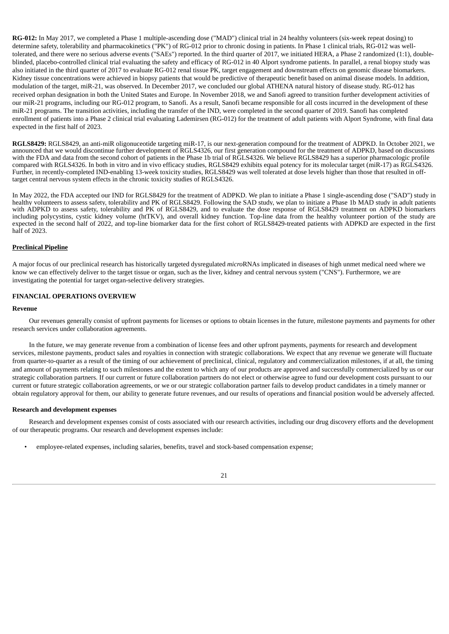**RG-012:** In May 2017, we completed a Phase 1 multiple-ascending dose ("MAD") clinical trial in 24 healthy volunteers (six-week repeat dosing) to determine safety, tolerability and pharmacokinetics ("PK") of RG-012 prior to chronic dosing in patients. In Phase 1 clinical trials, RG-012 was welltolerated, and there were no serious adverse events ("SAEs") reported. In the third quarter of 2017, we initiated HERA, a Phase 2 randomized (1:1), doubleblinded, placebo-controlled clinical trial evaluating the safety and efficacy of RG-012 in 40 Alport syndrome patients. In parallel, a renal biopsy study was also initiated in the third quarter of 2017 to evaluate RG-012 renal tissue PK, target engagement and downstream effects on genomic disease biomarkers. Kidney tissue concentrations were achieved in biopsy patients that would be predictive of therapeutic benefit based on animal disease models. In addition, modulation of the target, miR-21, was observed. In December 2017, we concluded our global ATHENA natural history of disease study. RG-012 has received orphan designation in both the United States and Europe. In November 2018, we and Sanofi agreed to transition further development activities of our miR-21 programs, including our RG-012 program, to Sanofi. As a result, Sanofi became responsible for all costs incurred in the development of these miR-21 programs. The transition activities, including the transfer of the IND, were completed in the second quarter of 2019. Sanofi has completed enrollment of patients into a Phase 2 clinical trial evaluating Lademirsen (RG-012) for the treatment of adult patients with Alport Syndrome, with final data expected in the first half of 2023.

**RGLS8429:** RGLS8429, an anti-miR oligonuceotide targeting miR-17, is our next-generation compound for the treatment of ADPKD. In October 2021, we announced that we would discontinue further development of RGLS4326, our first generation compound for the treatment of ADPKD, based on discussions with the FDA and data from the second cohort of patients in the Phase 1b trial of RGLS4326. We believe RGLS8429 has a superior pharmacologic profile compared with RGLS4326. In both in vitro and in vivo efficacy studies, RGLS8429 exhibits equal potency for its molecular target (miR-17) as RGLS4326. Further, in recently-completed IND-enabling 13-week toxicity studies, RGLS8429 was well tolerated at dose levels higher than those that resulted in offtarget central nervous system effects in the chronic toxicity studies of RGLS4326.

In May 2022, the FDA accepted our IND for RGLS8429 for the treatment of ADPKD. We plan to initiate a Phase 1 single-ascending dose ("SAD") study in healthy volunteers to assess safety, tolerability and PK of RGLS8429. Following the SAD study, we plan to initiate a Phase 1b MAD study in adult patients with ADPKD to assess safety, tolerability and PK of RGLS8429, and to evaluate the dose response of RGLS8429 treatment on ADPKD biomarkers including polycystins, cystic kidney volume (htTKV), and overall kidney function. Top-line data from the healthy volunteer portion of the study are expected in the second half of 2022, and top-line biomarker data for the first cohort of RGLS8429-treated patients with ADPKD are expected in the first half of 2023.

## **Preclinical Pipeline**

A major focus of our preclinical research has historically targeted dysregulated *micro*RNAs implicated in diseases of high unmet medical need where we know we can effectively deliver to the target tissue or organ, such as the liver, kidney and central nervous system ("CNS"). Furthermore, we are investigating the potential for target organ-selective delivery strategies.

## **FINANCIAL OPERATIONS OVERVIEW**

### **Revenue**

Our revenues generally consist of upfront payments for licenses or options to obtain licenses in the future, milestone payments and payments for other research services under collaboration agreements.

In the future, we may generate revenue from a combination of license fees and other upfront payments, payments for research and development services, milestone payments, product sales and royalties in connection with strategic collaborations. We expect that any revenue we generate will fluctuate from quarter-to-quarter as a result of the timing of our achievement of preclinical, clinical, regulatory and commercialization milestones, if at all, the timing and amount of payments relating to such milestones and the extent to which any of our products are approved and successfully commercialized by us or our strategic collaboration partners. If our current or future collaboration partners do not elect or otherwise agree to fund our development costs pursuant to our current or future strategic collaboration agreements, or we or our strategic collaboration partner fails to develop product candidates in a timely manner or obtain regulatory approval for them, our ability to generate future revenues, and our results of operations and financial position would be adversely affected.

## **Research and development expenses**

Research and development expenses consist of costs associated with our research activities, including our drug discovery efforts and the development of our therapeutic programs. Our research and development expenses include:

• employee-related expenses, including salaries, benefits, travel and stock-based compensation expense;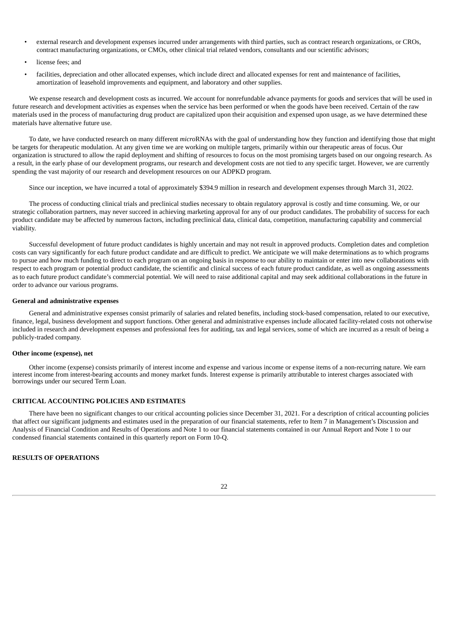- external research and development expenses incurred under arrangements with third parties, such as contract research organizations, or CROs, contract manufacturing organizations, or CMOs, other clinical trial related vendors, consultants and our scientific advisors;
- license fees; and
- facilities, depreciation and other allocated expenses, which include direct and allocated expenses for rent and maintenance of facilities, amortization of leasehold improvements and equipment, and laboratory and other supplies.

We expense research and development costs as incurred. We account for nonrefundable advance payments for goods and services that will be used in future research and development activities as expenses when the service has been performed or when the goods have been received. Certain of the raw materials used in the process of manufacturing drug product are capitalized upon their acquisition and expensed upon usage, as we have determined these materials have alternative future use.

To date, we have conducted research on many different *micro*RNAs with the goal of understanding how they function and identifying those that might be targets for therapeutic modulation. At any given time we are working on multiple targets, primarily within our therapeutic areas of focus. Our organization is structured to allow the rapid deployment and shifting of resources to focus on the most promising targets based on our ongoing research. As a result, in the early phase of our development programs, our research and development costs are not tied to any specific target. However, we are currently spending the vast majority of our research and development resources on our ADPKD program.

Since our inception, we have incurred a total of approximately \$394.9 million in research and development expenses through March 31, 2022.

The process of conducting clinical trials and preclinical studies necessary to obtain regulatory approval is costly and time consuming. We, or our strategic collaboration partners, may never succeed in achieving marketing approval for any of our product candidates. The probability of success for each product candidate may be affected by numerous factors, including preclinical data, clinical data, competition, manufacturing capability and commercial viability.

Successful development of future product candidates is highly uncertain and may not result in approved products. Completion dates and completion costs can vary significantly for each future product candidate and are difficult to predict. We anticipate we will make determinations as to which programs to pursue and how much funding to direct to each program on an ongoing basis in response to our ability to maintain or enter into new collaborations with respect to each program or potential product candidate, the scientific and clinical success of each future product candidate, as well as ongoing assessments as to each future product candidate's commercial potential. We will need to raise additional capital and may seek additional collaborations in the future in order to advance our various programs.

### **General and administrative expenses**

General and administrative expenses consist primarily of salaries and related benefits, including stock-based compensation, related to our executive, finance, legal, business development and support functions. Other general and administrative expenses include allocated facility-related costs not otherwise included in research and development expenses and professional fees for auditing, tax and legal services, some of which are incurred as a result of being a publicly-traded company.

#### **Other income (expense), net**

Other income (expense) consists primarily of interest income and expense and various income or expense items of a non-recurring nature. We earn interest income from interest-bearing accounts and money market funds. Interest expense is primarily attributable to interest charges associated with borrowings under our secured Term Loan.

## **CRITICAL ACCOUNTING POLICIES AND ESTIMATES**

There have been no significant changes to our critical accounting policies since December 31, 2021. For a description of critical accounting policies that affect our significant judgments and estimates used in the preparation of our financial statements, refer to Item 7 in Management's Discussion and Analysis of Financial Condition and Results of Operations and Note 1 to our financial statements contained in our Annual Report and Note 1 to our condensed financial statements contained in this quarterly report on Form 10-Q.

## **RESULTS OF OPERATIONS**

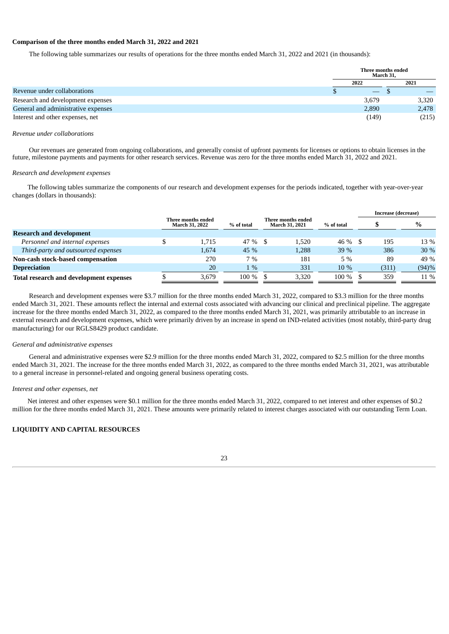#### **Comparison of the three months ended March 31, 2022 and 2021**

The following table summarizes our results of operations for the three months ended March 31, 2022 and 2021 (in thousands):

|                                     | Three months ended<br>March 31. |       |  |       |
|-------------------------------------|---------------------------------|-------|--|-------|
|                                     |                                 | 2022  |  | 2021  |
| Revenue under collaborations        |                                 |       |  |       |
| Research and development expenses   |                                 | 3,679 |  | 3,320 |
| General and administrative expenses |                                 | 2,890 |  | 2,478 |
| Interest and other expenses, net    |                                 | (149) |  | (215) |

#### *Revenue under collaborations*

Our revenues are generated from ongoing collaborations, and generally consist of upfront payments for licenses or options to obtain licenses in the future, milestone payments and payments for other research services. Revenue was zero for the three months ended March 31, 2022 and 2021.

#### *Research and development expenses*

The following tables summarize the components of our research and development expenses for the periods indicated, together with year-over-year changes (dollars in thousands):

|                                         |                                               |                                                           |  |       |            |  | Increase (decrease) |       |
|-----------------------------------------|-----------------------------------------------|-----------------------------------------------------------|--|-------|------------|--|---------------------|-------|
|                                         | Three months ended -<br><b>March 31, 2022</b> | Three months ended<br>% of total<br><b>March 31, 2021</b> |  |       | % of total |  |                     | $\%$  |
| <b>Research and development</b>         |                                               |                                                           |  |       |            |  |                     |       |
| Personnel and internal expenses         | 1.715                                         | 47 % \$                                                   |  | 1.520 | 46 %       |  | 195                 | 13 %  |
| Third-party and outsourced expenses     | 1.674                                         | 45 %                                                      |  | 1,288 | 39 %       |  | 386                 | 30%   |
| Non-cash stock-based compensation       | 270                                           | 7%                                                        |  | 181   | $5\%$      |  | 89                  | 49 %  |
| <b>Depreciation</b>                     | 20                                            | $1\%$                                                     |  | 331   | 10 %       |  | (311)               | (94)% |
| Total research and development expenses | 3.679                                         | 100 %                                                     |  | 3.320 | 100 %      |  | 359                 | 11 %  |

Research and development expenses were \$3.7 million for the three months ended March 31, 2022, compared to \$3.3 million for the three months ended March 31, 2021. These amounts reflect the internal and external costs associated with advancing our clinical and preclinical pipeline. The aggregate increase for the three months ended March 31, 2022, as compared to the three months ended March 31, 2021, was primarily attributable to an increase in external research and development expenses, which were primarily driven by an increase in spend on IND-related activities (most notably, third-party drug manufacturing) for our RGLS8429 product candidate.

## *General and administrative expenses*

General and administrative expenses were \$2.9 million for the three months ended March 31, 2022, compared to \$2.5 million for the three months ended March 31, 2021. The increase for the three months ended March 31, 2022, as compared to the three months ended March 31, 2021, was attributable to a general increase in personnel-related and ongoing general business operating costs.

#### *Interest and other expenses, net*

Net interest and other expenses were \$0.1 million for the three months ended March 31, 2022, compared to net interest and other expenses of \$0.2 million for the three months ended March 31, 2021. These amounts were primarily related to interest charges associated with our outstanding Term Loan.

## **LIQUIDITY AND CAPITAL RESOURCES**

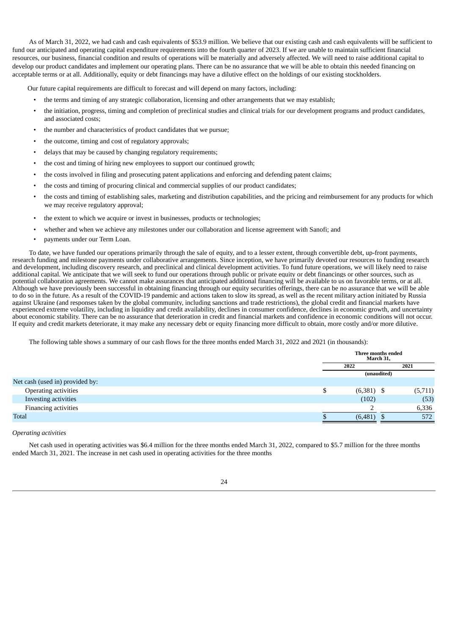As of March 31, 2022, we had cash and cash equivalents of \$53.9 million. We believe that our existing cash and cash equivalents will be sufficient to fund our anticipated and operating capital expenditure requirements into the fourth quarter of 2023. If we are unable to maintain sufficient financial resources, our business, financial condition and results of operations will be materially and adversely affected. We will need to raise additional capital to develop our product candidates and implement our operating plans. There can be no assurance that we will be able to obtain this needed financing on acceptable terms or at all. Additionally, equity or debt financings may have a dilutive effect on the holdings of our existing stockholders.

Our future capital requirements are difficult to forecast and will depend on many factors, including:

- the terms and timing of any strategic collaboration, licensing and other arrangements that we may establish;
- the initiation, progress, timing and completion of preclinical studies and clinical trials for our development programs and product candidates, and associated costs;
- the number and characteristics of product candidates that we pursue;
- the outcome, timing and cost of regulatory approvals;
- delays that may be caused by changing regulatory requirements;
- the cost and timing of hiring new employees to support our continued growth;
- the costs involved in filing and prosecuting patent applications and enforcing and defending patent claims;
- the costs and timing of procuring clinical and commercial supplies of our product candidates;
- the costs and timing of establishing sales, marketing and distribution capabilities, and the pricing and reimbursement for any products for which we may receive regulatory approval;
- the extent to which we acquire or invest in businesses, products or technologies;
- whether and when we achieve any milestones under our collaboration and license agreement with Sanofi; and
- payments under our Term Loan.

To date, we have funded our operations primarily through the sale of equity, and to a lesser extent, through convertible debt, up-front payments, research funding and milestone payments under collaborative arrangements. Since inception, we have primarily devoted our resources to funding research and development, including discovery research, and preclinical and clinical development activities. To fund future operations, we will likely need to raise additional capital. We anticipate that we will seek to fund our operations through public or private equity or debt financings or other sources, such as potential collaboration agreements. We cannot make assurances that anticipated additional financing will be available to us on favorable terms, or at all. Although we have previously been successful in obtaining financing through our equity securities offerings, there can be no assurance that we will be able to do so in the future. As a result of the COVID-19 pandemic and actions taken to slow its spread, as well as the recent military action initiated by Russia against Ukraine (and responses taken by the global community, including sanctions and trade restrictions), the global credit and financial markets have experienced extreme volatility, including in liquidity and credit availability, declines in consumer confidence, declines in economic growth, and uncertainty about economic stability. There can be no assurance that deterioration in credit and financial markets and confidence in economic conditions will not occur. If equity and credit markets deteriorate, it may make any necessary debt or equity financing more difficult to obtain, more costly and/or more dilutive.

The following table shows a summary of our cash flows for the three months ended March 31, 2022 and 2021 (in thousands):

|                                 |   | Three months ended<br>March 31, |  |         |
|---------------------------------|---|---------------------------------|--|---------|
|                                 |   | 2021<br>2022                    |  |         |
|                                 |   | (unaudited)                     |  |         |
| Net cash (used in) provided by: |   |                                 |  |         |
| Operating activities            | D | $(6,381)$ \$                    |  | (5,711) |
| Investing activities            |   | (102)                           |  | (53)    |
| Financing activities            |   |                                 |  | 6,336   |
| <b>Total</b>                    |   | (6,481)                         |  | 572     |

#### *Operating activities*

Net cash used in operating activities was \$6.4 million for the three months ended March 31, 2022, compared to \$5.7 million for the three months ended March 31, 2021. The increase in net cash used in operating activities for the three months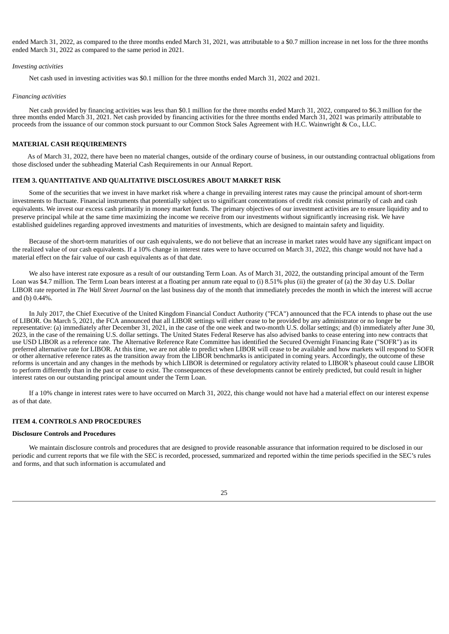ended March 31, 2022, as compared to the three months ended March 31, 2021, was attributable to a \$0.7 million increase in net loss for the three months ended March 31, 2022 as compared to the same period in 2021.

#### *Investing activities*

Net cash used in investing activities was \$0.1 million for the three months ended March 31, 2022 and 2021.

#### *Financing activities*

Net cash provided by financing activities was less than \$0.1 million for the three months ended March 31, 2022, compared to \$6.3 million for the three months ended March 31, 2021. Net cash provided by financing activities for the three months ended March 31, 2021 was primarily attributable to proceeds from the issuance of our common stock pursuant to our Common Stock Sales Agreement with H.C. Wainwright & Co., LLC.

#### **MATERIAL CASH REQUIREMENTS**

As of March 31, 2022, there have been no material changes, outside of the ordinary course of business, in our outstanding contractual obligations from those disclosed under the subheading Material Cash Requirements in our Annual Report.

#### <span id="page-26-0"></span>**ITEM 3. QUANTITATIVE AND QUALITATIVE DISCLOSURES ABOUT MARKET RISK**

Some of the securities that we invest in have market risk where a change in prevailing interest rates may cause the principal amount of short-term investments to fluctuate. Financial instruments that potentially subject us to significant concentrations of credit risk consist primarily of cash and cash equivalents. We invest our excess cash primarily in money market funds. The primary objectives of our investment activities are to ensure liquidity and to preserve principal while at the same time maximizing the income we receive from our investments without significantly increasing risk. We have established guidelines regarding approved investments and maturities of investments, which are designed to maintain safety and liquidity.

Because of the short-term maturities of our cash equivalents, we do not believe that an increase in market rates would have any significant impact on the realized value of our cash equivalents. If a 10% change in interest rates were to have occurred on March 31, 2022, this change would not have had a material effect on the fair value of our cash equivalents as of that date.

We also have interest rate exposure as a result of our outstanding Term Loan. As of March 31, 2022, the outstanding principal amount of the Term Loan was \$4.7 million. The Term Loan bears interest at a floating per annum rate equal to (i) 8.51% plus (ii) the greater of (a) the 30 day U.S. Dollar LIBOR rate reported in *The Wall Street Journal* on the last business day of the month that immediately precedes the month in which the interest will accrue and (b) 0.44%.

In July 2017, the Chief Executive of the United Kingdom Financial Conduct Authority ("FCA") announced that the FCA intends to phase out the use of LIBOR. On March 5, 2021, the FCA announced that all LIBOR settings will either cease to be provided by any administrator or no longer be representative: (a) immediately after December 31, 2021, in the case of the one week and two-month U.S. dollar settings; and (b) immediately after June 30, 2023, in the case of the remaining U.S. dollar settings. The United States Federal Reserve has also advised banks to cease entering into new contracts that use USD LIBOR as a reference rate. The Alternative Reference Rate Committee has identified the Secured Overnight Financing Rate ("SOFR") as its preferred alternative rate for LIBOR. At this time, we are not able to predict when LIBOR will cease to be available and how markets will respond to SOFR or other alternative reference rates as the transition away from the LIBOR benchmarks is anticipated in coming years. Accordingly, the outcome of these reforms is uncertain and any changes in the methods by which LIBOR is determined or regulatory activity related to LIBOR's phaseout could cause LIBOR to perform differently than in the past or cease to exist. The consequences of these developments cannot be entirely predicted, but could result in higher interest rates on our outstanding principal amount under the Term Loan.

If a 10% change in interest rates were to have occurred on March 31, 2022, this change would not have had a material effect on our interest expense as of that date.

#### <span id="page-26-1"></span>**ITEM 4. CONTROLS AND PROCEDURES**

## **Disclosure Controls and Procedures**

We maintain disclosure controls and procedures that are designed to provide reasonable assurance that information required to be disclosed in our periodic and current reports that we file with the SEC is recorded, processed, summarized and reported within the time periods specified in the SEC's rules and forms, and that such information is accumulated and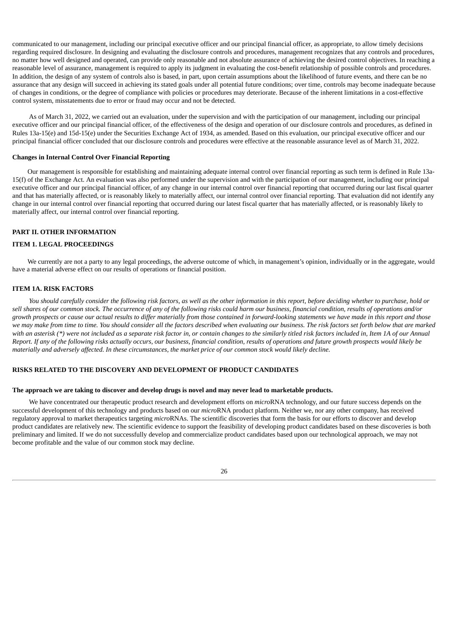communicated to our management, including our principal executive officer and our principal financial officer, as appropriate, to allow timely decisions regarding required disclosure. In designing and evaluating the disclosure controls and procedures, management recognizes that any controls and procedures, no matter how well designed and operated, can provide only reasonable and not absolute assurance of achieving the desired control objectives. In reaching a reasonable level of assurance, management is required to apply its judgment in evaluating the cost-benefit relationship of possible controls and procedures. In addition, the design of any system of controls also is based, in part, upon certain assumptions about the likelihood of future events, and there can be no assurance that any design will succeed in achieving its stated goals under all potential future conditions; over time, controls may become inadequate because of changes in conditions, or the degree of compliance with policies or procedures may deteriorate. Because of the inherent limitations in a cost-effective control system, misstatements due to error or fraud may occur and not be detected.

As of March 31, 2022, we carried out an evaluation, under the supervision and with the participation of our management, including our principal executive officer and our principal financial officer, of the effectiveness of the design and operation of our disclosure controls and procedures, as defined in Rules 13a-15(e) and 15d-15(e) under the Securities Exchange Act of 1934, as amended. Based on this evaluation, our principal executive officer and our principal financial officer concluded that our disclosure controls and procedures were effective at the reasonable assurance level as of March 31, 2022.

#### **Changes in Internal Control Over Financial Reporting**

Our management is responsible for establishing and maintaining adequate internal control over financial reporting as such term is defined in Rule 13a-15(f) of the Exchange Act. An evaluation was also performed under the supervision and with the participation of our management, including our principal executive officer and our principal financial officer, of any change in our internal control over financial reporting that occurred during our last fiscal quarter and that has materially affected, or is reasonably likely to materially affect, our internal control over financial reporting. That evaluation did not identify any change in our internal control over financial reporting that occurred during our latest fiscal quarter that has materially affected, or is reasonably likely to materially affect, our internal control over financial reporting.

#### **PART II. OTHER INFORMATION**

## <span id="page-27-0"></span>**ITEM 1. LEGAL PROCEEDINGS**

<span id="page-27-1"></span>We currently are not a party to any legal proceedings, the adverse outcome of which, in management's opinion, individually or in the aggregate, would have a material adverse effect on our results of operations or financial position.

#### **ITEM 1A. RISK FACTORS**

You should carefully consider the following risk factors, as well as the other information in this report, before deciding whether to purchase, hold or sell shares of our common stock. The occurrence of any of the following risks could harm our business, financial condition, results of operations and/or growth prospects or cause our actual results to differ materially from those contained in forward-looking statements we have made in this report and those we may make from time to time. You should consider all the factors described when evaluating our business. The risk factors set forth below that are marked with an asterisk (\*) were not included as a separate risk factor in, or contain changes to the similarly titled risk factors included in, Item 1A of our Annual Report. If any of the following risks actually occurs, our business, financial condition, results of operations and future growth prospects would likely be materially and adversely affected. In these circumstances, the market price of our common stock would likely decline.

## **RISKS RELATED TO THE DISCOVERY AND DEVELOPMENT OF PRODUCT CANDIDATES**

#### The approach we are taking to discover and develop drugs is novel and may never lead to marketable products.

We have concentrated our therapeutic product research and development efforts on *micro*RNA technology, and our future success depends on the successful development of this technology and products based on our *micro*RNA product platform. Neither we, nor any other company, has received regulatory approval to market therapeutics targeting *micro*RNAs. The scientific discoveries that form the basis for our efforts to discover and develop product candidates are relatively new. The scientific evidence to support the feasibility of developing product candidates based on these discoveries is both preliminary and limited. If we do not successfully develop and commercialize product candidates based upon our technological approach, we may not become profitable and the value of our common stock may decline.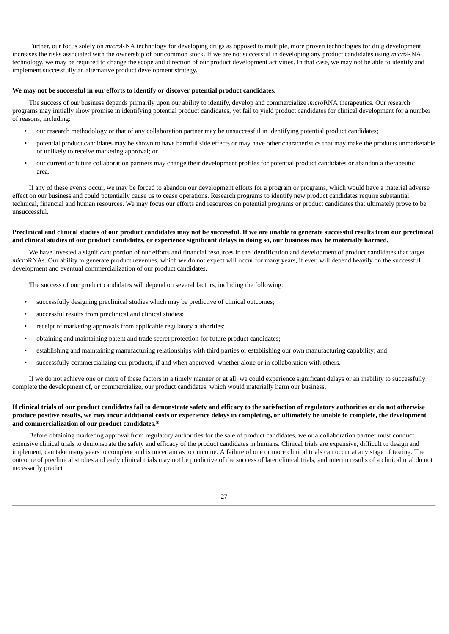Further, our focus solely on *micro*RNA technology for developing drugs as opposed to multiple, more proven technologies for drug development increases the risks associated with the ownership of our common stock. If we are not successful in developing any product candidates using *micro*RNA technology, we may be required to change the scope and direction of our product development activities. In that case, we may not be able to identify and implement successfully an alternative product development strategy.

#### **We may not be successful in our efforts to identify or discover potential product candidates.**

The success of our business depends primarily upon our ability to identify, develop and commercialize *micro*RNA therapeutics. Our research programs may initially show promise in identifying potential product candidates, yet fail to yield product candidates for clinical development for a number of reasons, including:

- our research methodology or that of any collaboration partner may be unsuccessful in identifying potential product candidates;
- potential product candidates may be shown to have harmful side effects or may have other characteristics that may make the products unmarketable or unlikely to receive marketing approval; or
- our current or future collaboration partners may change their development profiles for potential product candidates or abandon a therapeutic area.

If any of these events occur, we may be forced to abandon our development efforts for a program or programs, which would have a material adverse effect on our business and could potentially cause us to cease operations. Research programs to identify new product candidates require substantial technical, financial and human resources. We may focus our efforts and resources on potential programs or product candidates that ultimately prove to be unsuccessful.

## Preclinical and clinical studies of our product candidates may not be successful. If we are unable to generate successful results from our preclinical and clinical studies of our product candidates, or experience significant delays in doing so, our business may be materially harmed.

We have invested a significant portion of our efforts and financial resources in the identification and development of product candidates that target *micro*RNAs. Our ability to generate product revenues, which we do not expect will occur for many years, if ever, will depend heavily on the successful development and eventual commercialization of our product candidates.

The success of our product candidates will depend on several factors, including the following:

- successfully designing preclinical studies which may be predictive of clinical outcomes;
- successful results from preclinical and clinical studies;
- receipt of marketing approvals from applicable regulatory authorities;
- obtaining and maintaining patent and trade secret protection for future product candidates;
- establishing and maintaining manufacturing relationships with third parties or establishing our own manufacturing capability; and
- successfully commercializing our products, if and when approved, whether alone or in collaboration with others.

If we do not achieve one or more of these factors in a timely manner or at all, we could experience significant delays or an inability to successfully complete the development of, or commercialize, our product candidates, which would materially harm our business.

## If clinical trials of our product candidates fail to demonstrate safety and efficacy to the satisfaction of regulatory authorities or do not otherwise produce positive results, we may incur additional costs or experience delays in completing, or ultimately be unable to complete, the development **and commercialization of our product candidates.\***

Before obtaining marketing approval from regulatory authorities for the sale of product candidates, we or a collaboration partner must conduct extensive clinical trials to demonstrate the safety and efficacy of the product candidates in humans. Clinical trials are expensive, difficult to design and implement, can take many years to complete and is uncertain as to outcome. A failure of one or more clinical trials can occur at any stage of testing. The outcome of preclinical studies and early clinical trials may not be predictive of the success of later clinical trials, and interim results of a clinical trial do not necessarily predict

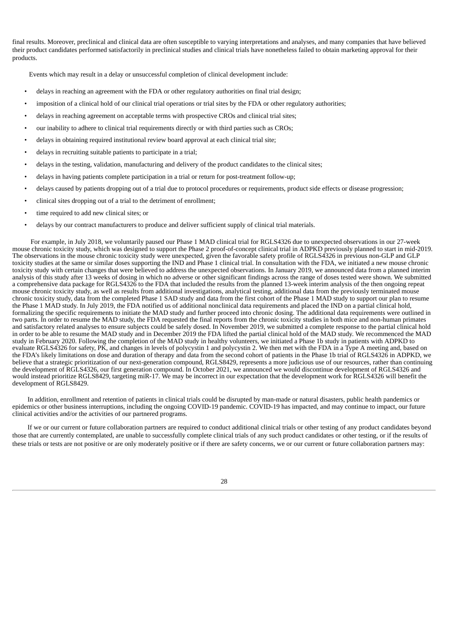final results. Moreover, preclinical and clinical data are often susceptible to varying interpretations and analyses, and many companies that have believed their product candidates performed satisfactorily in preclinical studies and clinical trials have nonetheless failed to obtain marketing approval for their products.

Events which may result in a delay or unsuccessful completion of clinical development include:

- delays in reaching an agreement with the FDA or other regulatory authorities on final trial design;
- imposition of a clinical hold of our clinical trial operations or trial sites by the FDA or other regulatory authorities;
- delays in reaching agreement on acceptable terms with prospective CROs and clinical trial sites;
- our inability to adhere to clinical trial requirements directly or with third parties such as CROs;
- delays in obtaining required institutional review board approval at each clinical trial site;
- delays in recruiting suitable patients to participate in a trial;
- delays in the testing, validation, manufacturing and delivery of the product candidates to the clinical sites;
- delays in having patients complete participation in a trial or return for post-treatment follow-up;
- delays caused by patients dropping out of a trial due to protocol procedures or requirements, product side effects or disease progression;
- clinical sites dropping out of a trial to the detriment of enrollment;
- time required to add new clinical sites; or
- delays by our contract manufacturers to produce and deliver sufficient supply of clinical trial materials.

For example, in July 2018, we voluntarily paused our Phase 1 MAD clinical trial for RGLS4326 due to unexpected observations in our 27-week mouse chronic toxicity study, which was designed to support the Phase 2 proof-of-concept clinical trial in ADPKD previously planned to start in mid-2019. The observations in the mouse chronic toxicity study were unexpected, given the favorable safety profile of RGLS4326 in previous non-GLP and GLP toxicity studies at the same or similar doses supporting the IND and Phase 1 clinical trial. In consultation with the FDA, we initiated a new mouse chronic toxicity study with certain changes that were believed to address the unexpected observations. In January 2019, we announced data from a planned interim analysis of this study after 13 weeks of dosing in which no adverse or other significant findings across the range of doses tested were shown. We submitted a comprehensive data package for RGLS4326 to the FDA that included the results from the planned 13-week interim analysis of the then ongoing repeat mouse chronic toxicity study, as well as results from additional investigations, analytical testing, additional data from the previously terminated mouse chronic toxicity study, data from the completed Phase 1 SAD study and data from the first cohort of the Phase 1 MAD study to support our plan to resume the Phase 1 MAD study. In July 2019, the FDA notified us of additional nonclinical data requirements and placed the IND on a partial clinical hold, formalizing the specific requirements to initiate the MAD study and further proceed into chronic dosing. The additional data requirements were outlined in two parts. In order to resume the MAD study, the FDA requested the final reports from the chronic toxicity studies in both mice and non-human primates and satisfactory related analyses to ensure subjects could be safely dosed. In November 2019, we submitted a complete response to the partial clinical hold in order to be able to resume the MAD study and in December 2019 the FDA lifted the partial clinical hold of the MAD study. We recommenced the MAD study in February 2020. Following the completion of the MAD study in healthy volunteers, we initiated a Phase 1b study in patients with ADPKD to evaluate RGLS4326 for safety, PK, and changes in levels of polycystin 1 and polycystin 2. We then met with the FDA in a Type A meeting and, based on the FDA's likely limitations on dose and duration of therapy and data from the second cohort of patients in the Phase 1b trial of RGLS4326 in ADPKD, we believe that a strategic prioritization of our next-generation compound, RGLS8429, represents a more judicious use of our resources, rather than continuing the development of RGLS4326, our first generation compound. In October 2021, we announced we would discontinue development of RGLS4326 and would instead prioritize RGLS8429, targeting miR-17. We may be incorrect in our expectation that the development work for RGLS4326 will benefit the development of RGLS8429.

In addition, enrollment and retention of patients in clinical trials could be disrupted by man-made or natural disasters, public health pandemics or epidemics or other business interruptions, including the ongoing COVID-19 pandemic. COVID-19 has impacted, and may continue to impact, our future clinical activities and/or the activities of our partnered programs.

If we or our current or future collaboration partners are required to conduct additional clinical trials or other testing of any product candidates beyond those that are currently contemplated, are unable to successfully complete clinical trials of any such product candidates or other testing, or if the results of these trials or tests are not positive or are only moderately positive or if there are safety concerns, we or our current or future collaboration partners may: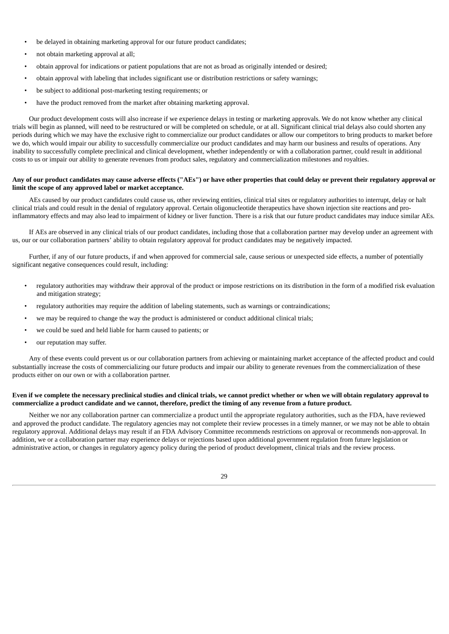- be delayed in obtaining marketing approval for our future product candidates;
- not obtain marketing approval at all;
- obtain approval for indications or patient populations that are not as broad as originally intended or desired;
- obtain approval with labeling that includes significant use or distribution restrictions or safety warnings;
- be subject to additional post-marketing testing requirements; or
- have the product removed from the market after obtaining marketing approval.

Our product development costs will also increase if we experience delays in testing or marketing approvals. We do not know whether any clinical trials will begin as planned, will need to be restructured or will be completed on schedule, or at all. Significant clinical trial delays also could shorten any periods during which we may have the exclusive right to commercialize our product candidates or allow our competitors to bring products to market before we do, which would impair our ability to successfully commercialize our product candidates and may harm our business and results of operations. Any inability to successfully complete preclinical and clinical development, whether independently or with a collaboration partner, could result in additional costs to us or impair our ability to generate revenues from product sales, regulatory and commercialization milestones and royalties.

## Any of our product candidates may cause adverse effects ("AEs") or have other properties that could delay or prevent their regulatory approval or **limit the scope of any approved label or market acceptance.**

AEs caused by our product candidates could cause us, other reviewing entities, clinical trial sites or regulatory authorities to interrupt, delay or halt clinical trials and could result in the denial of regulatory approval. Certain oligonucleotide therapeutics have shown injection site reactions and proinflammatory effects and may also lead to impairment of kidney or liver function. There is a risk that our future product candidates may induce similar AEs.

If AEs are observed in any clinical trials of our product candidates, including those that a collaboration partner may develop under an agreement with us, our or our collaboration partners' ability to obtain regulatory approval for product candidates may be negatively impacted.

Further, if any of our future products, if and when approved for commercial sale, cause serious or unexpected side effects, a number of potentially significant negative consequences could result, including:

- regulatory authorities may withdraw their approval of the product or impose restrictions on its distribution in the form of a modified risk evaluation and mitigation strategy;
- regulatory authorities may require the addition of labeling statements, such as warnings or contraindications;
- we may be required to change the way the product is administered or conduct additional clinical trials;
- we could be sued and held liable for harm caused to patients; or
- our reputation may suffer.

Any of these events could prevent us or our collaboration partners from achieving or maintaining market acceptance of the affected product and could substantially increase the costs of commercializing our future products and impair our ability to generate revenues from the commercialization of these products either on our own or with a collaboration partner.

## Even if we complete the necessary preclinical studies and clinical trials, we cannot predict whether or when we will obtain regulatory approval to commercialize a product candidate and we cannot, therefore, predict the timing of any revenue from a future product.

Neither we nor any collaboration partner can commercialize a product until the appropriate regulatory authorities, such as the FDA, have reviewed and approved the product candidate. The regulatory agencies may not complete their review processes in a timely manner, or we may not be able to obtain regulatory approval. Additional delays may result if an FDA Advisory Committee recommends restrictions on approval or recommends non-approval. In addition, we or a collaboration partner may experience delays or rejections based upon additional government regulation from future legislation or administrative action, or changes in regulatory agency policy during the period of product development, clinical trials and the review process.

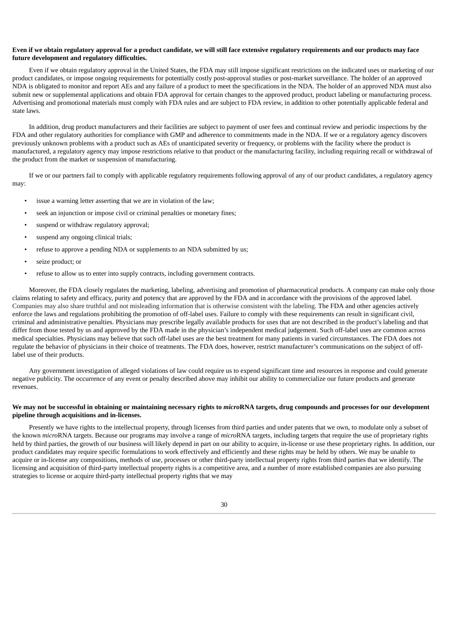## Even if we obtain regulatory approval for a product candidate, we will still face extensive regulatory requirements and our products may face **future development and regulatory difficulties.**

Even if we obtain regulatory approval in the United States, the FDA may still impose significant restrictions on the indicated uses or marketing of our product candidates, or impose ongoing requirements for potentially costly post-approval studies or post-market surveillance. The holder of an approved NDA is obligated to monitor and report AEs and any failure of a product to meet the specifications in the NDA. The holder of an approved NDA must also submit new or supplemental applications and obtain FDA approval for certain changes to the approved product, product labeling or manufacturing process. Advertising and promotional materials must comply with FDA rules and are subject to FDA review, in addition to other potentially applicable federal and state laws.

In addition, drug product manufacturers and their facilities are subject to payment of user fees and continual review and periodic inspections by the FDA and other regulatory authorities for compliance with GMP and adherence to commitments made in the NDA. If we or a regulatory agency discovers previously unknown problems with a product such as AEs of unanticipated severity or frequency, or problems with the facility where the product is manufactured, a regulatory agency may impose restrictions relative to that product or the manufacturing facility, including requiring recall or withdrawal of the product from the market or suspension of manufacturing.

If we or our partners fail to comply with applicable regulatory requirements following approval of any of our product candidates, a regulatory agency may:

- issue a warning letter asserting that we are in violation of the law;
- seek an injunction or impose civil or criminal penalties or monetary fines;
- suspend or withdraw regulatory approval;
- suspend any ongoing clinical trials;
- refuse to approve a pending NDA or supplements to an NDA submitted by us;
- seize product: or
- refuse to allow us to enter into supply contracts, including government contracts.

Moreover, the FDA closely regulates the marketing, labeling, advertising and promotion of pharmaceutical products. A company can make only those claims relating to safety and efficacy, purity and potency that are approved by the FDA and in accordance with the provisions of the approved label. Companies may also share truthful and not misleading information that is otherwise consistent with the labeling. The FDA and other agencies actively enforce the laws and regulations prohibiting the promotion of off-label uses. Failure to comply with these requirements can result in significant civil, criminal and administrative penalties. Physicians may prescribe legally available products for uses that are not described in the product's labeling and that differ from those tested by us and approved by the FDA made in the physician's independent medical judgement. Such off-label uses are common across medical specialties. Physicians may believe that such off-label uses are the best treatment for many patients in varied circumstances. The FDA does not regulate the behavior of physicians in their choice of treatments. The FDA does, however, restrict manufacturer's communications on the subject of offlabel use of their products.

Any government investigation of alleged violations of law could require us to expend significant time and resources in response and could generate negative publicity. The occurrence of any event or penalty described above may inhibit our ability to commercialize our future products and generate revenues.

## We may not be successful in obtaining or maintaining necessary rights to microRNA targets, drug compounds and processes for our development **pipeline through acquisitions and in-licenses.**

Presently we have rights to the intellectual property, through licenses from third parties and under patents that we own, to modulate only a subset of the known *micro*RNA targets. Because our programs may involve a range of *micro*RNA targets, including targets that require the use of proprietary rights held by third parties, the growth of our business will likely depend in part on our ability to acquire, in-license or use these proprietary rights. In addition, our product candidates may require specific formulations to work effectively and efficiently and these rights may be held by others. We may be unable to acquire or in-license any compositions, methods of use, processes or other third-party intellectual property rights from third parties that we identify. The licensing and acquisition of third-party intellectual property rights is a competitive area, and a number of more established companies are also pursuing strategies to license or acquire third-party intellectual property rights that we may

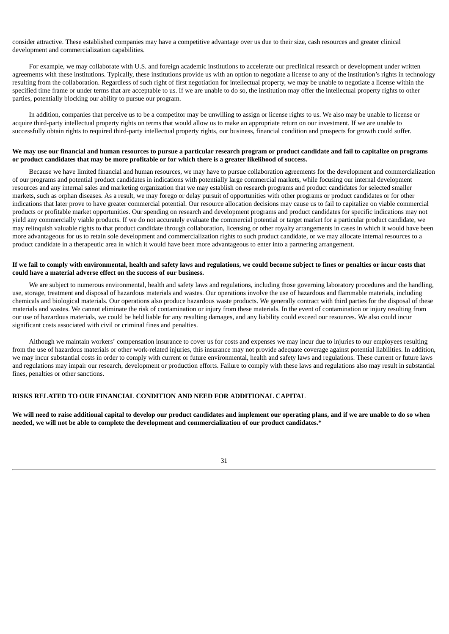consider attractive. These established companies may have a competitive advantage over us due to their size, cash resources and greater clinical development and commercialization capabilities.

For example, we may collaborate with U.S. and foreign academic institutions to accelerate our preclinical research or development under written agreements with these institutions. Typically, these institutions provide us with an option to negotiate a license to any of the institution's rights in technology resulting from the collaboration. Regardless of such right of first negotiation for intellectual property, we may be unable to negotiate a license within the specified time frame or under terms that are acceptable to us. If we are unable to do so, the institution may offer the intellectual property rights to other parties, potentially blocking our ability to pursue our program.

In addition, companies that perceive us to be a competitor may be unwilling to assign or license rights to us. We also may be unable to license or acquire third-party intellectual property rights on terms that would allow us to make an appropriate return on our investment. If we are unable to successfully obtain rights to required third-party intellectual property rights, our business, financial condition and prospects for growth could suffer.

## We may use our financial and human resources to pursue a particular research program or product candidate and fail to capitalize on programs or product candidates that may be more profitable or for which there is a greater likelihood of success.

Because we have limited financial and human resources, we may have to pursue collaboration agreements for the development and commercialization of our programs and potential product candidates in indications with potentially large commercial markets, while focusing our internal development resources and any internal sales and marketing organization that we may establish on research programs and product candidates for selected smaller markets, such as orphan diseases. As a result, we may forego or delay pursuit of opportunities with other programs or product candidates or for other indications that later prove to have greater commercial potential. Our resource allocation decisions may cause us to fail to capitalize on viable commercial products or profitable market opportunities. Our spending on research and development programs and product candidates for specific indications may not yield any commercially viable products. If we do not accurately evaluate the commercial potential or target market for a particular product candidate, we may relinquish valuable rights to that product candidate through collaboration, licensing or other royalty arrangements in cases in which it would have been more advantageous for us to retain sole development and commercialization rights to such product candidate, or we may allocate internal resources to a product candidate in a therapeutic area in which it would have been more advantageous to enter into a partnering arrangement.

## If we fail to comply with environmental, health and safety laws and regulations, we could become subject to fines or penalties or incur costs that **could have a material adverse effect on the success of our business.**

We are subject to numerous environmental, health and safety laws and regulations, including those governing laboratory procedures and the handling, use, storage, treatment and disposal of hazardous materials and wastes. Our operations involve the use of hazardous and flammable materials, including chemicals and biological materials. Our operations also produce hazardous waste products. We generally contract with third parties for the disposal of these materials and wastes. We cannot eliminate the risk of contamination or injury from these materials. In the event of contamination or injury resulting from our use of hazardous materials, we could be held liable for any resulting damages, and any liability could exceed our resources. We also could incur significant costs associated with civil or criminal fines and penalties.

Although we maintain workers' compensation insurance to cover us for costs and expenses we may incur due to injuries to our employees resulting from the use of hazardous materials or other work-related injuries, this insurance may not provide adequate coverage against potential liabilities. In addition, we may incur substantial costs in order to comply with current or future environmental, health and safety laws and regulations. These current or future laws and regulations may impair our research, development or production efforts. Failure to comply with these laws and regulations also may result in substantial fines, penalties or other sanctions.

## **RISKS RELATED TO OUR FINANCIAL CONDITION AND NEED FOR ADDITIONAL CAPITAL**

We will need to raise additional capital to develop our product candidates and implement our operating plans, and if we are unable to do so when **needed, we will not be able to complete the development and commercialization of our product candidates.\***

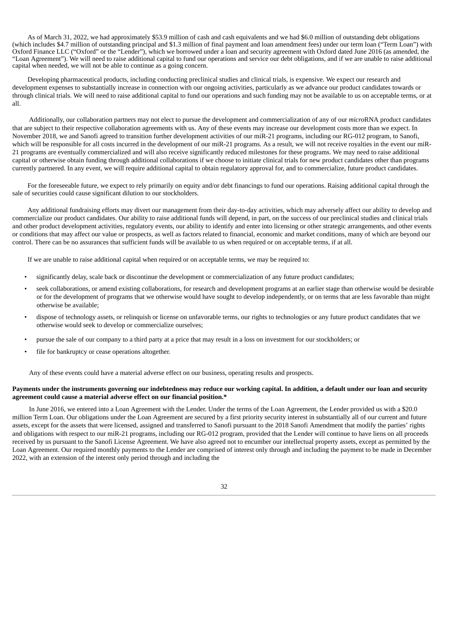As of March 31, 2022, we had approximately \$53.9 million of cash and cash equivalents and we had \$6.0 million of outstanding debt obligations (which includes \$4.7 million of outstanding principal and \$1.3 million of final payment and loan amendment fees) under our term loan ("Term Loan") with Oxford Finance LLC ("Oxford" or the "Lender"), which we borrowed under a loan and security agreement with Oxford dated June 2016 (as amended, the "Loan Agreement"). We will need to raise additional capital to fund our operations and service our debt obligations, and if we are unable to raise additional capital when needed, we will not be able to continue as a going concern.

Developing pharmaceutical products, including conducting preclinical studies and clinical trials, is expensive. We expect our research and development expenses to substantially increase in connection with our ongoing activities, particularly as we advance our product candidates towards or through clinical trials. We will need to raise additional capital to fund our operations and such funding may not be available to us on acceptable terms, or at all.

Additionally, our collaboration partners may not elect to pursue the development and commercialization of any of our *micro*RNA product candidates that are subject to their respective collaboration agreements with us. Any of these events may increase our development costs more than we expect. In November 2018, we and Sanofi agreed to transition further development activities of our miR-21 programs, including our RG-012 program, to Sanofi, which will be responsible for all costs incurred in the development of our miR-21 programs. As a result, we will not receive royalties in the event our miR-21 programs are eventually commercialized and will also receive significantly reduced milestones for these programs. We may need to raise additional capital or otherwise obtain funding through additional collaborations if we choose to initiate clinical trials for new product candidates other than programs currently partnered. In any event, we will require additional capital to obtain regulatory approval for, and to commercialize, future product candidates.

For the foreseeable future, we expect to rely primarily on equity and/or debt financings to fund our operations. Raising additional capital through the sale of securities could cause significant dilution to our stockholders.

Any additional fundraising efforts may divert our management from their day-to-day activities, which may adversely affect our ability to develop and commercialize our product candidates. Our ability to raise additional funds will depend, in part, on the success of our preclinical studies and clinical trials and other product development activities, regulatory events, our ability to identify and enter into licensing or other strategic arrangements, and other events or conditions that may affect our value or prospects, as well as factors related to financial, economic and market conditions, many of which are beyond our control. There can be no assurances that sufficient funds will be available to us when required or on acceptable terms, if at all.

If we are unable to raise additional capital when required or on acceptable terms, we may be required to:

- significantly delay, scale back or discontinue the development or commercialization of any future product candidates;
- seek collaborations, or amend existing collaborations, for research and development programs at an earlier stage than otherwise would be desirable or for the development of programs that we otherwise would have sought to develop independently, or on terms that are less favorable than might otherwise be available;
- dispose of technology assets, or relinquish or license on unfavorable terms, our rights to technologies or any future product candidates that we otherwise would seek to develop or commercialize ourselves;
- pursue the sale of our company to a third party at a price that may result in a loss on investment for our stockholders; or
- file for bankruptcy or cease operations altogether.

Any of these events could have a material adverse effect on our business, operating results and prospects.

#### Payments under the instruments governing our indebtedness may reduce our working capital. In addition, a default under our loan and security **agreement could cause a material adverse effect on our financial position.\***

In June 2016, we entered into a Loan Agreement with the Lender. Under the terms of the Loan Agreement, the Lender provided us with a \$20.0 million Term Loan. Our obligations under the Loan Agreement are secured by a first priority security interest in substantially all of our current and future assets, except for the assets that were licensed, assigned and transferred to Sanofi pursuant to the 2018 Sanofi Amendment that modify the parties' rights and obligations with respect to our miR-21 programs, including our RG-012 program, provided that the Lender will continue to have liens on all proceeds received by us pursuant to the Sanofi License Agreement. We have also agreed not to encumber our intellectual property assets, except as permitted by the Loan Agreement. Our required monthly payments to the Lender are comprised of interest only through and including the payment to be made in December 2022, with an extension of the interest only period through and including the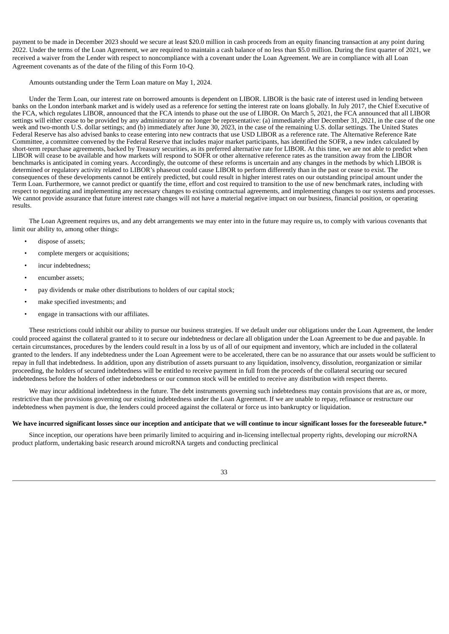payment to be made in December 2023 should we secure at least \$20.0 million in cash proceeds from an equity financing transaction at any point during 2022. Under the terms of the Loan Agreement, we are required to maintain a cash balance of no less than \$5.0 million. During the first quarter of 2021, we received a waiver from the Lender with respect to noncompliance with a covenant under the Loan Agreement. We are in compliance with all Loan Agreement covenants as of the date of the filing of this Form 10-Q.

Amounts outstanding under the Term Loan mature on May 1, 2024.

Under the Term Loan, our interest rate on borrowed amounts is dependent on LIBOR. LIBOR is the basic rate of interest used in lending between banks on the London interbank market and is widely used as a reference for setting the interest rate on loans globally. In July 2017, the Chief Executive of the FCA, which regulates LIBOR, announced that the FCA intends to phase out the use of LIBOR. On March 5, 2021, the FCA announced that all LIBOR settings will either cease to be provided by any administrator or no longer be representative: (a) immediately after December 31, 2021, in the case of the one week and two-month U.S. dollar settings; and (b) immediately after June 30, 2023, in the case of the remaining U.S. dollar settings. The United States Federal Reserve has also advised banks to cease entering into new contracts that use USD LIBOR as a reference rate. The Alternative Reference Rate Committee, a committee convened by the Federal Reserve that includes major market participants, has identified the SOFR, a new index calculated by short-term repurchase agreements, backed by Treasury securities, as its preferred alternative rate for LIBOR. At this time, we are not able to predict when LIBOR will cease to be available and how markets will respond to SOFR or other alternative reference rates as the transition away from the LIBOR benchmarks is anticipated in coming years. Accordingly, the outcome of these reforms is uncertain and any changes in the methods by which LIBOR is determined or regulatory activity related to LIBOR's phaseout could cause LIBOR to perform differently than in the past or cease to exist. The consequences of these developments cannot be entirely predicted, but could result in higher interest rates on our outstanding principal amount under the Term Loan. Furthermore, we cannot predict or quantify the time, effort and cost required to transition to the use of new benchmark rates, including with respect to negotiating and implementing any necessary changes to existing contractual agreements, and implementing changes to our systems and processes. We cannot provide assurance that future interest rate changes will not have a material negative impact on our business, financial position, or operating results.

The Loan Agreement requires us, and any debt arrangements we may enter into in the future may require us, to comply with various covenants that limit our ability to, among other things:

- dispose of assets:
- complete mergers or acquisitions;
- incur indebtedness;
- encumber assets;
- pay dividends or make other distributions to holders of our capital stock;
- make specified investments; and
- engage in transactions with our affiliates.

These restrictions could inhibit our ability to pursue our business strategies. If we default under our obligations under the Loan Agreement, the lender could proceed against the collateral granted to it to secure our indebtedness or declare all obligation under the Loan Agreement to be due and payable. In certain circumstances, procedures by the lenders could result in a loss by us of all of our equipment and inventory, which are included in the collateral granted to the lenders. If any indebtedness under the Loan Agreement were to be accelerated, there can be no assurance that our assets would be sufficient to repay in full that indebtedness. In addition, upon any distribution of assets pursuant to any liquidation, insolvency, dissolution, reorganization or similar proceeding, the holders of secured indebtedness will be entitled to receive payment in full from the proceeds of the collateral securing our secured indebtedness before the holders of other indebtedness or our common stock will be entitled to receive any distribution with respect thereto.

We may incur additional indebtedness in the future. The debt instruments governing such indebtedness may contain provisions that are as, or more, restrictive than the provisions governing our existing indebtedness under the Loan Agreement. If we are unable to repay, refinance or restructure our indebtedness when payment is due, the lenders could proceed against the collateral or force us into bankruptcy or liquidation.

#### We have incurred significant losses since our inception and anticipate that we will continue to incur significant losses for the foreseeable future.\*

Since inception, our operations have been primarily limited to acquiring and in-licensing intellectual property rights, developing our *micro*RNA product platform, undertaking basic research around microRNA targets and conducting preclinical

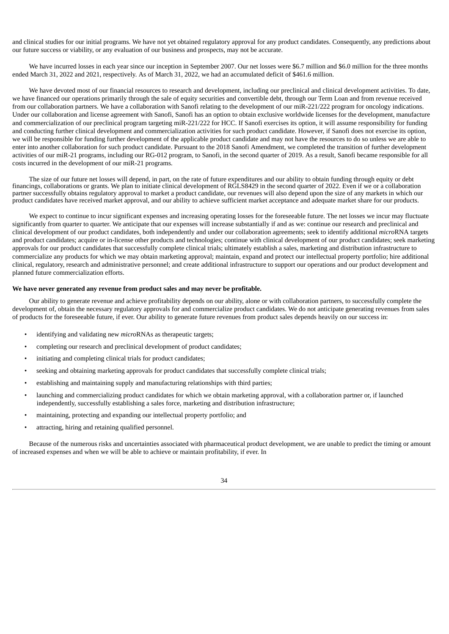and clinical studies for our initial programs. We have not yet obtained regulatory approval for any product candidates. Consequently, any predictions about our future success or viability, or any evaluation of our business and prospects, may not be accurate.

We have incurred losses in each year since our inception in September 2007. Our net losses were \$6.7 million and \$6.0 million for the three months ended March 31, 2022 and 2021, respectively. As of March 31, 2022, we had an accumulated deficit of \$461.6 million.

We have devoted most of our financial resources to research and development, including our preclinical and clinical development activities. To date, we have financed our operations primarily through the sale of equity securities and convertible debt, through our Term Loan and from revenue received from our collaboration partners. We have a collaboration with Sanofi relating to the development of our miR-221/222 program for oncology indications. Under our collaboration and license agreement with Sanofi, Sanofi has an option to obtain exclusive worldwide licenses for the development, manufacture and commercialization of our preclinical program targeting miR-221/222 for HCC. If Sanofi exercises its option, it will assume responsibility for funding and conducting further clinical development and commercialization activities for such product candidate. However, if Sanofi does not exercise its option, we will be responsible for funding further development of the applicable product candidate and may not have the resources to do so unless we are able to enter into another collaboration for such product candidate. Pursuant to the 2018 Sanofi Amendment, we completed the transition of further development activities of our miR-21 programs, including our RG-012 program, to Sanofi, in the second quarter of 2019. As a result, Sanofi became responsible for all costs incurred in the development of our miR-21 programs.

The size of our future net losses will depend, in part, on the rate of future expenditures and our ability to obtain funding through equity or debt financings, collaborations or grants. We plan to initiate clinical development of RGLS8429 in the second quarter of 2022. Even if we or a collaboration partner successfully obtains regulatory approval to market a product candidate, our revenues will also depend upon the size of any markets in which our product candidates have received market approval, and our ability to achieve sufficient market acceptance and adequate market share for our products.

We expect to continue to incur significant expenses and increasing operating losses for the foreseeable future. The net losses we incur may fluctuate significantly from quarter to quarter. We anticipate that our expenses will increase substantially if and as we: continue our research and preclinical and clinical development of our product candidates, both independently and under our collaboration agreements; seek to identify additional *micro*RNA targets and product candidates; acquire or in-license other products and technologies; continue with clinical development of our product candidates; seek marketing approvals for our product candidates that successfully complete clinical trials; ultimately establish a sales, marketing and distribution infrastructure to commercialize any products for which we may obtain marketing approval; maintain, expand and protect our intellectual property portfolio; hire additional clinical, regulatory, research and administrative personnel; and create additional infrastructure to support our operations and our product development and planned future commercialization efforts.

#### **We have never generated any revenue from product sales and may never be profitable.**

Our ability to generate revenue and achieve profitability depends on our ability, alone or with collaboration partners, to successfully complete the development of, obtain the necessary regulatory approvals for and commercialize product candidates. We do not anticipate generating revenues from sales of products for the foreseeable future, if ever. Our ability to generate future revenues from product sales depends heavily on our success in:

- identifying and validating new *micro*RNAs as therapeutic targets;
- completing our research and preclinical development of product candidates;
- initiating and completing clinical trials for product candidates;
- seeking and obtaining marketing approvals for product candidates that successfully complete clinical trials;
- establishing and maintaining supply and manufacturing relationships with third parties;
- launching and commercializing product candidates for which we obtain marketing approval, with a collaboration partner or, if launched independently, successfully establishing a sales force, marketing and distribution infrastructure;
- maintaining, protecting and expanding our intellectual property portfolio; and
- attracting, hiring and retaining qualified personnel.

Because of the numerous risks and uncertainties associated with pharmaceutical product development, we are unable to predict the timing or amount of increased expenses and when we will be able to achieve or maintain profitability, if ever. In

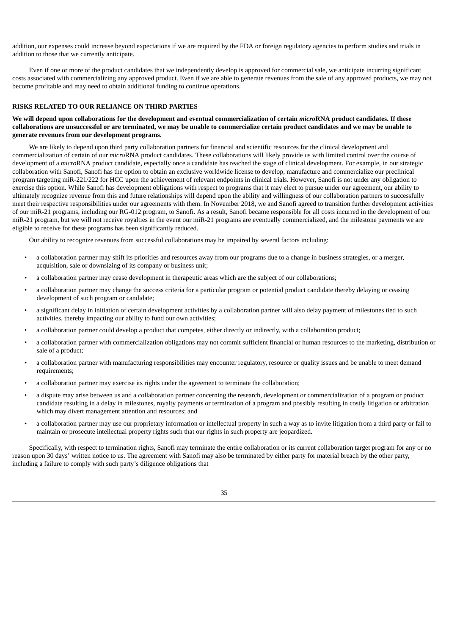addition, our expenses could increase beyond expectations if we are required by the FDA or foreign regulatory agencies to perform studies and trials in addition to those that we currently anticipate.

Even if one or more of the product candidates that we independently develop is approved for commercial sale, we anticipate incurring significant costs associated with commercializing any approved product. Even if we are able to generate revenues from the sale of any approved products, we may not become profitable and may need to obtain additional funding to continue operations.

## **RISKS RELATED TO OUR RELIANCE ON THIRD PARTIES**

## We will depend upon collaborations for the development and eventual commercialization of certain microRNA product candidates. If these collaborations are unsuccessful or are terminated, we may be unable to commercialize certain product candidates and we may be unable to **generate revenues from our development programs.**

We are likely to depend upon third party collaboration partners for financial and scientific resources for the clinical development and commercialization of certain of our *micro*RNA product candidates. These collaborations will likely provide us with limited control over the course of development of a *micro*RNA product candidate, especially once a candidate has reached the stage of clinical development. For example, in our strategic collaboration with Sanofi, Sanofi has the option to obtain an exclusive worldwide license to develop, manufacture and commercialize our preclinical program targeting miR-221/222 for HCC upon the achievement of relevant endpoints in clinical trials. However, Sanofi is not under any obligation to exercise this option. While Sanofi has development obligations with respect to programs that it may elect to pursue under our agreement, our ability to ultimately recognize revenue from this and future relationships will depend upon the ability and willingness of our collaboration partners to successfully meet their respective responsibilities under our agreements with them. In November 2018, we and Sanofi agreed to transition further development activities of our miR-21 programs, including our RG-012 program, to Sanofi. As a result, Sanofi became responsible for all costs incurred in the development of our miR-21 program, but we will not receive royalties in the event our miR-21 programs are eventually commercialized, and the milestone payments we are eligible to receive for these programs has been significantly reduced.

Our ability to recognize revenues from successful collaborations may be impaired by several factors including:

- a collaboration partner may shift its priorities and resources away from our programs due to a change in business strategies, or a merger, acquisition, sale or downsizing of its company or business unit;
- a collaboration partner may cease development in therapeutic areas which are the subject of our collaborations;
- a collaboration partner may change the success criteria for a particular program or potential product candidate thereby delaying or ceasing development of such program or candidate;
- a significant delay in initiation of certain development activities by a collaboration partner will also delay payment of milestones tied to such activities, thereby impacting our ability to fund our own activities;
- a collaboration partner could develop a product that competes, either directly or indirectly, with a collaboration product;
- a collaboration partner with commercialization obligations may not commit sufficient financial or human resources to the marketing, distribution or sale of a product;
- a collaboration partner with manufacturing responsibilities may encounter regulatory, resource or quality issues and be unable to meet demand requirements;
- a collaboration partner may exercise its rights under the agreement to terminate the collaboration;
- a dispute may arise between us and a collaboration partner concerning the research, development or commercialization of a program or product candidate resulting in a delay in milestones, royalty payments or termination of a program and possibly resulting in costly litigation or arbitration which may divert management attention and resources; and
- a collaboration partner may use our proprietary information or intellectual property in such a way as to invite litigation from a third party or fail to maintain or prosecute intellectual property rights such that our rights in such property are jeopardized.

Specifically, with respect to termination rights, Sanofi may terminate the entire collaboration or its current collaboration target program for any or no reason upon 30 days' written notice to us. The agreement with Sanofi may also be terminated by either party for material breach by the other party, including a failure to comply with such party's diligence obligations that

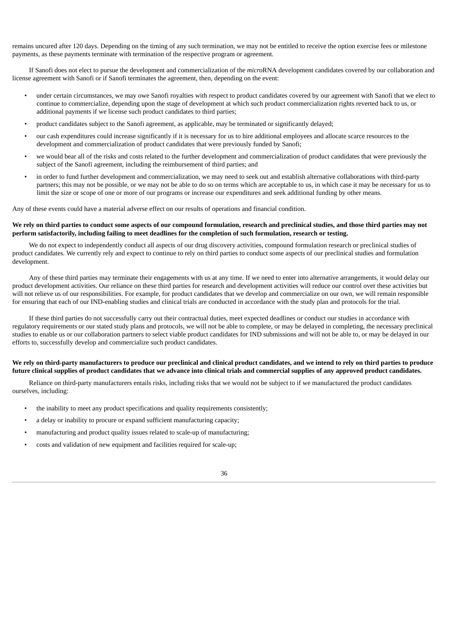remains uncured after 120 days. Depending on the timing of any such termination, we may not be entitled to receive the option exercise fees or milestone payments, as these payments terminate with termination of the respective program or agreement.

If Sanofi does not elect to pursue the development and commercialization of the *micro*RNA development candidates covered by our collaboration and license agreement with Sanofi or if Sanofi terminates the agreement, then, depending on the event:

- under certain circumstances, we may owe Sanofi royalties with respect to product candidates covered by our agreement with Sanofi that we elect to continue to commercialize, depending upon the stage of development at which such product commercialization rights reverted back to us, or additional payments if we license such product candidates to third parties;
- product candidates subject to the Sanofi agreement, as applicable, may be terminated or significantly delayed;
- our cash expenditures could increase significantly if it is necessary for us to hire additional employees and allocate scarce resources to the development and commercialization of product candidates that were previously funded by Sanofi;
- we would bear all of the risks and costs related to the further development and commercialization of product candidates that were previously the subject of the Sanofi agreement, including the reimbursement of third parties; and
- in order to fund further development and commercialization, we may need to seek out and establish alternative collaborations with third-party partners; this may not be possible, or we may not be able to do so on terms which are acceptable to us, in which case it may be necessary for us to limit the size or scope of one or more of our programs or increase our expenditures and seek additional funding by other means.

Any of these events could have a material adverse effect on our results of operations and financial condition.

## We rely on third parties to conduct some aspects of our compound formulation, research and preclinical studies, and those third parties may not perform satisfactorily, including failing to meet deadlines for the completion of such formulation, research or testing.

We do not expect to independently conduct all aspects of our drug discovery activities, compound formulation research or preclinical studies of product candidates. We currently rely and expect to continue to rely on third parties to conduct some aspects of our preclinical studies and formulation development.

Any of these third parties may terminate their engagements with us at any time. If we need to enter into alternative arrangements, it would delay our product development activities. Our reliance on these third parties for research and development activities will reduce our control over these activities but will not relieve us of our responsibilities. For example, for product candidates that we develop and commercialize on our own, we will remain responsible for ensuring that each of our IND-enabling studies and clinical trials are conducted in accordance with the study plan and protocols for the trial.

If these third parties do not successfully carry out their contractual duties, meet expected deadlines or conduct our studies in accordance with regulatory requirements or our stated study plans and protocols, we will not be able to complete, or may be delayed in completing, the necessary preclinical studies to enable us or our collaboration partners to select viable product candidates for IND submissions and will not be able to, or may be delayed in our efforts to, successfully develop and commercialize such product candidates.

## We rely on third-party manufacturers to produce our preclinical and clinical product candidates, and we intend to rely on third parties to produce future clinical supplies of product candidates that we advance into clinical trials and commercial supplies of any approved product candidates.

Reliance on third-party manufacturers entails risks, including risks that we would not be subject to if we manufactured the product candidates ourselves, including:

- the inability to meet any product specifications and quality requirements consistently;
- a delay or inability to procure or expand sufficient manufacturing capacity;
- manufacturing and product quality issues related to scale-up of manufacturing;
- costs and validation of new equipment and facilities required for scale-up;

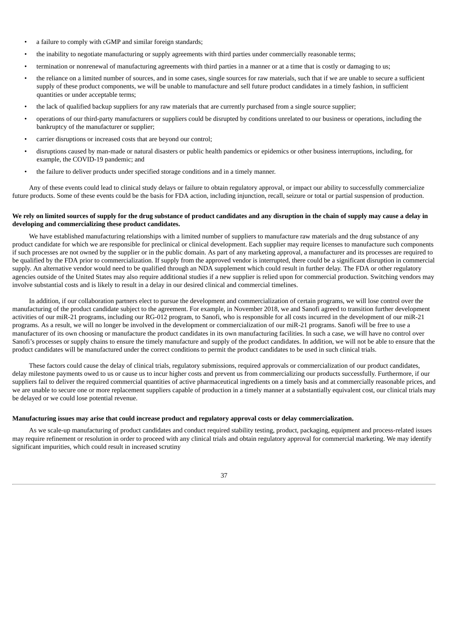- a failure to comply with cGMP and similar foreign standards;
- the inability to negotiate manufacturing or supply agreements with third parties under commercially reasonable terms;
- termination or nonrenewal of manufacturing agreements with third parties in a manner or at a time that is costly or damaging to us;
- the reliance on a limited number of sources, and in some cases, single sources for raw materials, such that if we are unable to secure a sufficient supply of these product components, we will be unable to manufacture and sell future product candidates in a timely fashion, in sufficient quantities or under acceptable terms;
- the lack of qualified backup suppliers for any raw materials that are currently purchased from a single source supplier;
- operations of our third-party manufacturers or suppliers could be disrupted by conditions unrelated to our business or operations, including the bankruptcy of the manufacturer or supplier;
- carrier disruptions or increased costs that are beyond our control;
- disruptions caused by man-made or natural disasters or public health pandemics or epidemics or other business interruptions, including, for example, the COVID-19 pandemic; and
- the failure to deliver products under specified storage conditions and in a timely manner.

Any of these events could lead to clinical study delays or failure to obtain regulatory approval, or impact our ability to successfully commercialize future products. Some of these events could be the basis for FDA action, including injunction, recall, seizure or total or partial suspension of production.

## We rely on limited sources of supply for the drug substance of product candidates and any disruption in the chain of supply may cause a delay in **developing and commercializing these product candidates.**

We have established manufacturing relationships with a limited number of suppliers to manufacture raw materials and the drug substance of any product candidate for which we are responsible for preclinical or clinical development. Each supplier may require licenses to manufacture such components if such processes are not owned by the supplier or in the public domain. As part of any marketing approval, a manufacturer and its processes are required to be qualified by the FDA prior to commercialization. If supply from the approved vendor is interrupted, there could be a significant disruption in commercial supply. An alternative vendor would need to be qualified through an NDA supplement which could result in further delay. The FDA or other regulatory agencies outside of the United States may also require additional studies if a new supplier is relied upon for commercial production. Switching vendors may involve substantial costs and is likely to result in a delay in our desired clinical and commercial timelines.

In addition, if our collaboration partners elect to pursue the development and commercialization of certain programs, we will lose control over the manufacturing of the product candidate subject to the agreement. For example, in November 2018, we and Sanofi agreed to transition further development activities of our miR-21 programs, including our RG-012 program, to Sanofi, who is responsible for all costs incurred in the development of our miR-21 programs. As a result, we will no longer be involved in the development or commercialization of our miR-21 programs. Sanofi will be free to use a manufacturer of its own choosing or manufacture the product candidates in its own manufacturing facilities. In such a case, we will have no control over Sanofi's processes or supply chains to ensure the timely manufacture and supply of the product candidates. In addition, we will not be able to ensure that the product candidates will be manufactured under the correct conditions to permit the product candidates to be used in such clinical trials.

These factors could cause the delay of clinical trials, regulatory submissions, required approvals or commercialization of our product candidates, delay milestone payments owed to us or cause us to incur higher costs and prevent us from commercializing our products successfully. Furthermore, if our suppliers fail to deliver the required commercial quantities of active pharmaceutical ingredients on a timely basis and at commercially reasonable prices, and we are unable to secure one or more replacement suppliers capable of production in a timely manner at a substantially equivalent cost, our clinical trials may be delayed or we could lose potential revenue.

## **Manufacturing issues may arise that could increase product and regulatory approval costs or delay commercialization.**

As we scale-up manufacturing of product candidates and conduct required stability testing, product, packaging, equipment and process-related issues may require refinement or resolution in order to proceed with any clinical trials and obtain regulatory approval for commercial marketing. We may identify significant impurities, which could result in increased scrutiny

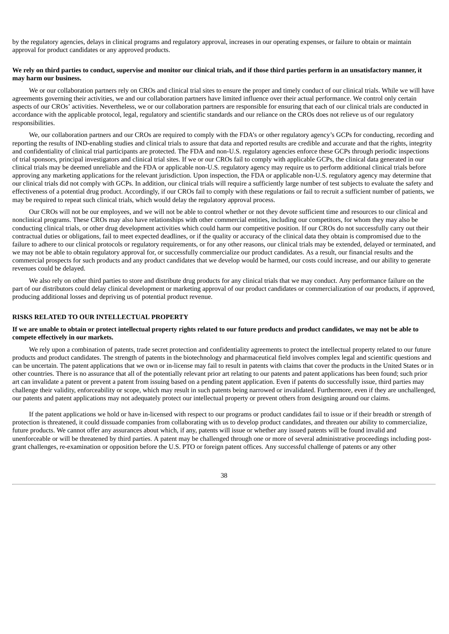by the regulatory agencies, delays in clinical programs and regulatory approval, increases in our operating expenses, or failure to obtain or maintain approval for product candidates or any approved products.

## We rely on third parties to conduct, supervise and monitor our clinical trials, and if those third parties perform in an unsatisfactory manner, it **may harm our business.**

We or our collaboration partners rely on CROs and clinical trial sites to ensure the proper and timely conduct of our clinical trials. While we will have agreements governing their activities, we and our collaboration partners have limited influence over their actual performance. We control only certain aspects of our CROs' activities. Nevertheless, we or our collaboration partners are responsible for ensuring that each of our clinical trials are conducted in accordance with the applicable protocol, legal, regulatory and scientific standards and our reliance on the CROs does not relieve us of our regulatory responsibilities.

We, our collaboration partners and our CROs are required to comply with the FDA's or other regulatory agency's GCPs for conducting, recording and reporting the results of IND-enabling studies and clinical trials to assure that data and reported results are credible and accurate and that the rights, integrity and confidentiality of clinical trial participants are protected. The FDA and non-U.S. regulatory agencies enforce these GCPs through periodic inspections of trial sponsors, principal investigators and clinical trial sites. If we or our CROs fail to comply with applicable GCPs, the clinical data generated in our clinical trials may be deemed unreliable and the FDA or applicable non-U.S. regulatory agency may require us to perform additional clinical trials before approving any marketing applications for the relevant jurisdiction. Upon inspection, the FDA or applicable non-U.S. regulatory agency may determine that our clinical trials did not comply with GCPs. In addition, our clinical trials will require a sufficiently large number of test subjects to evaluate the safety and effectiveness of a potential drug product. Accordingly, if our CROs fail to comply with these regulations or fail to recruit a sufficient number of patients, we may be required to repeat such clinical trials, which would delay the regulatory approval process.

Our CROs will not be our employees, and we will not be able to control whether or not they devote sufficient time and resources to our clinical and nonclinical programs. These CROs may also have relationships with other commercial entities, including our competitors, for whom they may also be conducting clinical trials, or other drug development activities which could harm our competitive position. If our CROs do not successfully carry out their contractual duties or obligations, fail to meet expected deadlines, or if the quality or accuracy of the clinical data they obtain is compromised due to the failure to adhere to our clinical protocols or regulatory requirements, or for any other reasons, our clinical trials may be extended, delayed or terminated, and we may not be able to obtain regulatory approval for, or successfully commercialize our product candidates. As a result, our financial results and the commercial prospects for such products and any product candidates that we develop would be harmed, our costs could increase, and our ability to generate revenues could be delayed.

We also rely on other third parties to store and distribute drug products for any clinical trials that we may conduct. Any performance failure on the part of our distributors could delay clinical development or marketing approval of our product candidates or commercialization of our products, if approved, producing additional losses and depriving us of potential product revenue.

## **RISKS RELATED TO OUR INTELLECTUAL PROPERTY**

## If we are unable to obtain or protect intellectual property rights related to our future products and product candidates, we may not be able to **compete effectively in our markets.**

We rely upon a combination of patents, trade secret protection and confidentiality agreements to protect the intellectual property related to our future products and product candidates. The strength of patents in the biotechnology and pharmaceutical field involves complex legal and scientific questions and can be uncertain. The patent applications that we own or in-license may fail to result in patents with claims that cover the products in the United States or in other countries. There is no assurance that all of the potentially relevant prior art relating to our patents and patent applications has been found; such prior art can invalidate a patent or prevent a patent from issuing based on a pending patent application. Even if patents do successfully issue, third parties may challenge their validity, enforceability or scope, which may result in such patents being narrowed or invalidated. Furthermore, even if they are unchallenged, our patents and patent applications may not adequately protect our intellectual property or prevent others from designing around our claims.

If the patent applications we hold or have in-licensed with respect to our programs or product candidates fail to issue or if their breadth or strength of protection is threatened, it could dissuade companies from collaborating with us to develop product candidates, and threaten our ability to commercialize, future products. We cannot offer any assurances about which, if any, patents will issue or whether any issued patents will be found invalid and unenforceable or will be threatened by third parties. A patent may be challenged through one or more of several administrative proceedings including postgrant challenges, re-examination or opposition before the U.S. PTO or foreign patent offices. Any successful challenge of patents or any other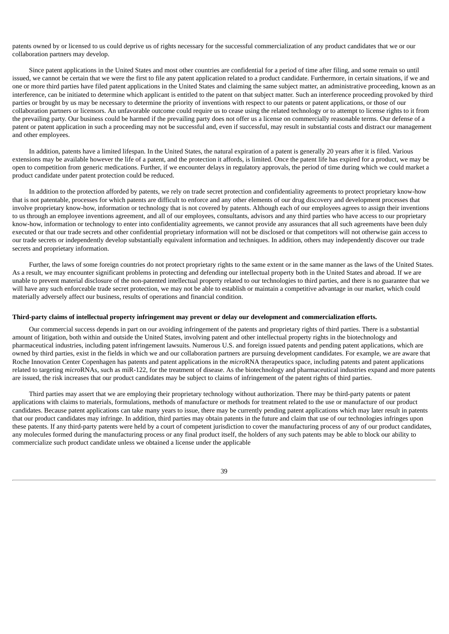patents owned by or licensed to us could deprive us of rights necessary for the successful commercialization of any product candidates that we or our collaboration partners may develop.

Since patent applications in the United States and most other countries are confidential for a period of time after filing, and some remain so until issued, we cannot be certain that we were the first to file any patent application related to a product candidate. Furthermore, in certain situations, if we and one or more third parties have filed patent applications in the United States and claiming the same subject matter, an administrative proceeding, known as an interference, can be initiated to determine which applicant is entitled to the patent on that subject matter. Such an interference proceeding provoked by third parties or brought by us may be necessary to determine the priority of inventions with respect to our patents or patent applications, or those of our collaboration partners or licensors. An unfavorable outcome could require us to cease using the related technology or to attempt to license rights to it from the prevailing party. Our business could be harmed if the prevailing party does not offer us a license on commercially reasonable terms. Our defense of a patent or patent application in such a proceeding may not be successful and, even if successful, may result in substantial costs and distract our management and other employees.

In addition, patents have a limited lifespan. In the United States, the natural expiration of a patent is generally 20 years after it is filed. Various extensions may be available however the life of a patent, and the protection it affords, is limited. Once the patent life has expired for a product, we may be open to competition from generic medications. Further, if we encounter delays in regulatory approvals, the period of time during which we could market a product candidate under patent protection could be reduced.

In addition to the protection afforded by patents, we rely on trade secret protection and confidentiality agreements to protect proprietary know-how that is not patentable, processes for which patents are difficult to enforce and any other elements of our drug discovery and development processes that involve proprietary know-how, information or technology that is not covered by patents. Although each of our employees agrees to assign their inventions to us through an employee inventions agreement, and all of our employees, consultants, advisors and any third parties who have access to our proprietary know-how, information or technology to enter into confidentiality agreements, we cannot provide any assurances that all such agreements have been duly executed or that our trade secrets and other confidential proprietary information will not be disclosed or that competitors will not otherwise gain access to our trade secrets or independently develop substantially equivalent information and techniques. In addition, others may independently discover our trade secrets and proprietary information.

Further, the laws of some foreign countries do not protect proprietary rights to the same extent or in the same manner as the laws of the United States. As a result, we may encounter significant problems in protecting and defending our intellectual property both in the United States and abroad. If we are unable to prevent material disclosure of the non-patented intellectual property related to our technologies to third parties, and there is no guarantee that we will have any such enforceable trade secret protection, we may not be able to establish or maintain a competitive advantage in our market, which could materially adversely affect our business, results of operations and financial condition.

## Third-party claims of intellectual property infringement may prevent or delay our development and commercialization efforts.

Our commercial success depends in part on our avoiding infringement of the patents and proprietary rights of third parties. There is a substantial amount of litigation, both within and outside the United States, involving patent and other intellectual property rights in the biotechnology and pharmaceutical industries, including patent infringement lawsuits. Numerous U.S. and foreign issued patents and pending patent applications, which are owned by third parties, exist in the fields in which we and our collaboration partners are pursuing development candidates. For example, we are aware that Roche Innovation Center Copenhagen has patents and patent applications in the *micro*RNA therapeutics space, including patents and patent applications related to targeting *micro*RNAs, such as miR-122, for the treatment of disease. As the biotechnology and pharmaceutical industries expand and more patents are issued, the risk increases that our product candidates may be subject to claims of infringement of the patent rights of third parties.

Third parties may assert that we are employing their proprietary technology without authorization. There may be third-party patents or patent applications with claims to materials, formulations, methods of manufacture or methods for treatment related to the use or manufacture of our product candidates. Because patent applications can take many years to issue, there may be currently pending patent applications which may later result in patents that our product candidates may infringe. In addition, third parties may obtain patents in the future and claim that use of our technologies infringes upon these patents. If any third-party patents were held by a court of competent jurisdiction to cover the manufacturing process of any of our product candidates, any molecules formed during the manufacturing process or any final product itself, the holders of any such patents may be able to block our ability to commercialize such product candidate unless we obtained a license under the applicable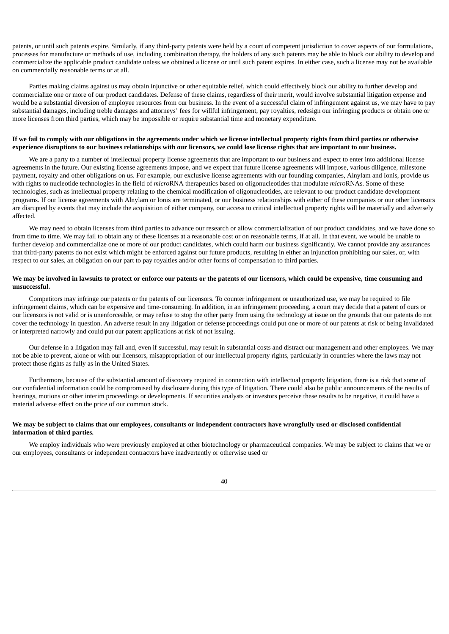patents, or until such patents expire. Similarly, if any third-party patents were held by a court of competent jurisdiction to cover aspects of our formulations, processes for manufacture or methods of use, including combination therapy, the holders of any such patents may be able to block our ability to develop and commercialize the applicable product candidate unless we obtained a license or until such patent expires. In either case, such a license may not be available on commercially reasonable terms or at all.

Parties making claims against us may obtain injunctive or other equitable relief, which could effectively block our ability to further develop and commercialize one or more of our product candidates. Defense of these claims, regardless of their merit, would involve substantial litigation expense and would be a substantial diversion of employee resources from our business. In the event of a successful claim of infringement against us, we may have to pay substantial damages, including treble damages and attorneys' fees for willful infringement, pay royalties, redesign our infringing products or obtain one or more licenses from third parties, which may be impossible or require substantial time and monetary expenditure.

#### If we fail to comply with our obligations in the agreements under which we license intellectual property rights from third parties or otherwise experience disruptions to our business relationships with our licensors, we could lose license rights that are important to our business.

We are a party to a number of intellectual property license agreements that are important to our business and expect to enter into additional license agreements in the future. Our existing license agreements impose, and we expect that future license agreements will impose, various diligence, milestone payment, royalty and other obligations on us. For example, our exclusive license agreements with our founding companies, Alnylam and Ionis, provide us with rights to nucleotide technologies in the field of *micro*RNA therapeutics based on oligonucleotides that modulate *micro*RNAs. Some of these technologies, such as intellectual property relating to the chemical modification of oligonucleotides, are relevant to our product candidate development programs. If our license agreements with Alnylam or Ionis are terminated, or our business relationships with either of these companies or our other licensors are disrupted by events that may include the acquisition of either company, our access to critical intellectual property rights will be materially and adversely affected.

We may need to obtain licenses from third parties to advance our research or allow commercialization of our product candidates, and we have done so from time to time. We may fail to obtain any of these licenses at a reasonable cost or on reasonable terms, if at all. In that event, we would be unable to further develop and commercialize one or more of our product candidates, which could harm our business significantly. We cannot provide any assurances that third-party patents do not exist which might be enforced against our future products, resulting in either an injunction prohibiting our sales, or, with respect to our sales, an obligation on our part to pay royalties and/or other forms of compensation to third parties.

## We may be involved in lawsuits to protect or enforce our patents or the patents of our licensors, which could be expensive, time consuming and **unsuccessful.**

Competitors may infringe our patents or the patents of our licensors. To counter infringement or unauthorized use, we may be required to file infringement claims, which can be expensive and time-consuming. In addition, in an infringement proceeding, a court may decide that a patent of ours or our licensors is not valid or is unenforceable, or may refuse to stop the other party from using the technology at issue on the grounds that our patents do not cover the technology in question. An adverse result in any litigation or defense proceedings could put one or more of our patents at risk of being invalidated or interpreted narrowly and could put our patent applications at risk of not issuing.

Our defense in a litigation may fail and, even if successful, may result in substantial costs and distract our management and other employees. We may not be able to prevent, alone or with our licensors, misappropriation of our intellectual property rights, particularly in countries where the laws may not protect those rights as fully as in the United States.

Furthermore, because of the substantial amount of discovery required in connection with intellectual property litigation, there is a risk that some of our confidential information could be compromised by disclosure during this type of litigation. There could also be public announcements of the results of hearings, motions or other interim proceedings or developments. If securities analysts or investors perceive these results to be negative, it could have a material adverse effect on the price of our common stock.

## We may be subject to claims that our employees, consultants or independent contractors have wrongfully used or disclosed confidential **information of third parties.**

We employ individuals who were previously employed at other biotechnology or pharmaceutical companies. We may be subject to claims that we or our employees, consultants or independent contractors have inadvertently or otherwise used or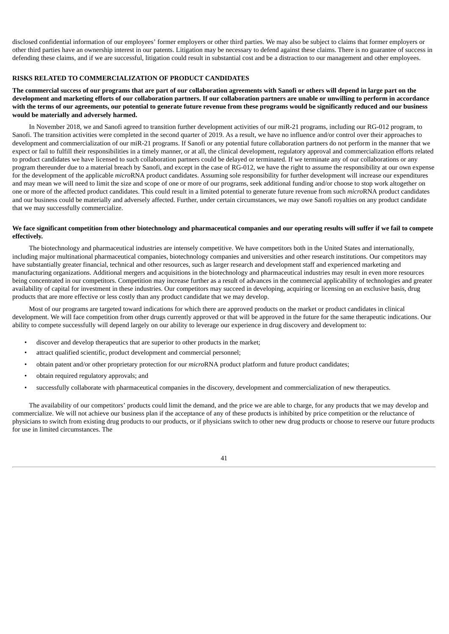disclosed confidential information of our employees' former employers or other third parties. We may also be subject to claims that former employers or other third parties have an ownership interest in our patents. Litigation may be necessary to defend against these claims. There is no guarantee of success in defending these claims, and if we are successful, litigation could result in substantial cost and be a distraction to our management and other employees.

## **RISKS RELATED TO COMMERCIALIZATION OF PRODUCT CANDIDATES**

The commercial success of our programs that are part of our collaboration agreements with Sanofi or others will depend in large part on the development and marketing efforts of our collaboration partners. If our collaboration partners are unable or unwilling to perform in accordance with the terms of our agreements, our potential to generate future revenue from these programs would be significantly reduced and our business **would be materially and adversely harmed.**

In November 2018, we and Sanofi agreed to transition further development activities of our miR-21 programs, including our RG-012 program, to Sanofi. The transition activities were completed in the second quarter of 2019. As a result, we have no influence and/or control over their approaches to development and commercialization of our miR-21 programs. If Sanofi or any potential future collaboration partners do not perform in the manner that we expect or fail to fulfill their responsibilities in a timely manner, or at all, the clinical development, regulatory approval and commercialization efforts related to product candidates we have licensed to such collaboration partners could be delayed or terminated. If we terminate any of our collaborations or any program thereunder due to a material breach by Sanofi, and except in the case of RG-012, we have the right to assume the responsibility at our own expense for the development of the applicable *micro*RNA product candidates. Assuming sole responsibility for further development will increase our expenditures and may mean we will need to limit the size and scope of one or more of our programs, seek additional funding and/or choose to stop work altogether on one or more of the affected product candidates. This could result in a limited potential to generate future revenue from such *micro*RNA product candidates and our business could be materially and adversely affected. Further, under certain circumstances, we may owe Sanofi royalties on any product candidate that we may successfully commercialize.

## We face significant competition from other biotechnology and pharmaceutical companies and our operating results will suffer if we fail to compete **effectively.**

The biotechnology and pharmaceutical industries are intensely competitive. We have competitors both in the United States and internationally, including major multinational pharmaceutical companies, biotechnology companies and universities and other research institutions. Our competitors may have substantially greater financial, technical and other resources, such as larger research and development staff and experienced marketing and manufacturing organizations. Additional mergers and acquisitions in the biotechnology and pharmaceutical industries may result in even more resources being concentrated in our competitors. Competition may increase further as a result of advances in the commercial applicability of technologies and greater availability of capital for investment in these industries. Our competitors may succeed in developing, acquiring or licensing on an exclusive basis, drug products that are more effective or less costly than any product candidate that we may develop.

Most of our programs are targeted toward indications for which there are approved products on the market or product candidates in clinical development. We will face competition from other drugs currently approved or that will be approved in the future for the same therapeutic indications. Our ability to compete successfully will depend largely on our ability to leverage our experience in drug discovery and development to:

- discover and develop therapeutics that are superior to other products in the market;
- attract qualified scientific, product development and commercial personnel;
- obtain patent and/or other proprietary protection for our *micro*RNA product platform and future product candidates;
- obtain required regulatory approvals; and
- successfully collaborate with pharmaceutical companies in the discovery, development and commercialization of new therapeutics.

The availability of our competitors' products could limit the demand, and the price we are able to charge, for any products that we may develop and commercialize. We will not achieve our business plan if the acceptance of any of these products is inhibited by price competition or the reluctance of physicians to switch from existing drug products to our products, or if physicians switch to other new drug products or choose to reserve our future products for use in limited circumstances. The

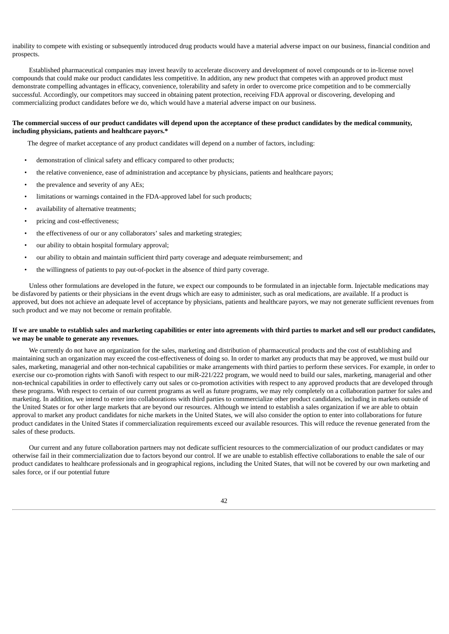inability to compete with existing or subsequently introduced drug products would have a material adverse impact on our business, financial condition and prospects.

Established pharmaceutical companies may invest heavily to accelerate discovery and development of novel compounds or to in-license novel compounds that could make our product candidates less competitive. In addition, any new product that competes with an approved product must demonstrate compelling advantages in efficacy, convenience, tolerability and safety in order to overcome price competition and to be commercially successful. Accordingly, our competitors may succeed in obtaining patent protection, receiving FDA approval or discovering, developing and commercializing product candidates before we do, which would have a material adverse impact on our business.

## The commercial success of our product candidates will depend upon the acceptance of these product candidates by the medical community, **including physicians, patients and healthcare payors.\***

The degree of market acceptance of any product candidates will depend on a number of factors, including:

- demonstration of clinical safety and efficacy compared to other products;
- the relative convenience, ease of administration and acceptance by physicians, patients and healthcare payors;
- the prevalence and severity of any AEs;
- limitations or warnings contained in the FDA-approved label for such products;
- availability of alternative treatments;
- pricing and cost-effectiveness;
- the effectiveness of our or any collaborators' sales and marketing strategies;
- our ability to obtain hospital formulary approval;
- our ability to obtain and maintain sufficient third party coverage and adequate reimbursement; and
- the willingness of patients to pay out-of-pocket in the absence of third party coverage.

Unless other formulations are developed in the future, we expect our compounds to be formulated in an injectable form. Injectable medications may be disfavored by patients or their physicians in the event drugs which are easy to administer, such as oral medications, are available. If a product is approved, but does not achieve an adequate level of acceptance by physicians, patients and healthcare payors, we may not generate sufficient revenues from such product and we may not become or remain profitable.

## If we are unable to establish sales and marketing capabilities or enter into agreements with third parties to market and sell our product candidates, **we may be unable to generate any revenues.**

We currently do not have an organization for the sales, marketing and distribution of pharmaceutical products and the cost of establishing and maintaining such an organization may exceed the cost-effectiveness of doing so. In order to market any products that may be approved, we must build our sales, marketing, managerial and other non-technical capabilities or make arrangements with third parties to perform these services. For example, in order to exercise our co-promotion rights with Sanofi with respect to our miR-221/222 program, we would need to build our sales, marketing, managerial and other non-technical capabilities in order to effectively carry out sales or co-promotion activities with respect to any approved products that are developed through these programs. With respect to certain of our current programs as well as future programs, we may rely completely on a collaboration partner for sales and marketing. In addition, we intend to enter into collaborations with third parties to commercialize other product candidates, including in markets outside of the United States or for other large markets that are beyond our resources. Although we intend to establish a sales organization if we are able to obtain approval to market any product candidates for niche markets in the United States, we will also consider the option to enter into collaborations for future product candidates in the United States if commercialization requirements exceed our available resources. This will reduce the revenue generated from the sales of these products.

Our current and any future collaboration partners may not dedicate sufficient resources to the commercialization of our product candidates or may otherwise fail in their commercialization due to factors beyond our control. If we are unable to establish effective collaborations to enable the sale of our product candidates to healthcare professionals and in geographical regions, including the United States, that will not be covered by our own marketing and sales force, or if our potential future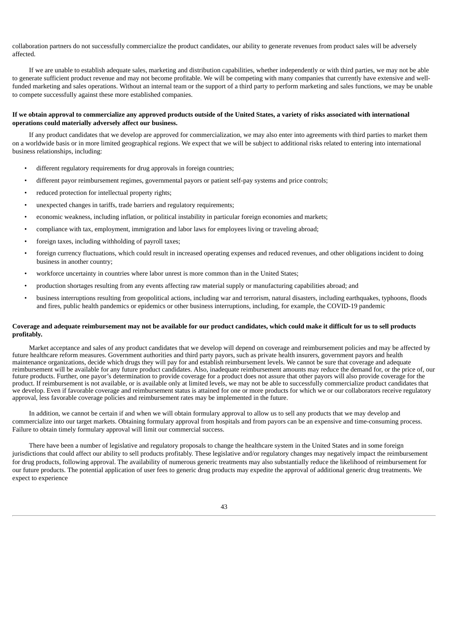collaboration partners do not successfully commercialize the product candidates, our ability to generate revenues from product sales will be adversely affected.

If we are unable to establish adequate sales, marketing and distribution capabilities, whether independently or with third parties, we may not be able to generate sufficient product revenue and may not become profitable. We will be competing with many companies that currently have extensive and wellfunded marketing and sales operations. Without an internal team or the support of a third party to perform marketing and sales functions, we may be unable to compete successfully against these more established companies.

## If we obtain approval to commercialize any approved products outside of the United States, a variety of risks associated with international **operations could materially adversely affect our business.**

If any product candidates that we develop are approved for commercialization, we may also enter into agreements with third parties to market them on a worldwide basis or in more limited geographical regions. We expect that we will be subject to additional risks related to entering into international business relationships, including:

- different regulatory requirements for drug approvals in foreign countries;
- different payor reimbursement regimes, governmental payors or patient self-pay systems and price controls;
- reduced protection for intellectual property rights;
- unexpected changes in tariffs, trade barriers and regulatory requirements;
- economic weakness, including inflation, or political instability in particular foreign economies and markets;
- compliance with tax, employment, immigration and labor laws for employees living or traveling abroad;
- foreign taxes, including withholding of payroll taxes;
- foreign currency fluctuations, which could result in increased operating expenses and reduced revenues, and other obligations incident to doing business in another country;
- workforce uncertainty in countries where labor unrest is more common than in the United States;
- production shortages resulting from any events affecting raw material supply or manufacturing capabilities abroad; and
- business interruptions resulting from geopolitical actions, including war and terrorism, natural disasters, including earthquakes, typhoons, floods and fires, public health pandemics or epidemics or other business interruptions, including, for example, the COVID-19 pandemic

## Coverage and adequate reimbursement may not be available for our product candidates, which could make it difficult for us to sell products **profitably.**

Market acceptance and sales of any product candidates that we develop will depend on coverage and reimbursement policies and may be affected by future healthcare reform measures. Government authorities and third party payors, such as private health insurers, government payors and health maintenance organizations, decide which drugs they will pay for and establish reimbursement levels. We cannot be sure that coverage and adequate reimbursement will be available for any future product candidates. Also, inadequate reimbursement amounts may reduce the demand for, or the price of, our future products. Further, one payor's determination to provide coverage for a product does not assure that other payors will also provide coverage for the product. If reimbursement is not available, or is available only at limited levels, we may not be able to successfully commercialize product candidates that we develop. Even if favorable coverage and reimbursement status is attained for one or more products for which we or our collaborators receive regulatory approval, less favorable coverage policies and reimbursement rates may be implemented in the future.

In addition, we cannot be certain if and when we will obtain formulary approval to allow us to sell any products that we may develop and commercialize into our target markets. Obtaining formulary approval from hospitals and from payors can be an expensive and time-consuming process. Failure to obtain timely formulary approval will limit our commercial success.

There have been a number of legislative and regulatory proposals to change the healthcare system in the United States and in some foreign jurisdictions that could affect our ability to sell products profitably. These legislative and/or regulatory changes may negatively impact the reimbursement for drug products, following approval. The availability of numerous generic treatments may also substantially reduce the likelihood of reimbursement for our future products. The potential application of user fees to generic drug products may expedite the approval of additional generic drug treatments. We expect to experience

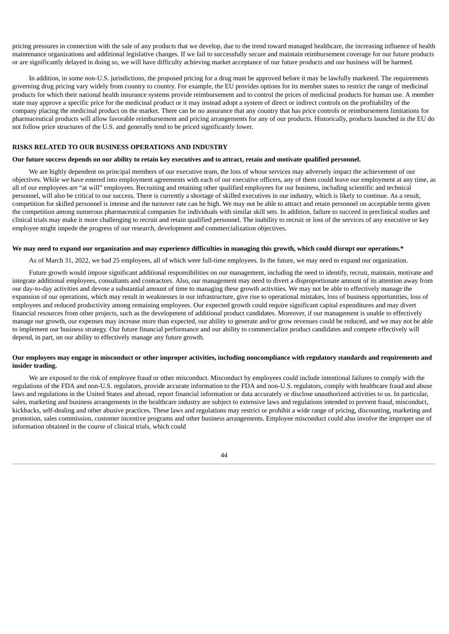pricing pressures in connection with the sale of any products that we develop, due to the trend toward managed healthcare, the increasing influence of health maintenance organizations and additional legislative changes. If we fail to successfully secure and maintain reimbursement coverage for our future products or are significantly delayed in doing so, we will have difficulty achieving market acceptance of our future products and our business will be harmed.

In addition, in some non-U.S. jurisdictions, the proposed pricing for a drug must be approved before it may be lawfully marketed. The requirements governing drug pricing vary widely from country to country. For example, the EU provides options for its member states to restrict the range of medicinal products for which their national health insurance systems provide reimbursement and to control the prices of medicinal products for human use. A member state may approve a specific price for the medicinal product or it may instead adopt a system of direct or indirect controls on the profitability of the company placing the medicinal product on the market. There can be no assurance that any country that has price controls or reimbursement limitations for pharmaceutical products will allow favorable reimbursement and pricing arrangements for any of our products. Historically, products launched in the EU do not follow price structures of the U.S. and generally tend to be priced significantly lower.

#### **RISKS RELATED TO OUR BUSINESS OPERATIONS AND INDUSTRY**

#### Our future success depends on our ability to retain key executives and to attract, retain and motivate qualified personnel.

We are highly dependent on principal members of our executive team, the loss of whose services may adversely impact the achievement of our objectives. While we have entered into employment agreements with each of our executive officers, any of them could leave our employment at any time, as all of our employees are "at will" employees. Recruiting and retaining other qualified employees for our business, including scientific and technical personnel, will also be critical to our success. There is currently a shortage of skilled executives in our industry, which is likely to continue. As a result, competition for skilled personnel is intense and the turnover rate can be high. We may not be able to attract and retain personnel on acceptable terms given the competition among numerous pharmaceutical companies for individuals with similar skill sets. In addition, failure to succeed in preclinical studies and clinical trials may make it more challenging to recruit and retain qualified personnel. The inability to recruit or loss of the services of any executive or key employee might impede the progress of our research, development and commercialization objectives.

#### We may need to expand our organization and may experience difficulties in managing this growth, which could disrupt our operations.\*

As of March 31, 2022, we had 25 employees, all of which were full-time employees. In the future, we may need to expand our organization.

Future growth would impose significant additional responsibilities on our management, including the need to identify, recruit, maintain, motivate and integrate additional employees, consultants and contractors. Also, our management may need to divert a disproportionate amount of its attention away from our day-to-day activities and devote a substantial amount of time to managing these growth activities. We may not be able to effectively manage the expansion of our operations, which may result in weaknesses in our infrastructure, give rise to operational mistakes, loss of business opportunities, loss of employees and reduced productivity among remaining employees. Our expected growth could require significant capital expenditures and may divert financial resources from other projects, such as the development of additional product candidates. Moreover, if our management is unable to effectively manage our growth, our expenses may increase more than expected, our ability to generate and/or grow revenues could be reduced, and we may not be able to implement our business strategy. Our future financial performance and our ability to commercialize product candidates and compete effectively will depend, in part, on our ability to effectively manage any future growth.

## Our employees may engage in misconduct or other improper activities, including noncompliance with regulatory standards and requirements and **insider trading.**

We are exposed to the risk of employee fraud or other misconduct. Misconduct by employees could include intentional failures to comply with the regulations of the FDA and non-U.S. regulators, provide accurate information to the FDA and non-U.S. regulators, comply with healthcare fraud and abuse laws and regulations in the United States and abroad, report financial information or data accurately or disclose unauthorized activities to us. In particular, sales, marketing and business arrangements in the healthcare industry are subject to extensive laws and regulations intended to prevent fraud, misconduct, kickbacks, self-dealing and other abusive practices. These laws and regulations may restrict or prohibit a wide range of pricing, discounting, marketing and promotion, sales commission, customer incentive programs and other business arrangements. Employee misconduct could also involve the improper use of information obtained in the course of clinical trials, which could

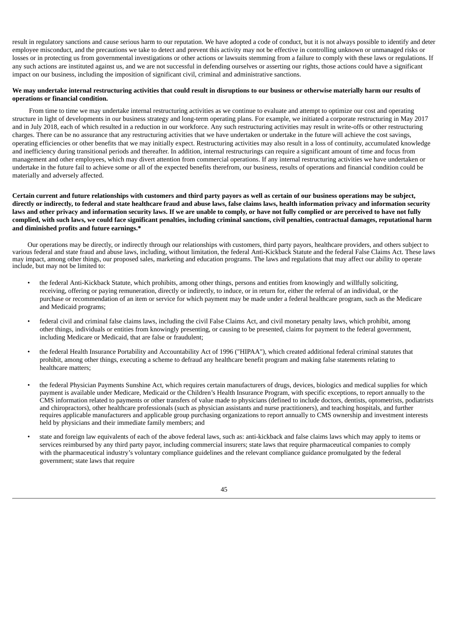result in regulatory sanctions and cause serious harm to our reputation. We have adopted a code of conduct, but it is not always possible to identify and deter employee misconduct, and the precautions we take to detect and prevent this activity may not be effective in controlling unknown or unmanaged risks or losses or in protecting us from governmental investigations or other actions or lawsuits stemming from a failure to comply with these laws or regulations. If any such actions are instituted against us, and we are not successful in defending ourselves or asserting our rights, those actions could have a significant impact on our business, including the imposition of significant civil, criminal and administrative sanctions.

## We may undertake internal restructuring activities that could result in disruptions to our business or otherwise materially harm our results of **operations or financial condition.**

From time to time we may undertake internal restructuring activities as we continue to evaluate and attempt to optimize our cost and operating structure in light of developments in our business strategy and long-term operating plans. For example, we initiated a corporate restructuring in May 2017 and in July 2018, each of which resulted in a reduction in our workforce. Any such restructuring activities may result in write-offs or other restructuring charges. There can be no assurance that any restructuring activities that we have undertaken or undertake in the future will achieve the cost savings, operating efficiencies or other benefits that we may initially expect. Restructuring activities may also result in a loss of continuity, accumulated knowledge and inefficiency during transitional periods and thereafter. In addition, internal restructurings can require a significant amount of time and focus from management and other employees, which may divert attention from commercial operations. If any internal restructuring activities we have undertaken or undertake in the future fail to achieve some or all of the expected benefits therefrom, our business, results of operations and financial condition could be materially and adversely affected.

Certain current and future relationships with customers and third party payors as well as certain of our business operations may be subject, directly or indirectly, to federal and state healthcare fraud and abuse laws, false claims laws, health information privacy and information security laws and other privacy and information security laws. If we are unable to comply, or have not fully complied or are perceived to have not fully complied, with such laws, we could face significant penalties, including criminal sanctions, civil penalties, contractual damages, reputational harm **and diminished profits and future earnings.\***

Our operations may be directly, or indirectly through our relationships with customers, third party payors, healthcare providers, and others subject to various federal and state fraud and abuse laws, including, without limitation, the federal Anti-Kickback Statute and the federal False Claims Act. These laws may impact, among other things, our proposed sales, marketing and education programs. The laws and regulations that may affect our ability to operate include, but may not be limited to:

- the federal Anti-Kickback Statute, which prohibits, among other things, persons and entities from knowingly and willfully soliciting, receiving, offering or paying remuneration, directly or indirectly, to induce, or in return for, either the referral of an individual, or the purchase or recommendation of an item or service for which payment may be made under a federal healthcare program, such as the Medicare and Medicaid programs;
- federal civil and criminal false claims laws, including the civil False Claims Act, and civil monetary penalty laws, which prohibit, among other things, individuals or entities from knowingly presenting, or causing to be presented, claims for payment to the federal government, including Medicare or Medicaid, that are false or fraudulent;
- the federal Health Insurance Portability and Accountability Act of 1996 ("HIPAA"), which created additional federal criminal statutes that prohibit, among other things, executing a scheme to defraud any healthcare benefit program and making false statements relating to healthcare matters;
- the federal Physician Payments Sunshine Act, which requires certain manufacturers of drugs, devices, biologics and medical supplies for which payment is available under Medicare, Medicaid or the Children's Health Insurance Program, with specific exceptions, to report annually to the CMS information related to payments or other transfers of value made to physicians (defined to include doctors, dentists, optometrists, podiatrists and chiropractors), other healthcare professionals (such as physician assistants and nurse practitioners), and teaching hospitals, and further requires applicable manufacturers and applicable group purchasing organizations to report annually to CMS ownership and investment interests held by physicians and their immediate family members; and
- state and foreign law equivalents of each of the above federal laws, such as: anti-kickback and false claims laws which may apply to items or services reimbursed by any third party payor, including commercial insurers; state laws that require pharmaceutical companies to comply with the pharmaceutical industry's voluntary compliance guidelines and the relevant compliance guidance promulgated by the federal government; state laws that require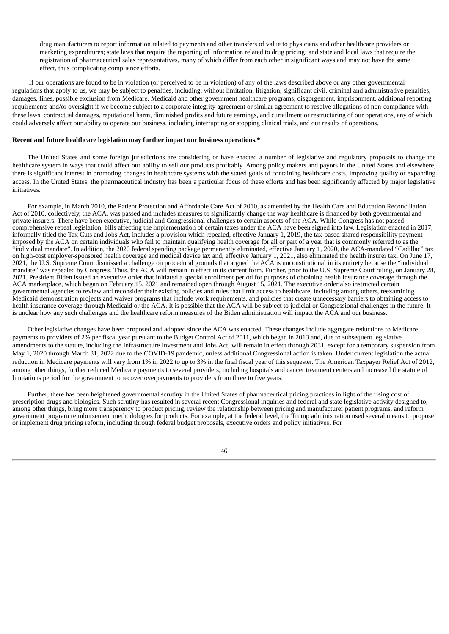drug manufacturers to report information related to payments and other transfers of value to physicians and other healthcare providers or marketing expenditures; state laws that require the reporting of information related to drug pricing; and state and local laws that require the registration of pharmaceutical sales representatives, many of which differ from each other in significant ways and may not have the same effect, thus complicating compliance efforts.

If our operations are found to be in violation (or perceived to be in violation) of any of the laws described above or any other governmental regulations that apply to us, we may be subject to penalties, including, without limitation, litigation, significant civil, criminal and administrative penalties, damages, fines, possible exclusion from Medicare, Medicaid and other government healthcare programs, disgorgement, imprisonment, additional reporting requirements and/or oversight if we become subject to a corporate integrity agreement or similar agreement to resolve allegations of non-compliance with these laws, contractual damages, reputational harm, diminished profits and future earnings, and curtailment or restructuring of our operations, any of which could adversely affect our ability to operate our business, including interrupting or stopping clinical trials, and our results of operations.

#### **Recent and future healthcare legislation may further impact our business operations.\***

The United States and some foreign jurisdictions are considering or have enacted a number of legislative and regulatory proposals to change the healthcare system in ways that could affect our ability to sell our products profitably. Among policy makers and payors in the United States and elsewhere, there is significant interest in promoting changes in healthcare systems with the stated goals of containing healthcare costs, improving quality or expanding access. In the United States, the pharmaceutical industry has been a particular focus of these efforts and has been significantly affected by major legislative initiatives.

For example, in March 2010, the Patient Protection and Affordable Care Act of 2010, as amended by the Health Care and Education Reconciliation Act of 2010, collectively, the ACA, was passed and includes measures to significantly change the way healthcare is financed by both governmental and private insurers. There have been executive, judicial and Congressional challenges to certain aspects of the ACA. While Congress has not passed comprehensive repeal legislation, bills affecting the implementation of certain taxes under the ACA have been signed into law. Legislation enacted in 2017, informally titled the Tax Cuts and Jobs Act, includes a provision which repealed, effective January 1, 2019, the tax-based shared responsibility payment imposed by the ACA on certain individuals who fail to maintain qualifying health coverage for all or part of a year that is commonly referred to as the "individual mandate". In addition, the 2020 federal spending package permanently eliminated, effective January 1, 2020, the ACA-mandated "Cadillac" tax on high-cost employer-sponsored health coverage and medical device tax and, effective January 1, 2021, also eliminated the health insurer tax. On June 17, 2021, the U.S. Supreme Court dismissed a challenge on procedural grounds that argued the ACA is unconstitutional in its entirety because the "individual mandate" was repealed by Congress. Thus, the ACA will remain in effect in its current form. Further, prior to the U.S. Supreme Court ruling, on January 28, 2021, President Biden issued an executive order that initiated a special enrollment period for purposes of obtaining health insurance coverage through the ACA marketplace, which began on February 15, 2021 and remained open through August 15, 2021. The executive order also instructed certain governmental agencies to review and reconsider their existing policies and rules that limit access to healthcare, including among others, reexamining Medicaid demonstration projects and waiver programs that include work requirements, and policies that create unnecessary barriers to obtaining access to health insurance coverage through Medicaid or the ACA. It is possible that the ACA will be subject to judicial or Congressional challenges in the future. It is unclear how any such challenges and the healthcare reform measures of the Biden administration will impact the ACA and our business.

Other legislative changes have been proposed and adopted since the ACA was enacted. These changes include aggregate reductions to Medicare payments to providers of 2% per fiscal year pursuant to the Budget Control Act of 2011, which began in 2013 and, due to subsequent legislative amendments to the statute, including the Infrastructure Investment and Jobs Act, will remain in effect through 2031, except for a temporary suspension from May 1, 2020 through March 31, 2022 due to the COVID-19 pandemic, unless additional Congressional action is taken. Under current legislation the actual reduction in Medicare payments will vary from 1% in 2022 to up to 3% in the final fiscal year of this sequester. The American Taxpayer Relief Act of 2012, among other things, further reduced Medicare payments to several providers, including hospitals and cancer treatment centers and increased the statute of limitations period for the government to recover overpayments to providers from three to five years.

Further, there has been heightened governmental scrutiny in the United States of pharmaceutical pricing practices in light of the rising cost of prescription drugs and biologics. Such scrutiny has resulted in several recent Congressional inquiries and federal and state legislative activity designed to, among other things, bring more transparency to product pricing, review the relationship between pricing and manufacturer patient programs, and reform government program reimbursement methodologies for products. For example, at the federal level, the Trump administration used several means to propose or implement drug pricing reform, including through federal budget proposals, executive orders and policy initiatives. For

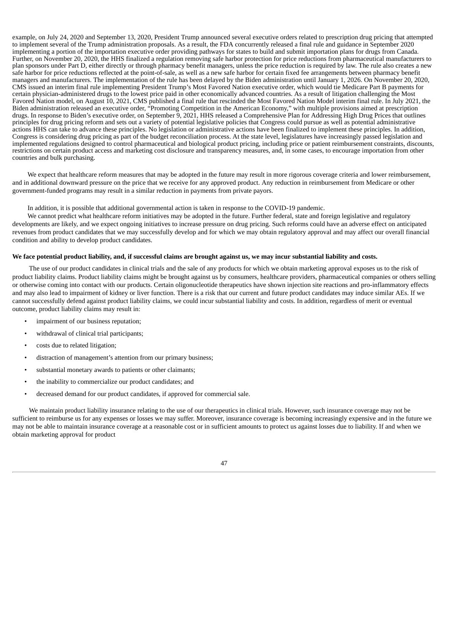example, on July 24, 2020 and September 13, 2020, President Trump announced several executive orders related to prescription drug pricing that attempted to implement several of the Trump administration proposals. As a result, the FDA concurrently released a final rule and guidance in September 2020 implementing a portion of the importation executive order providing pathways for states to build and submit importation plans for drugs from Canada. Further, on November 20, 2020, the HHS finalized a regulation removing safe harbor protection for price reductions from pharmaceutical manufacturers to plan sponsors under Part D, either directly or through pharmacy benefit managers, unless the price reduction is required by law. The rule also creates a new safe harbor for price reductions reflected at the point-of-sale, as well as a new safe harbor for certain fixed fee arrangements between pharmacy benefit managers and manufacturers. The implementation of the rule has been delayed by the Biden administration until January 1, 2026. On November 20, 2020, CMS issued an interim final rule implementing President Trump's Most Favored Nation executive order, which would tie Medicare Part B payments for certain physician-administered drugs to the lowest price paid in other economically advanced countries. As a result of litigation challenging the Most Favored Nation model, on August 10, 2021, CMS published a final rule that rescinded the Most Favored Nation Model interim final rule. In July 2021, the Biden administration released an executive order, "Promoting Competition in the American Economy," with multiple provisions aimed at prescription drugs. In response to Biden's executive order, on September 9, 2021, HHS released a Comprehensive Plan for Addressing High Drug Prices that outlines principles for drug pricing reform and sets out a variety of potential legislative policies that Congress could pursue as well as potential administrative actions HHS can take to advance these principles. No legislation or administrative actions have been finalized to implement these principles. In addition, Congress is considering drug pricing as part of the budget reconciliation process. At the state level, legislatures have increasingly passed legislation and implemented regulations designed to control pharmaceutical and biological product pricing, including price or patient reimbursement constraints, discounts, restrictions on certain product access and marketing cost disclosure and transparency measures, and, in some cases, to encourage importation from other countries and bulk purchasing.

We expect that healthcare reform measures that may be adopted in the future may result in more rigorous coverage criteria and lower reimbursement, and in additional downward pressure on the price that we receive for any approved product. Any reduction in reimbursement from Medicare or other government-funded programs may result in a similar reduction in payments from private payors.

In addition, it is possible that additional governmental action is taken in response to the COVID-19 pandemic.

We cannot predict what healthcare reform initiatives may be adopted in the future. Further federal, state and foreign legislative and regulatory developments are likely, and we expect ongoing initiatives to increase pressure on drug pricing. Such reforms could have an adverse effect on anticipated revenues from product candidates that we may successfully develop and for which we may obtain regulatory approval and may affect our overall financial condition and ability to develop product candidates.

#### We face potential product liability, and, if successful claims are brought against us, we may incur substantial liability and costs.

The use of our product candidates in clinical trials and the sale of any products for which we obtain marketing approval exposes us to the risk of product liability claims. Product liability claims might be brought against us by consumers, healthcare providers, pharmaceutical companies or others selling or otherwise coming into contact with our products. Certain oligonucleotide therapeutics have shown injection site reactions and pro-inflammatory effects and may also lead to impairment of kidney or liver function. There is a risk that our current and future product candidates may induce similar AEs. If we cannot successfully defend against product liability claims, we could incur substantial liability and costs. In addition, regardless of merit or eventual outcome, product liability claims may result in:

- impairment of our business reputation;
- withdrawal of clinical trial participants;
- costs due to related litigation;
- distraction of management's attention from our primary business;
- substantial monetary awards to patients or other claimants;
- the inability to commercialize our product candidates; and
- decreased demand for our product candidates, if approved for commercial sale.

We maintain product liability insurance relating to the use of our therapeutics in clinical trials. However, such insurance coverage may not be sufficient to reimburse us for any expenses or losses we may suffer. Moreover, insurance coverage is becoming increasingly expensive and in the future we may not be able to maintain insurance coverage at a reasonable cost or in sufficient amounts to protect us against losses due to liability. If and when we obtain marketing approval for product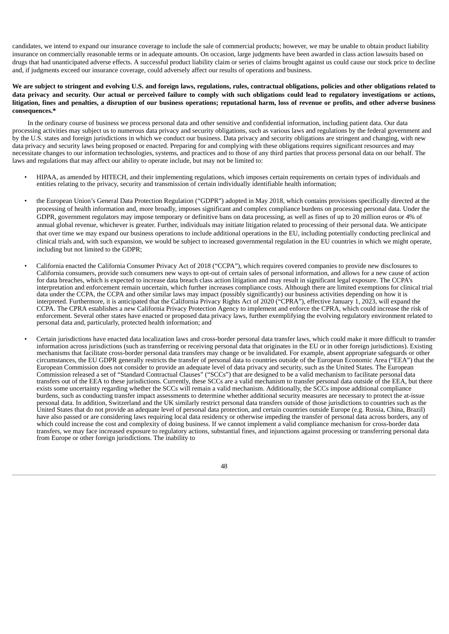candidates, we intend to expand our insurance coverage to include the sale of commercial products; however, we may be unable to obtain product liability insurance on commercially reasonable terms or in adequate amounts. On occasion, large judgments have been awarded in class action lawsuits based on drugs that had unanticipated adverse effects. A successful product liability claim or series of claims brought against us could cause our stock price to decline and, if judgments exceed our insurance coverage, could adversely affect our results of operations and business.

## We are subject to stringent and evolving U.S. and foreign laws, regulations, rules, contractual obligations, policies and other obligations related to data privacy and security. Our actual or perceived failure to comply with such obligations could lead to regulatory investigations or actions, litigation, fines and penalties, a disruption of our business operations; reputational harm, loss of revenue or profits, and other adverse business **consequences.\***

In the ordinary course of business we process personal data and other sensitive and confidential information, including patient data. Our data processing activities may subject us to numerous data privacy and security obligations, such as various laws and regulations by the federal government and by the U.S. states and foreign jurisdictions in which we conduct our business. Data privacy and security obligations are stringent and changing, with new data privacy and security laws being proposed or enacted. Preparing for and complying with these obligations requires significant resources and may necessitate changes to our information technologies, systems, and practices and to those of any third parties that process personal data on our behalf. The laws and regulations that may affect our ability to operate include, but may not be limited to:

- HIPAA, as amended by HITECH, and their implementing regulations, which imposes certain requirements on certain types of individuals and entities relating to the privacy, security and transmission of certain individually identifiable health information;
- the European Union's General Data Protection Regulation ("GDPR") adopted in May 2018, which contains provisions specifically directed at the processing of health information and, more broadly, imposes significant and complex compliance burdens on processing personal data. Under the GDPR, government regulators may impose temporary or definitive bans on data processing, as well as fines of up to 20 million euros or 4% of annual global revenue, whichever is greater. Further, individuals may initiate litigation related to processing of their personal data. We anticipate that over time we may expand our business operations to include additional operations in the EU, including potentially conducting preclinical and clinical trials and, with such expansion, we would be subject to increased governmental regulation in the EU countries in which we might operate, including but not limited to the GDPR;
- California enacted the California Consumer Privacy Act of 2018 ("CCPA"), which requires covered companies to provide new disclosures to California consumers, provide such consumers new ways to opt-out of certain sales of personal information, and allows for a new cause of action for data breaches, which is expected to increase data breach class action litigation and may result in significant legal exposure. The CCPA's interpretation and enforcement remain uncertain, which further increases compliance costs. Although there are limited exemptions for clinical trial data under the CCPA, the CCPA and other similar laws may impact (possibly significantly) our business activities depending on how it is interpreted. Furthermore, it is anticipated that the California Privacy Rights Act of 2020 ("CPRA"), effective January 1, 2023, will expand the CCPA. The CPRA establishes a new California Privacy Protection Agency to implement and enforce the CPRA, which could increase the risk of enforcement. Several other states have enacted or proposed data privacy laws, further exemplifying the evolving regulatory environment related to personal data and, particularly, protected health information; and
- Certain jurisdictions have enacted data localization laws and cross-border personal data transfer laws, which could make it more difficult to transfer information across jurisdictions (such as transferring or receiving personal data that originates in the EU or in other foreign jurisdictions). Existing mechanisms that facilitate cross-border personal data transfers may change or be invalidated. For example, absent appropriate safeguards or other circumstances, the EU GDPR generally restricts the transfer of personal data to countries outside of the European Economic Area ("EEA") that the European Commission does not consider to provide an adequate level of data privacy and security, such as the United States. The European Commission released a set of "Standard Contractual Clauses" ("SCCs") that are designed to be a valid mechanism to facilitate personal data transfers out of the EEA to these jurisdictions. Currently, these SCCs are a valid mechanism to transfer personal data outside of the EEA, but there exists some uncertainty regarding whether the SCCs will remain a valid mechanism. Additionally, the SCCs impose additional compliance burdens, such as conducting transfer impact assessments to determine whether additional security measures are necessary to protect the at-issue personal data. In addition, Switzerland and the UK similarly restrict personal data transfers outside of those jurisdictions to countries such as the United States that do not provide an adequate level of personal data protection, and certain countries outside Europe (e.g. Russia, China, Brazil) have also passed or are considering laws requiring local data residency or otherwise impeding the transfer of personal data across borders, any of which could increase the cost and complexity of doing business. If we cannot implement a valid compliance mechanism for cross-border data transfers, we may face increased exposure to regulatory actions, substantial fines, and injunctions against processing or transferring personal data from Europe or other foreign jurisdictions. The inability to

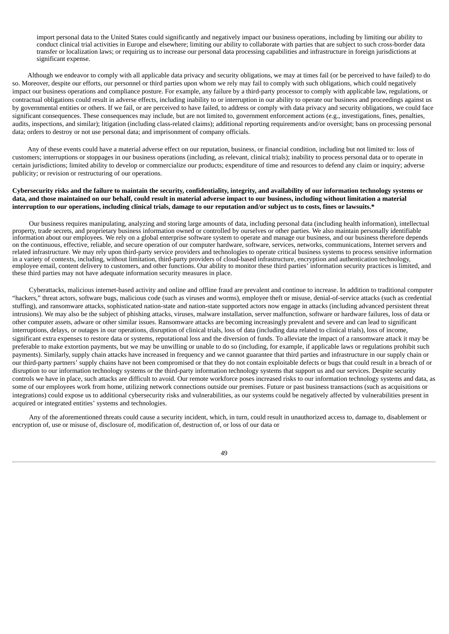import personal data to the United States could significantly and negatively impact our business operations, including by limiting our ability to conduct clinical trial activities in Europe and elsewhere; limiting our ability to collaborate with parties that are subject to such cross-border data transfer or localization laws; or requiring us to increase our personal data processing capabilities and infrastructure in foreign jurisdictions at significant expense.

Although we endeavor to comply with all applicable data privacy and security obligations, we may at times fail (or be perceived to have failed) to do so. Moreover, despite our efforts, our personnel or third parties upon whom we rely may fail to comply with such obligations, which could negatively impact our business operations and compliance posture. For example, any failure by a third-party processor to comply with applicable law, regulations, or contractual obligations could result in adverse effects, including inability to or interruption in our ability to operate our business and proceedings against us by governmental entities or others. If we fail, or are perceived to have failed, to address or comply with data privacy and security obligations, we could face significant consequences. These consequences may include, but are not limited to, government enforcement actions (e.g., investigations, fines, penalties, audits, inspections, and similar); litigation (including class-related claims); additional reporting requirements and/or oversight; bans on processing personal data; orders to destroy or not use personal data; and imprisonment of company officials.

Any of these events could have a material adverse effect on our reputation, business, or financial condition, including but not limited to: loss of customers; interruptions or stoppages in our business operations (including, as relevant, clinical trials); inability to process personal data or to operate in certain jurisdictions; limited ability to develop or commercialize our products; expenditure of time and resources to defend any claim or inquiry; adverse publicity; or revision or restructuring of our operations.

## Cybersecurity risks and the failure to maintain the security, confidentiality, integrity, and availability of our information technology systems or data, and those maintained on our behalf, could result in material adverse impact to our business, including without limitation a material interruption to our operations, including clinical trials, damage to our reputation and/or subject us to costs, fines or lawsuits.\*

Our business requires manipulating, analyzing and storing large amounts of data, including personal data (including health information), intellectual property, trade secrets, and proprietary business information owned or controlled by ourselves or other parties. We also maintain personally identifiable information about our employees. We rely on a global enterprise software system to operate and manage our business, and our business therefore depends on the continuous, effective, reliable, and secure operation of our computer hardware, software, services, networks, communications, Internet servers and related infrastructure. We may rely upon third-party service providers and technologies to operate critical business systems to process sensitive information in a variety of contexts, including, without limitation, third-party providers of cloud-based infrastructure, encryption and authentication technology, employee email, content delivery to customers, and other functions. Our ability to monitor these third parties' information security practices is limited, and these third parties may not have adequate information security measures in place.

Cyberattacks, malicious internet-based activity and online and offline fraud are prevalent and continue to increase. In addition to traditional computer "hackers," threat actors, software bugs, malicious code (such as viruses and worms), employee theft or misuse, denial-of-service attacks (such as credential stuffing), and ransomware attacks, sophisticated nation-state and nation-state supported actors now engage in attacks (including advanced persistent threat intrusions). We may also be the subject of phishing attacks, viruses, malware installation, server malfunction, software or hardware failures, loss of data or other computer assets, adware or other similar issues. Ransomware attacks are becoming increasingly prevalent and severe and can lead to significant interruptions, delays, or outages in our operations, disruption of clinical trials, loss of data (including data related to clinical trials), loss of income, significant extra expenses to restore data or systems, reputational loss and the diversion of funds. To alleviate the impact of a ransomware attack it may be preferable to make extortion payments, but we may be unwilling or unable to do so (including, for example, if applicable laws or regulations prohibit such payments). Similarly, supply chain attacks have increased in frequency and we cannot guarantee that third parties and infrastructure in our supply chain or our third-party partners' supply chains have not been compromised or that they do not contain exploitable defects or bugs that could result in a breach of or disruption to our information technology systems or the third-party information technology systems that support us and our services. Despite security controls we have in place, such attacks are difficult to avoid. Our remote workforce poses increased risks to our information technology systems and data, as some of our employees work from home, utilizing network connections outside our premises. Future or past business transactions (such as acquisitions or integrations) could expose us to additional cybersecurity risks and vulnerabilities, as our systems could be negatively affected by vulnerabilities present in acquired or integrated entities' systems and technologies.

Any of the aforementioned threats could cause a security incident, which, in turn, could result in unauthorized access to, damage to, disablement or encryption of, use or misuse of, disclosure of, modification of, destruction of, or loss of our data or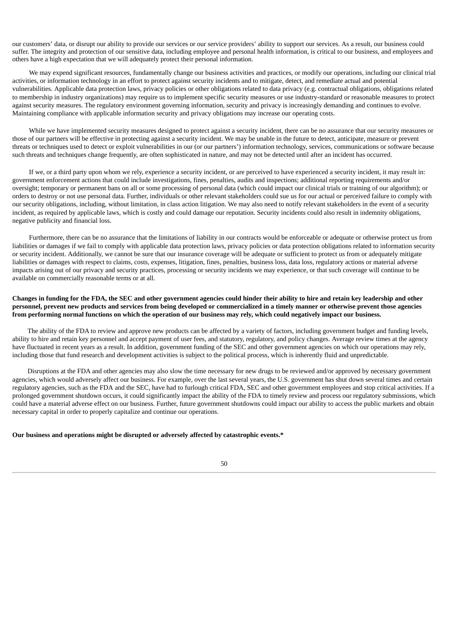our customers' data, or disrupt our ability to provide our services or our service providers' ability to support our services. As a result, our business could suffer. The integrity and protection of our sensitive data, including employee and personal health information, is critical to our business, and employees and others have a high expectation that we will adequately protect their personal information.

We may expend significant resources, fundamentally change our business activities and practices, or modify our operations, including our clinical trial activities, or information technology in an effort to protect against security incidents and to mitigate, detect, and remediate actual and potential vulnerabilities. Applicable data protection laws, privacy policies or other obligations related to data privacy (e.g. contractual obligations, obligations related to membership in industry organizations) may require us to implement specific security measures or use industry-standard or reasonable measures to protect against security measures. The regulatory environment governing information, security and privacy is increasingly demanding and continues to evolve. Maintaining compliance with applicable information security and privacy obligations may increase our operating costs.

While we have implemented security measures designed to protect against a security incident, there can be no assurance that our security measures or those of our partners will be effective in protecting against a security incident. We may be unable in the future to detect, anticipate, measure or prevent threats or techniques used to detect or exploit vulnerabilities in our (or our partners') information technology, services, communications or software because such threats and techniques change frequently, are often sophisticated in nature, and may not be detected until after an incident has occurred.

If we, or a third party upon whom we rely, experience a security incident, or are perceived to have experienced a security incident, it may result in: government enforcement actions that could include investigations, fines, penalties, audits and inspections; additional reporting requirements and/or oversight; temporary or permanent bans on all or some processing of personal data (which could impact our clinical trials or training of our algorithm); or orders to destroy or not use personal data. Further, individuals or other relevant stakeholders could sue us for our actual or perceived failure to comply with our security obligations, including, without limitation, in class action litigation. We may also need to notify relevant stakeholders in the event of a security incident, as required by applicable laws, which is costly and could damage our reputation. Security incidents could also result in indemnity obligations, negative publicity and financial loss.

Furthermore, there can be no assurance that the limitations of liability in our contracts would be enforceable or adequate or otherwise protect us from liabilities or damages if we fail to comply with applicable data protection laws, privacy policies or data protection obligations related to information security or security incident. Additionally, we cannot be sure that our insurance coverage will be adequate or sufficient to protect us from or adequately mitigate liabilities or damages with respect to claims, costs, expenses, litigation, fines, penalties, business loss, data loss, regulatory actions or material adverse impacts arising out of our privacy and security practices, processing or security incidents we may experience, or that such coverage will continue to be available on commercially reasonable terms or at all.

## Changes in funding for the FDA, the SEC and other government agencies could hinder their ability to hire and retain key leadership and other personnel, prevent new products and services from being developed or commercialized in a timely manner or otherwise prevent those agencies from performing normal functions on which the operation of our business may rely, which could negatively impact our business.

The ability of the FDA to review and approve new products can be affected by a variety of factors, including government budget and funding levels, ability to hire and retain key personnel and accept payment of user fees, and statutory, regulatory, and policy changes. Average review times at the agency have fluctuated in recent years as a result. In addition, government funding of the SEC and other government agencies on which our operations may rely, including those that fund research and development activities is subject to the political process, which is inherently fluid and unpredictable.

Disruptions at the FDA and other agencies may also slow the time necessary for new drugs to be reviewed and/or approved by necessary government agencies, which would adversely affect our business. For example, over the last several years, the U.S. government has shut down several times and certain regulatory agencies, such as the FDA and the SEC, have had to furlough critical FDA, SEC and other government employees and stop critical activities. If a prolonged government shutdown occurs, it could significantly impact the ability of the FDA to timely review and process our regulatory submissions, which could have a material adverse effect on our business. Further, future government shutdowns could impact our ability to access the public markets and obtain necessary capital in order to properly capitalize and continue our operations.

## **Our business and operations might be disrupted or adversely affected by catastrophic events.\***

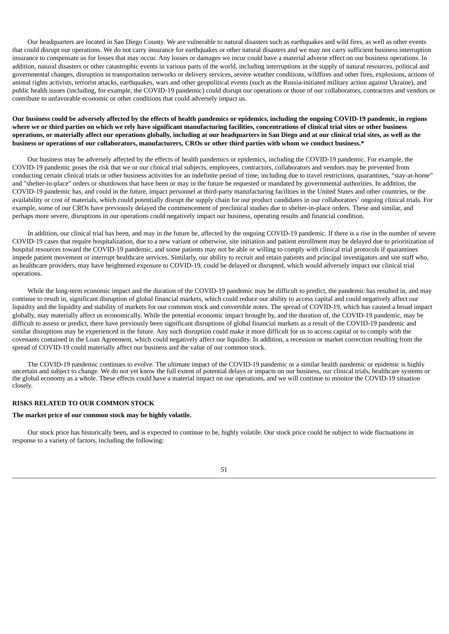Our headquarters are located in San Diego County. We are vulnerable to natural disasters such as earthquakes and wild fires, as well as other events that could disrupt our operations. We do not carry insurance for earthquakes or other natural disasters and we may not carry sufficient business interruption insurance to compensate us for losses that may occur. Any losses or damages we incur could have a material adverse effect on our business operations. In addition, natural disasters or other catastrophic events in various parts of the world, including interruptions in the supply of natural resources, political and governmental changes, disruption in transportation networks or delivery services, severe weather conditions, wildfires and other fires, explosions, actions of animal rights activists, terrorist attacks, earthquakes, wars and other geopolitical events (such as the Russia-initiated military action against Ukraine), and public health issues (including, for example, the COVID-19 pandemic) could disrupt our operations or those of our collaborators, contractors and vendors or contribute to unfavorable economic or other conditions that could adversely impact us.

## Our business could be adversely affected by the effects of health pandemics or epidemics, including the ongoing COVID-19 pandemic, in regions where we or third parties on which we rely have significant manufacturing facilities, concentrations of clinical trial sites or other business operations, or materially affect our operations globally, including at our headquarters in San Diego and at our clinical trial sites, as well as the business or operations of our collaborators, manufacturers, CROs or other third parties with whom we conduct business.\*

Our business may be adversely affected by the effects of health pandemics or epidemics, including the COVID-19 pandemic. For example, the COVID-19 pandemic poses the risk that we or our clinical trial subjects, employees, contractors, collaborators and vendors may be prevented from conducting certain clinical trials or other business activities for an indefinite period of time, including due to travel restrictions, quarantines, "stay-at-home" and "shelter-in-place" orders or shutdowns that have been or may in the future be requested or mandated by governmental authorities. In addition, the COVID-19 pandemic has, and could in the future, impact personnel at third-party manufacturing facilities in the United States and other countries, or the availability or cost of materials, which could potentially disrupt the supply chain for our product candidates in our collaborators' ongoing clinical trials. For example, some of our CROs have previously delayed the commencement of preclinical studies due to shelter-in-place orders. These and similar, and perhaps more severe, disruptions in our operations could negatively impact our business, operating results and financial condition.

In addition, our clinical trial has been, and may in the future be, affected by the ongoing COVID-19 pandemic. If there is a rise in the number of severe COVID-19 cases that require hospitalization, due to a new variant or otherwise, site initiation and patient enrollment may be delayed due to prioritization of hospital resources toward the COVID-19 pandemic, and some patients may not be able or willing to comply with clinical trial protocols if quarantines impede patient movement or interrupt healthcare services. Similarly, our ability to recruit and retain patients and principal investigators and site staff who, as healthcare providers, may have heightened exposure to COVID-19, could be delayed or disrupted, which would adversely impact our clinical trial operations.

While the long-term economic impact and the duration of the COVID-19 pandemic may be difficult to predict, the pandemic has resulted in, and may continue to result in, significant disruption of global financial markets, which could reduce our ability to access capital and could negatively affect our liquidity and the liquidity and stability of markets for our common stock and convertible notes. The spread of COVID-19, which has caused a broad impact globally, may materially affect us economically. While the potential economic impact brought by, and the duration of, the COVID-19 pandemic, may be difficult to assess or predict, there have previously been significant disruptions of global financial markets as a result of the COVID-19 pandemic and similar disruptions may be experienced in the future. Any such disruption could make it more difficult for us to access capital or to comply with the covenants contained in the Loan Agreement, which could negatively affect our liquidity. In addition, a recession or market correction resulting from the spread of COVID-19 could materially affect our business and the value of our common stock.

The COVID-19 pandemic continues to evolve. The ultimate impact of the COVID-19 pandemic or a similar health pandemic or epidemic is highly uncertain and subject to change. We do not yet know the full extent of potential delays or impacts on our business, our clinical trials, healthcare systems or the global economy as a whole. These effects could have a material impact on our operations, and we will continue to monitor the COVID-19 situation closely.

## **RISKS RELATED TO OUR COMMON STOCK**

#### **The market price of our common stock may be highly volatile.**

Our stock price has historically been, and is expected to continue to be, highly volatile. Our stock price could be subject to wide fluctuations in response to a variety of factors, including the following: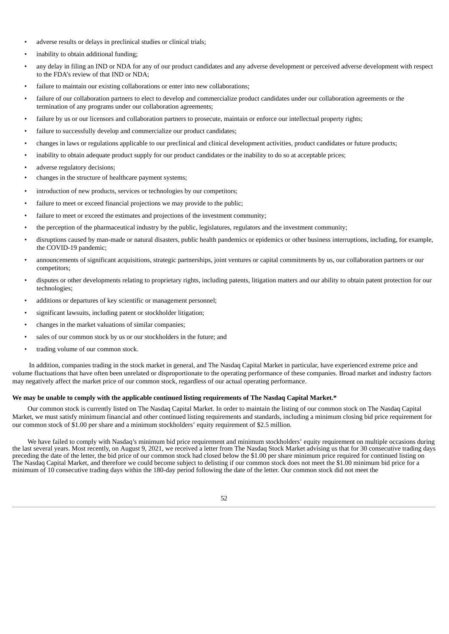- adverse results or delays in preclinical studies or clinical trials;
- inability to obtain additional funding;
- any delay in filing an IND or NDA for any of our product candidates and any adverse development or perceived adverse development with respect to the FDA's review of that IND or NDA;
- failure to maintain our existing collaborations or enter into new collaborations;
- failure of our collaboration partners to elect to develop and commercialize product candidates under our collaboration agreements or the termination of any programs under our collaboration agreements;
- failure by us or our licensors and collaboration partners to prosecute, maintain or enforce our intellectual property rights;
- failure to successfully develop and commercialize our product candidates;
- changes in laws or regulations applicable to our preclinical and clinical development activities, product candidates or future products;
- inability to obtain adequate product supply for our product candidates or the inability to do so at acceptable prices;
- adverse regulatory decisions;
- changes in the structure of healthcare payment systems;
- introduction of new products, services or technologies by our competitors;
- failure to meet or exceed financial projections we may provide to the public;
- failure to meet or exceed the estimates and projections of the investment community;
- the perception of the pharmaceutical industry by the public, legislatures, regulators and the investment community;
- disruptions caused by man-made or natural disasters, public health pandemics or epidemics or other business interruptions, including, for example, the COVID-19 pandemic;
- announcements of significant acquisitions, strategic partnerships, joint ventures or capital commitments by us, our collaboration partners or our competitors;
- disputes or other developments relating to proprietary rights, including patents, litigation matters and our ability to obtain patent protection for our technologies;
- additions or departures of key scientific or management personnel;
- significant lawsuits, including patent or stockholder litigation;
- changes in the market valuations of similar companies;
- sales of our common stock by us or our stockholders in the future; and
- trading volume of our common stock.

In addition, companies trading in the stock market in general, and The Nasdaq Capital Market in particular, have experienced extreme price and volume fluctuations that have often been unrelated or disproportionate to the operating performance of these companies. Broad market and industry factors may negatively affect the market price of our common stock, regardless of our actual operating performance.

## We may be unable to comply with the applicable continued listing requirements of The Nasdaq Capital Market.\*

Our common stock is currently listed on The Nasdaq Capital Market. In order to maintain the listing of our common stock on The Nasdaq Capital Market, we must satisfy minimum financial and other continued listing requirements and standards, including a minimum closing bid price requirement for our common stock of \$1.00 per share and a minimum stockholders' equity requirement of \$2.5 million.

We have failed to comply with Nasdaq's minimum bid price requirement and minimum stockholders' equity requirement on multiple occasions during the last several years. Most recently, on August 9, 2021, we received a letter from The Nasdaq Stock Market advising us that for 30 consecutive trading days preceding the date of the letter, the bid price of our common stock had closed below the \$1.00 per share minimum price required for continued listing on The Nasdaq Capital Market, and therefore we could become subject to delisting if our common stock does not meet the \$1.00 minimum bid price for a minimum of 10 consecutive trading days within the 180-day period following the date of the letter. Our common stock did not meet the

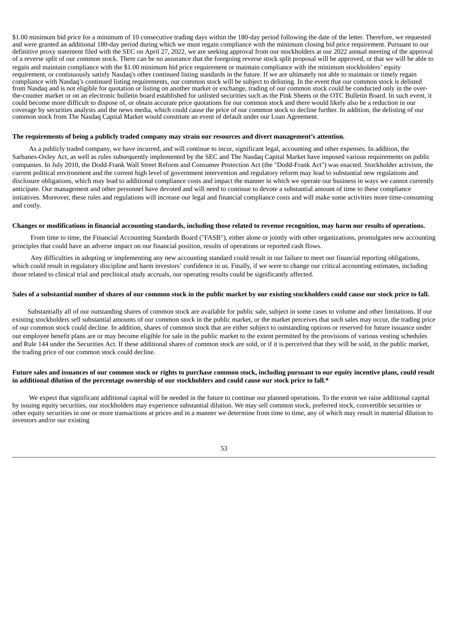\$1.00 minimum bid price for a minimum of 10 consecutive trading days within the 180-day period following the date of the letter. Therefore, we requested and were granted an additional 180-day period during which we must regain compliance with the minimum closing bid price requirement. Pursuant to our definitive proxy statement filed with the SEC on April 27, 2022, we are seeking approval from our stockholders at our 2022 annual meeting of the approval of a reverse split of our common stock. There can be no assurance that the foregoing reverse stock split proposal will be approved, or that we will be able to regain and maintain compliance with the \$1.00 minimum bid price requirement or maintain compliance with the minimum stockholders' equity requirement, or continuously satisfy Nasdaq's other continued listing standards in the future. If we are ultimately not able to maintain or timely regain compliance with Nasdaq's continued listing requirements, our common stock will be subject to delisting. In the event that our common stock is delisted from Nasdaq and is not eligible for quotation or listing on another market or exchange, trading of our common stock could be conducted only in the overthe-counter market or on an electronic bulletin board established for unlisted securities such as the Pink Sheets or the OTC Bulletin Board. In such event, it could become more difficult to dispose of, or obtain accurate price quotations for our common stock and there would likely also be a reduction in our coverage by securities analysts and the news media, which could cause the price of our common stock to decline further. In addition, the delisting of our common stock from The Nasdaq Capital Market would constitute an event of default under our Loan Agreement.

#### **The requirements of being a publicly traded company may strain our resources and divert management's attention.**

As a publicly traded company, we have incurred, and will continue to incur, significant legal, accounting and other expenses. In addition, the Sarbanes-Oxley Act, as well as rules subsequently implemented by the SEC and The Nasdaq Capital Market have imposed various requirements on public companies. In July 2010, the Dodd-Frank Wall Street Reform and Consumer Protection Act (the "Dodd-Frank Act") was enacted. Stockholder activism, the current political environment and the current high level of government intervention and regulatory reform may lead to substantial new regulations and disclosure obligations, which may lead to additional compliance costs and impact the manner in which we operate our business in ways we cannot currently anticipate. Our management and other personnel have devoted and will need to continue to devote a substantial amount of time to these compliance initiatives. Moreover, these rules and regulations will increase our legal and financial compliance costs and will make some activities more time-consuming and costly.

#### Changes or modifications in financial accounting standards, including those related to revenue recognition, may harm our results of operations.

From time to time, the Financial Accounting Standards Board ("FASB"), either alone or jointly with other organizations, promulgates new accounting principles that could have an adverse impact on our financial position, results of operations or reported cash flows.

Any difficulties in adopting or implementing any new accounting standard could result in our failure to meet our financial reporting obligations, which could result in regulatory discipline and harm investors' confidence in us. Finally, if we were to change our critical accounting estimates, including those related to clinical trial and preclinical study accruals, our operating results could be significantly affected.

## Sales of a substantial number of shares of our common stock in the public market by our existing stockholders could cause our stock price to fall.

Substantially all of our outstanding shares of common stock are available for public sale, subject in some cases to volume and other limitations. If our existing stockholders sell substantial amounts of our common stock in the public market, or the market perceives that such sales may occur, the trading price of our common stock could decline. In addition, shares of common stock that are either subject to outstanding options or reserved for future issuance under our employee benefit plans are or may become eligible for sale in the public market to the extent permitted by the provisions of various vesting schedules and Rule 144 under the Securities Act. If these additional shares of common stock are sold, or if it is perceived that they will be sold, in the public market, the trading price of our common stock could decline.

#### Future sales and issuances of our common stock or rights to purchase common stock, including pursuant to our equity incentive plans, could result in additional dilution of the percentage ownership of our stockholders and could cause our stock price to fall.\*

We expect that significant additional capital will be needed in the future to continue our planned operations. To the extent we raise additional capital by issuing equity securities, our stockholders may experience substantial dilution. We may sell common stock, preferred stock, convertible securities or other equity securities in one or more transactions at prices and in a manner we determine from time to time, any of which may result in material dilution to investors and/or our existing

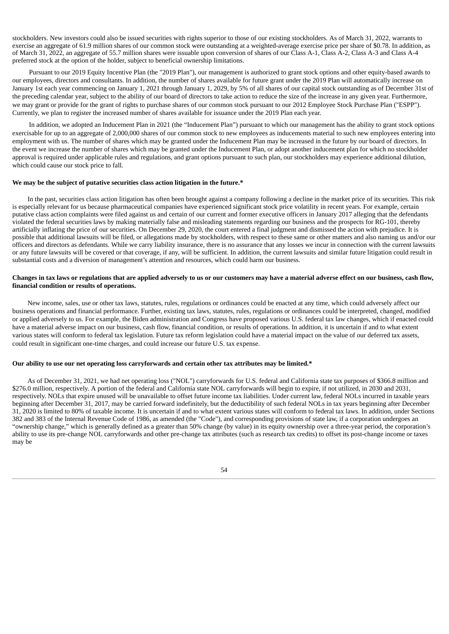stockholders. New investors could also be issued securities with rights superior to those of our existing stockholders. As of March 31, 2022, warrants to exercise an aggregate of 61.9 million shares of our common stock were outstanding at a weighted-average exercise price per share of \$0.78. In addition, as of March 31, 2022, an aggregate of 55.7 million shares were issuable upon conversion of shares of our Class A-1, Class A-2, Class A-3 and Class A-4 preferred stock at the option of the holder, subject to beneficial ownership limitations.

Pursuant to our 2019 Equity Incentive Plan (the "2019 Plan"), our management is authorized to grant stock options and other equity-based awards to our employees, directors and consultants. In addition, the number of shares available for future grant under the 2019 Plan will automatically increase on January 1st each year commencing on January 1, 2021 through January 1, 2029, by 5% of all shares of our capital stock outstanding as of December 31st of the preceding calendar year, subject to the ability of our board of directors to take action to reduce the size of the increase in any given year. Furthermore, we may grant or provide for the grant of rights to purchase shares of our common stock pursuant to our 2012 Employee Stock Purchase Plan ("ESPP"). Currently, we plan to register the increased number of shares available for issuance under the 2019 Plan each year.

In addition, we adopted an Inducement Plan in 2021 (the "Inducement Plan") pursuant to which our management has the ability to grant stock options exercisable for up to an aggregate of 2,000,000 shares of our common stock to new employees as inducements material to such new employees entering into employment with us. The number of shares which may be granted under the Inducement Plan may be increased in the future by our board of directors. In the event we increase the number of shares which may be granted under the Inducement Plan, or adopt another inducement plan for which no stockholder approval is required under applicable rules and regulations, and grant options pursuant to such plan, our stockholders may experience additional dilution, which could cause our stock price to fall.

### **We may be the subject of putative securities class action litigation in the future.\***

In the past, securities class action litigation has often been brought against a company following a decline in the market price of its securities. This risk is especially relevant for us because pharmaceutical companies have experienced significant stock price volatility in recent years. For example, certain putative class action complaints were filed against us and certain of our current and former executive officers in January 2017 alleging that the defendants violated the federal securities laws by making materially false and misleading statements regarding our business and the prospects for RG-101, thereby artificially inflating the price of our securities. On December 29, 2020, the court entered a final judgment and dismissed the action with prejudice. It is possible that additional lawsuits will be filed, or allegations made by stockholders, with respect to these same or other matters and also naming us and/or our officers and directors as defendants. While we carry liability insurance, there is no assurance that any losses we incur in connection with the current lawsuits or any future lawsuits will be covered or that coverage, if any, will be sufficient. In addition, the current lawsuits and similar future litigation could result in substantial costs and a diversion of management's attention and resources, which could harm our business.

#### Changes in tax laws or regulations that are applied adversely to us or our customers may have a material adverse effect on our business, cash flow, **financial condition or results of operations.**

New income, sales, use or other tax laws, statutes, rules, regulations or ordinances could be enacted at any time, which could adversely affect our business operations and financial performance. Further, existing tax laws, statutes, rules, regulations or ordinances could be interpreted, changed, modified or applied adversely to us. For example, the Biden administration and Congress have proposed various U.S. federal tax law changes, which if enacted could have a material adverse impact on our business, cash flow, financial condition, or results of operations. In addition, it is uncertain if and to what extent various states will conform to federal tax legislation. Future tax reform legislation could have a material impact on the value of our deferred tax assets, could result in significant one-time charges, and could increase our future U.S. tax expense.

#### **Our ability to use our net operating loss carryforwards and certain other tax attributes may be limited.\***

As of December 31, 2021, we had net operating loss ("NOL") carryforwards for U.S. federal and California state tax purposes of \$366.8 million and \$276.0 million, respectively. A portion of the federal and California state NOL carryforwards will begin to expire, if not utilized, in 2030 and 2031, respectively. NOLs that expire unused will be unavailable to offset future income tax liabilities. Under current law, federal NOLs incurred in taxable years beginning after December 31, 2017, may be carried forward indefinitely, but the deductibility of such federal NOLs in tax years beginning after December 31, 2020 is limited to 80% of taxable income. It is uncertain if and to what extent various states will conform to federal tax laws. In addition, under Sections 382 and 383 of the Internal Revenue Code of 1986, as amended (the "Code"), and corresponding provisions of state law, if a corporation undergoes an "ownership change," which is generally defined as a greater than 50% change (by value) in its equity ownership over a three-year period, the corporation's ability to use its pre-change NOL carryforwards and other pre-change tax attributes (such as research tax credits) to offset its post-change income or taxes may be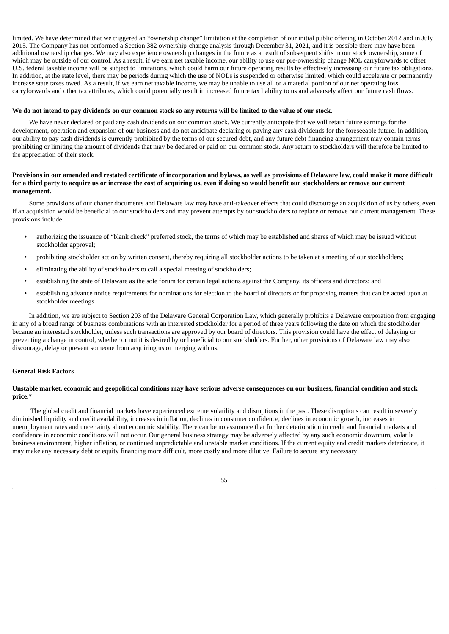limited. We have determined that we triggered an "ownership change" limitation at the completion of our initial public offering in October 2012 and in July 2015. The Company has not performed a Section 382 ownership-change analysis through December 31, 2021, and it is possible there may have been additional ownership changes. We may also experience ownership changes in the future as a result of subsequent shifts in our stock ownership, some of which may be outside of our control. As a result, if we earn net taxable income, our ability to use our pre-ownership change NOL carryforwards to offset U.S. federal taxable income will be subject to limitations, which could harm our future operating results by effectively increasing our future tax obligations. In addition, at the state level, there may be periods during which the use of NOLs is suspended or otherwise limited, which could accelerate or permanently increase state taxes owed. As a result, if we earn net taxable income, we may be unable to use all or a material portion of our net operating loss carryforwards and other tax attributes, which could potentially result in increased future tax liability to us and adversely affect our future cash flows.

#### We do not intend to pay dividends on our common stock so any returns will be limited to the value of our stock.

We have never declared or paid any cash dividends on our common stock. We currently anticipate that we will retain future earnings for the development, operation and expansion of our business and do not anticipate declaring or paying any cash dividends for the foreseeable future. In addition, our ability to pay cash dividends is currently prohibited by the terms of our secured debt, and any future debt financing arrangement may contain terms prohibiting or limiting the amount of dividends that may be declared or paid on our common stock. Any return to stockholders will therefore be limited to the appreciation of their stock.

## Provisions in our amended and restated certificate of incorporation and bylaws, as well as provisions of Delaware law, could make it more difficult for a third party to acquire us or increase the cost of acquiring us, even if doing so would benefit our stockholders or remove our current **management.**

Some provisions of our charter documents and Delaware law may have anti-takeover effects that could discourage an acquisition of us by others, even if an acquisition would be beneficial to our stockholders and may prevent attempts by our stockholders to replace or remove our current management. These provisions include:

- authorizing the issuance of "blank check" preferred stock, the terms of which may be established and shares of which may be issued without stockholder approval;
- prohibiting stockholder action by written consent, thereby requiring all stockholder actions to be taken at a meeting of our stockholders;
- eliminating the ability of stockholders to call a special meeting of stockholders;
- establishing the state of Delaware as the sole forum for certain legal actions against the Company, its officers and directors; and
- establishing advance notice requirements for nominations for election to the board of directors or for proposing matters that can be acted upon at stockholder meetings.

In addition, we are subject to Section 203 of the Delaware General Corporation Law, which generally prohibits a Delaware corporation from engaging in any of a broad range of business combinations with an interested stockholder for a period of three years following the date on which the stockholder became an interested stockholder, unless such transactions are approved by our board of directors. This provision could have the effect of delaying or preventing a change in control, whether or not it is desired by or beneficial to our stockholders. Further, other provisions of Delaware law may also discourage, delay or prevent someone from acquiring us or merging with us.

#### **General Risk Factors**

#### Unstable market, economic and geopolitical conditions may have serious adverse consequences on our business, financial condition and stock **price.\***

The global credit and financial markets have experienced extreme volatility and disruptions in the past. These disruptions can result in severely diminished liquidity and credit availability, increases in inflation, declines in consumer confidence, declines in economic growth, increases in unemployment rates and uncertainty about economic stability. There can be no assurance that further deterioration in credit and financial markets and confidence in economic conditions will not occur. Our general business strategy may be adversely affected by any such economic downturn, volatile business environment, higher inflation, or continued unpredictable and unstable market conditions. If the current equity and credit markets deteriorate, it may make any necessary debt or equity financing more difficult, more costly and more dilutive. Failure to secure any necessary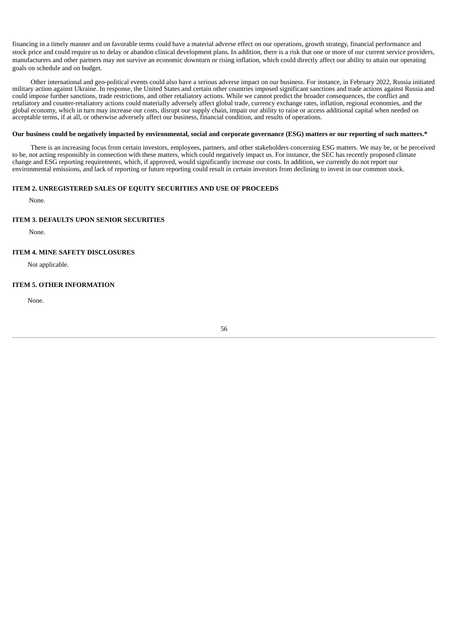financing in a timely manner and on favorable terms could have a material adverse effect on our operations, growth strategy, financial performance and stock price and could require us to delay or abandon clinical development plans. In addition, there is a risk that one or more of our current service providers, manufacturers and other partners may not survive an economic downturn or rising inflation, which could directly affect our ability to attain our operating goals on schedule and on budget.

Other international and geo-political events could also have a serious adverse impact on our business. For instance, in February 2022, Russia initiated military action against Ukraine. In response, the United States and certain other countries imposed significant sanctions and trade actions against Russia and could impose further sanctions, trade restrictions, and other retaliatory actions. While we cannot predict the broader consequences, the conflict and retaliatory and counter-retaliatory actions could materially adversely affect global trade, currency exchange rates, inflation, regional economies, and the global economy, which in turn may increase our costs, disrupt our supply chain, impair our ability to raise or access additional capital when needed on acceptable terms, if at all, or otherwise adversely affect our business, financial condition, and results of operations.

## Our business could be negatively impacted by environmental, social and corporate governance (ESG) matters or our reporting of such matters.\*

There is an increasing focus from certain investors, employees, partners, and other stakeholders concerning ESG matters. We may be, or be perceived to be, not acting responsibly in connection with these matters, which could negatively impact us. For instance, the SEC has recently proposed climate change and ESG reporting requirements, which, if approved, would significantly increase our costs. In addition, we currently do not report our environmental emissions, and lack of reporting or future reporting could result in certain investors from declining to invest in our common stock.

## <span id="page-57-0"></span>**ITEM 2. UNREGISTERED SALES OF EQUITY SECURITIES AND USE OF PROCEEDS**

None.

## <span id="page-57-1"></span>**ITEM 3. DEFAULTS UPON SENIOR SECURITIES**

None.

## <span id="page-57-2"></span>**ITEM 4. MINE SAFETY DISCLOSURES**

Not applicable.

#### <span id="page-57-3"></span>**ITEM 5. OTHER INFORMATION**

<span id="page-57-4"></span>None.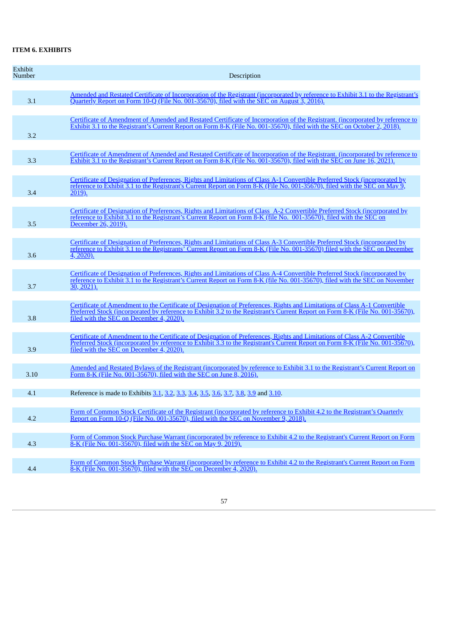## **ITEM 6. EXHIBITS**

| Exhibit<br>Number | Description                                                                                                                                                                                                                                                                                              |
|-------------------|----------------------------------------------------------------------------------------------------------------------------------------------------------------------------------------------------------------------------------------------------------------------------------------------------------|
| 3.1               | Amended and Restated Certificate of Incorporation of the Registrant (incorporated by reference to Exhibit 3.1 to the Registrant's<br>Quarterly Report on Form 10-Q (File No. 001-35670), filed with the SEC on August 3, 2016).                                                                          |
| 3.2               | Certificate of Amendment of Amended and Restated Certificate of Incorporation of the Registrant. (incorporated by reference to<br>Exhibit 3.1 to the Registrant's Current Report on Form 8-K (File No. 001-35670), filed with the SEC on October 2, 2018).                                               |
| 3.3               | Certificate of Amendment of Amended and Restated Certificate of Incorporation of the Registrant. (incorporated by reference to<br>Exhibit 3.1 to the Registrant's Current Report on Form 8-K (File No. 001-35670), filed with the SEC on June 16, 2021).                                                 |
| 3.4               | Certificate of Designation of Preferences, Rights and Limitations of Class A-1 Convertible Preferred Stock (incorporated by<br>reference to Exhibit 3.1 to the Registrant's Current Report on Form 8-K (File No. 001-35670), filed with the SEC on May 9,<br>2019).                                      |
| 3.5               | Certificate of Designation of Preferences, Rights and Limitations of Class A-2 Convertible Preferred Stock (incorporated by<br>reference to Exhibit 3.1 to the Registrant's Current Report on Form 8-K (file No. 001-35670), filed with the SEC on<br>December 26, 2019).                                |
| 3.6               | Certificate of Designation of Preferences, Rights and Limitations of Class A-3 Convertible Preferred Stock (incorporated by<br>reference to Exhibit 3.1 to the Registrants' Current Report on Form 8-K (File No. 001-35670) filed with the SEC on December<br>4, 2020).                                  |
| 3.7               | Certificate of Designation of Preferences, Rights and Limitations of Class A-4 Convertible Preferred Stock (incorporated by<br>reference to Exhibit 3.1 to the Registrant's Current Report on Form 8-K (file No. 001-35670), filed with the SEC on November<br>$\overline{30, 2021}$ .                   |
| 3.8               | Certificate of Amendment to the Certificate of Designation of Preferences, Rights and Limitations of Class A-1 Convertible<br>Preferred Stock (incorporated by reference to Exhibit 3.2 to the Registrant's Current Report on Form 8-K (File No. 001-35670),<br>filed with the SEC on December 4, 2020). |
| 3.9               | Certificate of Amendment to the Certificate of Designation of Preferences, Rights and Limitations of Class A-2 Convertible<br>Preferred Stock (incorporated by reference to Exhibit 3.3 to the Registrant's Current Report on Form 8-K (File No. 001-35670),<br>filed with the SEC on December 4, 2020). |
| 3.10              | Amended and Restated Bylaws of the Registrant (incorporated by reference to Exhibit 3.1 to the Registrant's Current Report on<br>Form 8-K (File No. 001-35670), filed with the SEC on June 8, 2016).                                                                                                     |
| 4.1               | Reference is made to Exhibits 3.1, 3.2, 3.3, 3.4, 3.5, 3.6, 3.7, 3.8, 3.9 and 3.10.                                                                                                                                                                                                                      |
| 4.2               | Form of Common Stock Certificate of the Registrant (incorporated by reference to Exhibit 4.2 to the Registrant's Quarterly<br>Report on Form 10-Q (File No. 001-35670), filed with the SEC on November 9, 2018).                                                                                         |
| 4.3               | Form of Common Stock Purchase Warrant (incorporated by reference to Exhibit 4.2 to the Registrant's Current Report on Form<br><u>8-K (File No. 001-35670), filed with the SEC on May 9, 2019).</u>                                                                                                       |
| 4.4               | Form of Common Stock Purchase Warrant (incorporated by reference to Exhibit 4.2 to the Registrant's Current Report on Form<br>8-K (File No. 001-35670), filed with the SEC on December 4, 2020).                                                                                                         |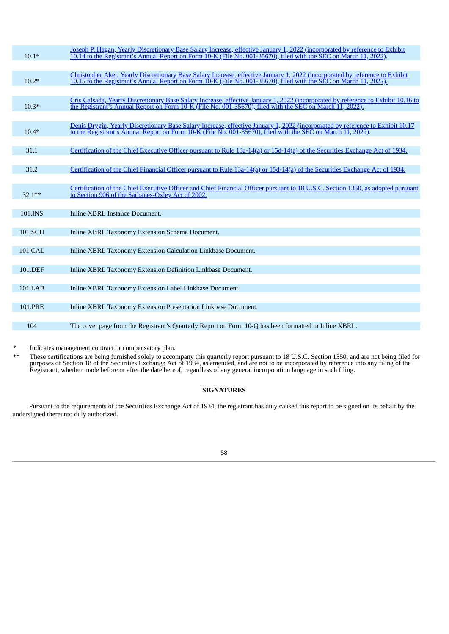| $10.1*$        | Joseph P. Hagan, Yearly Discretionary Base Salary Increase, effective January 1, 2022 (incorporated by reference to Exhibit<br>10.14 to the Registrant's Annual Report on Form 10-K (File No. 001-35670), filed with the SEC on March 11, 2022).  |
|----------------|---------------------------------------------------------------------------------------------------------------------------------------------------------------------------------------------------------------------------------------------------|
|                |                                                                                                                                                                                                                                                   |
| $10.2*$        | Christopher Aker, Yearly Discretionary Base Salary Increase, effective January 1, 2022 (incorporated by reference to Exhibit<br>10.15 to the Registrant's Annual Report on Form 10-K (File No. 001-35670), filed with the SEC on March 11, 2022). |
|                |                                                                                                                                                                                                                                                   |
| $10.3*$        | Cris Calsada, Yearly Discretionary Base Salary Increase, effective January 1, 2022 (incorporated by reference to Exhibit 10.16 to<br>the Registrant's Annual Report on Form 10-K (File No. 001-35670), filed with the SEC on March 11, 2022).     |
|                |                                                                                                                                                                                                                                                   |
| $10.4*$        | Denis Drygin, Yearly Discretionary Base Salary Increase, effective January 1, 2022 (incorporated by reference to Exhibit 10.17<br>to the Registrant's Annual Report on Form 10-K (File No. 001-35670), filed with the SEC on March 11, 2022).     |
|                |                                                                                                                                                                                                                                                   |
| 31.1           | Certification of the Chief Executive Officer pursuant to Rule 13a-14(a) or 15d-14(a) of the Securities Exchange Act of 1934.                                                                                                                      |
|                |                                                                                                                                                                                                                                                   |
| 31.2           | Certification of the Chief Financial Officer pursuant to Rule 13a-14(a) or 15d-14(a) of the Securities Exchange Act of 1934.                                                                                                                      |
|                |                                                                                                                                                                                                                                                   |
| $32.1**$       | Certification of the Chief Executive Officer and Chief Financial Officer pursuant to 18 U.S.C. Section 1350, as adopted pursuant<br>to Section 906 of the Sarbanes-Oxley Act of 2002.                                                             |
|                |                                                                                                                                                                                                                                                   |
| 101.INS        | Inline XBRL Instance Document.                                                                                                                                                                                                                    |
|                |                                                                                                                                                                                                                                                   |
| 101.SCH        | Inline XBRL Taxonomy Extension Schema Document.                                                                                                                                                                                                   |
|                |                                                                                                                                                                                                                                                   |
| 101.CAL        | Inline XBRL Taxonomy Extension Calculation Linkbase Document.                                                                                                                                                                                     |
|                |                                                                                                                                                                                                                                                   |
| 101.DEF        | Inline XBRL Taxonomy Extension Definition Linkbase Document.                                                                                                                                                                                      |
|                |                                                                                                                                                                                                                                                   |
| 101.LAB        | Inline XBRL Taxonomy Extension Label Linkbase Document.                                                                                                                                                                                           |
|                |                                                                                                                                                                                                                                                   |
| <b>101.PRE</b> | Inline XBRL Taxonomy Extension Presentation Linkbase Document.                                                                                                                                                                                    |
|                |                                                                                                                                                                                                                                                   |
| 104            | The cover page from the Registrant's Quarterly Report on Form 10-Q has been formatted in Inline XBRL.                                                                                                                                             |

Indicates management contract or compensatory plan.

\*\* These certifications are being furnished solely to accompany this quarterly report pursuant to 18 U.S.C. Section 1350, and are not being filed for purposes of Section 18 of the Securities Exchange Act of 1934, as amended, and are not to be incorporated by reference into any filing of the Registrant, whether made before or after the date hereof, regardless of any general incorporation language in such filing.

## **SIGNATURES**

Pursuant to the requirements of the Securities Exchange Act of 1934, the registrant has duly caused this report to be signed on its behalf by the undersigned thereunto duly authorized.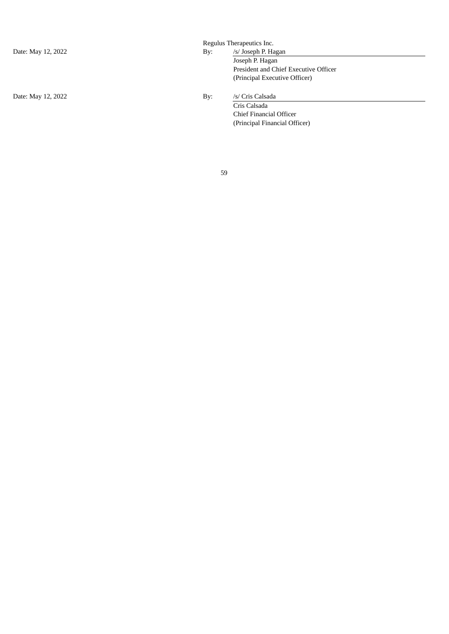Date: May 12, 2022 By: /s/ Cris Calsada

Regulus Therapeutics Inc.

# Date: May 12, 2022 By: /s/ Joseph P. Hagan Joseph P. Hagan

President and Chief Executive Officer (Principal Executive Officer)

Cris Calsada Chief Financial Officer (Principal Financial Officer)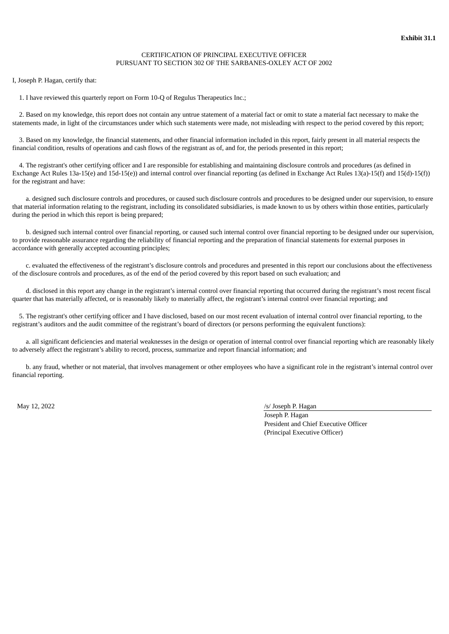## CERTIFICATION OF PRINCIPAL EXECUTIVE OFFICER PURSUANT TO SECTION 302 OF THE SARBANES-OXLEY ACT OF 2002

<span id="page-61-0"></span>I, Joseph P. Hagan, certify that:

1. I have reviewed this quarterly report on Form 10-Q of Regulus Therapeutics Inc.;

2. Based on my knowledge, this report does not contain any untrue statement of a material fact or omit to state a material fact necessary to make the statements made, in light of the circumstances under which such statements were made, not misleading with respect to the period covered by this report;

3. Based on my knowledge, the financial statements, and other financial information included in this report, fairly present in all material respects the financial condition, results of operations and cash flows of the registrant as of, and for, the periods presented in this report;

4. The registrant's other certifying officer and I are responsible for establishing and maintaining disclosure controls and procedures (as defined in Exchange Act Rules 13a-15(e) and 15d-15(e)) and internal control over financial reporting (as defined in Exchange Act Rules 13(a)-15(f) and 15(d)-15(f)) for the registrant and have:

a. designed such disclosure controls and procedures, or caused such disclosure controls and procedures to be designed under our supervision, to ensure that material information relating to the registrant, including its consolidated subsidiaries, is made known to us by others within those entities, particularly during the period in which this report is being prepared;

b. designed such internal control over financial reporting, or caused such internal control over financial reporting to be designed under our supervision, to provide reasonable assurance regarding the reliability of financial reporting and the preparation of financial statements for external purposes in accordance with generally accepted accounting principles;

c. evaluated the effectiveness of the registrant's disclosure controls and procedures and presented in this report our conclusions about the effectiveness of the disclosure controls and procedures, as of the end of the period covered by this report based on such evaluation; and

d. disclosed in this report any change in the registrant's internal control over financial reporting that occurred during the registrant's most recent fiscal quarter that has materially affected, or is reasonably likely to materially affect, the registrant's internal control over financial reporting; and

5. The registrant's other certifying officer and I have disclosed, based on our most recent evaluation of internal control over financial reporting, to the registrant's auditors and the audit committee of the registrant's board of directors (or persons performing the equivalent functions):

a. all significant deficiencies and material weaknesses in the design or operation of internal control over financial reporting which are reasonably likely to adversely affect the registrant's ability to record, process, summarize and report financial information; and

b. any fraud, whether or not material, that involves management or other employees who have a significant role in the registrant's internal control over financial reporting.

May 12, 2022 /s/ Joseph P. Hagan

Joseph P. Hagan President and Chief Executive Officer (Principal Executive Officer)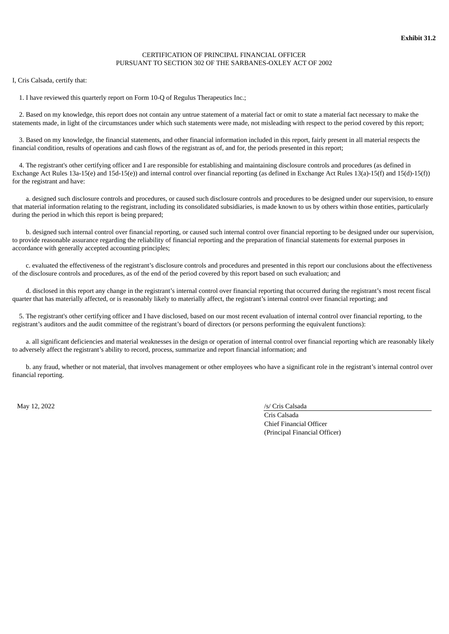## CERTIFICATION OF PRINCIPAL FINANCIAL OFFICER PURSUANT TO SECTION 302 OF THE SARBANES-OXLEY ACT OF 2002

<span id="page-62-0"></span>I, Cris Calsada, certify that:

1. I have reviewed this quarterly report on Form 10-Q of Regulus Therapeutics Inc.;

2. Based on my knowledge, this report does not contain any untrue statement of a material fact or omit to state a material fact necessary to make the statements made, in light of the circumstances under which such statements were made, not misleading with respect to the period covered by this report;

3. Based on my knowledge, the financial statements, and other financial information included in this report, fairly present in all material respects the financial condition, results of operations and cash flows of the registrant as of, and for, the periods presented in this report;

4. The registrant's other certifying officer and I are responsible for establishing and maintaining disclosure controls and procedures (as defined in Exchange Act Rules 13a-15(e) and 15d-15(e)) and internal control over financial reporting (as defined in Exchange Act Rules 13(a)-15(f) and 15(d)-15(f)) for the registrant and have:

a. designed such disclosure controls and procedures, or caused such disclosure controls and procedures to be designed under our supervision, to ensure that material information relating to the registrant, including its consolidated subsidiaries, is made known to us by others within those entities, particularly during the period in which this report is being prepared;

b. designed such internal control over financial reporting, or caused such internal control over financial reporting to be designed under our supervision, to provide reasonable assurance regarding the reliability of financial reporting and the preparation of financial statements for external purposes in accordance with generally accepted accounting principles;

c. evaluated the effectiveness of the registrant's disclosure controls and procedures and presented in this report our conclusions about the effectiveness of the disclosure controls and procedures, as of the end of the period covered by this report based on such evaluation; and

d. disclosed in this report any change in the registrant's internal control over financial reporting that occurred during the registrant's most recent fiscal quarter that has materially affected, or is reasonably likely to materially affect, the registrant's internal control over financial reporting; and

5. The registrant's other certifying officer and I have disclosed, based on our most recent evaluation of internal control over financial reporting, to the registrant's auditors and the audit committee of the registrant's board of directors (or persons performing the equivalent functions):

a. all significant deficiencies and material weaknesses in the design or operation of internal control over financial reporting which are reasonably likely to adversely affect the registrant's ability to record, process, summarize and report financial information; and

b. any fraud, whether or not material, that involves management or other employees who have a significant role in the registrant's internal control over financial reporting.

May 12, 2022 /s/ Cris Calsada

Cris Calsada Chief Financial Officer (Principal Financial Officer)